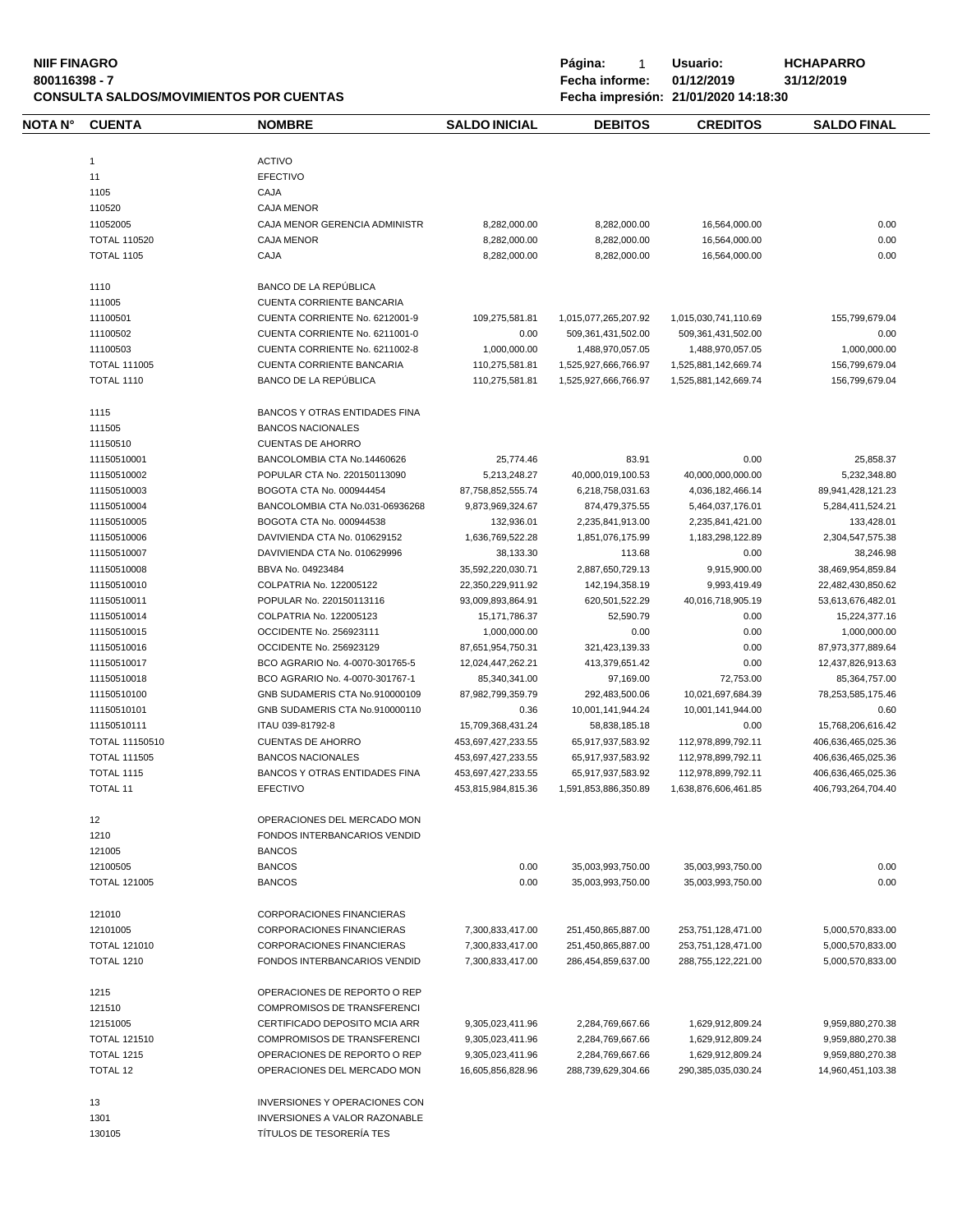# **NIIF FINAGRO P á g i n a :** 1 **U s u a r i o : HCHAPARRO CONSULTA SALDOS/MOVIMIENTOS POR CUENTAS Fecha impresión: 21/01/2020 14:18:30**

| NOTA N° | <b>CUENTA</b>       | <b>NOMBRE</b>                        | <b>SALDO INICIAL</b> | <b>DEBITOS</b>        | <b>CREDITOS</b>        | <b>SALDO FINAL</b> |
|---------|---------------------|--------------------------------------|----------------------|-----------------------|------------------------|--------------------|
|         | $\mathbf{1}$        | <b>ACTIVO</b>                        |                      |                       |                        |                    |
|         | 11                  | <b>EFECTIVO</b>                      |                      |                       |                        |                    |
|         | 1105                | CAJA                                 |                      |                       |                        |                    |
|         | 110520              | <b>CAJA MENOR</b>                    |                      |                       |                        |                    |
|         | 11052005            | CAJA MENOR GERENCIA ADMINISTR        | 8,282,000.00         | 8,282,000.00          | 16,564,000.00          | 0.00               |
|         | <b>TOTAL 110520</b> | <b>CAJA MENOR</b>                    | 8,282,000.00         | 8,282,000.00          | 16,564,000.00          | 0.00               |
|         | <b>TOTAL 1105</b>   | CAJA                                 | 8,282,000.00         | 8,282,000.00          | 16,564,000.00          | 0.00               |
|         |                     |                                      |                      |                       |                        |                    |
|         | 1110                | BANCO DE LA REPÚBLICA                |                      |                       |                        |                    |
|         | 111005              | CUENTA CORRIENTE BANCARIA            |                      |                       |                        |                    |
|         | 11100501            | CUENTA CORRIENTE No. 6212001-9       | 109,275,581.81       | 1,015,077,265,207.92  | 1,015,030,741,110.69   | 155,799,679.04     |
|         | 11100502            | CUENTA CORRIENTE No. 6211001-0       | 0.00                 | 509, 361, 431, 502.00 | 509, 361, 431, 502. 00 | 0.00               |
|         | 11100503            | CUENTA CORRIENTE No. 6211002-8       | 1,000,000.00         | 1,488,970,057.05      | 1,488,970,057.05       | 1,000,000.00       |
|         | <b>TOTAL 111005</b> | CUENTA CORRIENTE BANCARIA            | 110,275,581.81       | 1,525,927,666,766.97  | 1,525,881,142,669.74   | 156,799,679.04     |
|         | <b>TOTAL 1110</b>   | BANCO DE LA REPÚBLICA                | 110,275,581.81       | 1,525,927,666,766.97  | 1,525,881,142,669.74   | 156,799,679.04     |
|         | 1115                | <b>BANCOS Y OTRAS ENTIDADES FINA</b> |                      |                       |                        |                    |
|         | 111505              | <b>BANCOS NACIONALES</b>             |                      |                       |                        |                    |
|         | 11150510            | <b>CUENTAS DE AHORRO</b>             |                      |                       |                        |                    |
|         | 11150510001         | BANCOLOMBIA CTA No.14460626          | 25,774.46            | 83.91                 | 0.00                   | 25,858.37          |
|         | 11150510002         | POPULAR CTA No. 220150113090         | 5,213,248.27         | 40,000,019,100.53     | 40,000,000,000.00      | 5,232,348.80       |
|         | 11150510003         | BOGOTA CTA No. 000944454             | 87,758,852,555.74    | 6,218,758,031.63      | 4,036,182,466.14       | 89,941,428,121.23  |
|         | 11150510004         | BANCOLOMBIA CTA No.031-06936268      | 9,873,969,324.67     | 874,479,375.55        | 5,464,037,176.01       | 5,284,411,524.21   |
|         | 11150510005         | BOGOTA CTA No. 000944538             | 132,936.01           | 2,235,841,913.00      | 2,235,841,421.00       | 133,428.01         |
|         | 11150510006         | DAVIVIENDA CTA No. 010629152         | 1,636,769,522.28     | 1,851,076,175.99      | 1,183,298,122.89       | 2,304,547,575.38   |
|         | 11150510007         | DAVIVIENDA CTA No. 010629996         | 38,133.30            | 113.68                | 0.00                   | 38,246.98          |
|         | 11150510008         | BBVA No. 04923484                    | 35,592,220,030.71    | 2,887,650,729.13      | 9,915,900.00           | 38,469,954,859.84  |
|         | 11150510010         | COLPATRIA No. 122005122              | 22,350,229,911.92    | 142,194,358.19        | 9,993,419.49           | 22,482,430,850.62  |
|         | 11150510011         | POPULAR No. 220150113116             | 93,009,893,864.91    | 620,501,522.29        | 40,016,718,905.19      | 53,613,676,482.01  |
|         | 11150510014         | COLPATRIA No. 122005123              | 15,171,786.37        | 52,590.79             | 0.00                   | 15,224,377.16      |
|         |                     |                                      |                      |                       |                        |                    |
|         | 11150510015         | OCCIDENTE No. 256923111              | 1,000,000.00         | 0.00                  | 0.00                   | 1,000,000.00       |
|         | 11150510016         | OCCIDENTE No. 256923129              | 87,651,954,750.31    | 321,423,139.33        | 0.00                   | 87,973,377,889.64  |
|         | 11150510017         | BCO AGRARIO No. 4-0070-301765-5      | 12,024,447,262.21    | 413,379,651.42        | 0.00                   | 12,437,826,913.63  |
|         | 11150510018         | BCO AGRARIO No. 4-0070-301767-1      | 85,340,341.00        | 97,169.00             | 72,753.00              | 85,364,757.00      |
|         | 11150510100         | GNB SUDAMERIS CTA No.910000109       | 87,982,799,359.79    | 292,483,500.06        | 10,021,697,684.39      | 78,253,585,175.46  |
|         | 11150510101         | GNB SUDAMERIS CTA No.910000110       | 0.36                 | 10,001,141,944.24     | 10,001,141,944.00      | 0.60               |
|         | 11150510111         | ITAU 039-81792-8                     | 15,709,368,431.24    | 58,838,185.18         | 0.00                   | 15,768,206,616.42  |
|         | TOTAL 11150510      | <b>CUENTAS DE AHORRO</b>             | 453,697,427,233.55   | 65,917,937,583.92     | 112,978,899,792.11     | 406,636,465,025.36 |
|         | <b>TOTAL 111505</b> | <b>BANCOS NACIONALES</b>             | 453,697,427,233.55   | 65,917,937,583.92     | 112,978,899,792.11     | 406,636,465,025.36 |
|         | <b>TOTAL 1115</b>   | BANCOS Y OTRAS ENTIDADES FINA        | 453,697,427,233.55   | 65,917,937,583.92     | 112,978,899,792.11     | 406,636,465,025.36 |
|         | <b>TOTAL 11</b>     | <b>EFECTIVO</b>                      | 453,815,984,815.36   | 1,591,853,886,350.89  | 1,638,876,606,461.85   | 406,793,264,704.40 |
|         | 12                  | OPERACIONES DEL MERCADO MON          |                      |                       |                        |                    |
|         | 1210                | FONDOS INTERBANCARIOS VENDID         |                      |                       |                        |                    |
|         | 121005              | <b>BANCOS</b>                        |                      |                       |                        |                    |
|         | 12100505            | <b>BANCOS</b>                        | 0.00                 | 35,003,993,750.00     | 35,003,993,750.00      | 0.00               |
|         | <b>TOTAL 121005</b> | <b>BANCOS</b>                        | 0.00                 | 35,003,993,750.00     | 35,003,993,750.00      | 0.00               |
|         | 121010              | <b>CORPORACIONES FINANCIERAS</b>     |                      |                       |                        |                    |
|         | 12101005            | <b>CORPORACIONES FINANCIERAS</b>     | 7,300,833,417.00     | 251,450,865,887.00    | 253,751,128,471.00     | 5,000,570,833.00   |
|         | <b>TOTAL 121010</b> | CORPORACIONES FINANCIERAS            | 7,300,833,417.00     | 251,450,865,887.00    | 253,751,128,471.00     | 5,000,570,833.00   |
|         | <b>TOTAL 1210</b>   | FONDOS INTERBANCARIOS VENDID         | 7,300,833,417.00     | 286,454,859,637.00    | 288,755,122,221.00     | 5,000,570,833.00   |
|         |                     |                                      |                      |                       |                        |                    |
|         | 1215                | OPERACIONES DE REPORTO O REP         |                      |                       |                        |                    |
|         | 121510              | <b>COMPROMISOS DE TRANSFERENCI</b>   |                      |                       |                        |                    |
|         | 12151005            | CERTIFICADO DEPOSITO MCIA ARR        | 9,305,023,411.96     | 2,284,769,667.66      | 1,629,912,809.24       | 9,959,880,270.38   |
|         | <b>TOTAL 121510</b> | <b>COMPROMISOS DE TRANSFERENCI</b>   | 9,305,023,411.96     | 2,284,769,667.66      | 1,629,912,809.24       | 9,959,880,270.38   |
|         | <b>TOTAL 1215</b>   | OPERACIONES DE REPORTO O REP         | 9,305,023,411.96     | 2,284,769,667.66      | 1,629,912,809.24       | 9,959,880,270.38   |
|         | <b>TOTAL 12</b>     | OPERACIONES DEL MERCADO MON          | 16,605,856,828.96    | 288,739,629,304.66    | 290, 385, 035, 030. 24 | 14,960,451,103.38  |
|         | 13                  | INVERSIONES Y OPERACIONES CON        |                      |                       |                        |                    |
|         | 1301                | INVERSIONES A VALOR RAZONABLE        |                      |                       |                        |                    |
|         | 130105              | TÍTULOS DE TESORERÍA TES             |                      |                       |                        |                    |
|         |                     |                                      |                      |                       |                        |                    |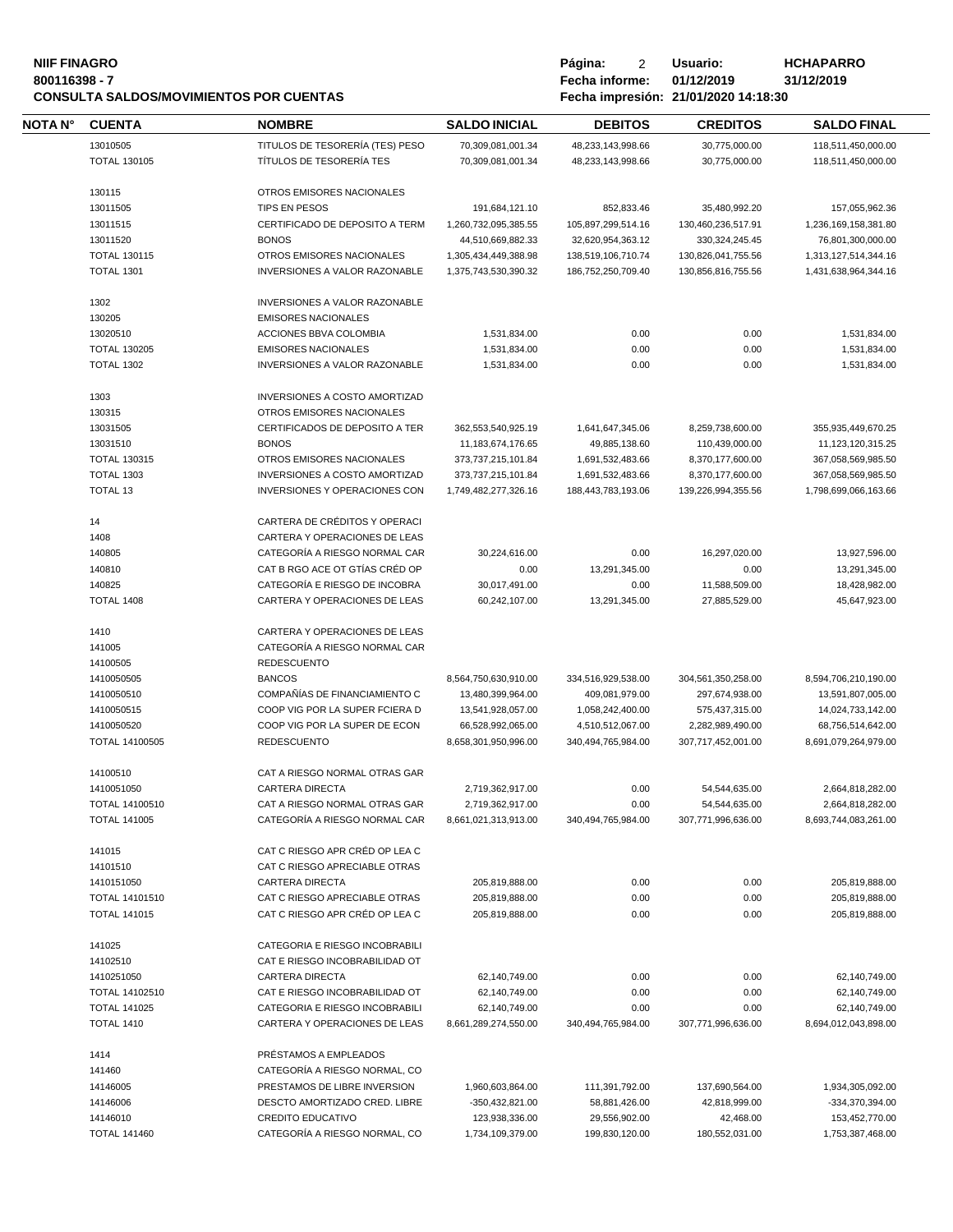#### **NIIF FINAGRO P á g i n a :** 2 **U s u a r i o : HCHAPARRO 800116398 - 7 Fecha informe: 01/12/2019 31/12/2019 CONSULTA SALDOS/MOVIMIENTOS POR CUENTAS Fecha impresión: 21/01/2020 14:18:30**

| Página:        | 2 | Usuario:                        |
|----------------|---|---------------------------------|
| Fecha informe: |   | 01/12/2019                      |
|                |   | Eecha impresión 21/01/2020 14:1 |

| <b>NOTA N°</b> | <b>CUENTA</b>         | <b>NOMBRE</b>                        | <b>SALDO INICIAL</b>  | <b>DEBITOS</b>     | <b>CREDITOS</b>    | <b>SALDO FINAL</b>   |
|----------------|-----------------------|--------------------------------------|-----------------------|--------------------|--------------------|----------------------|
|                | 13010505              | TITULOS DE TESORERÍA (TES) PESO      | 70,309,081,001.34     | 48,233,143,998.66  | 30,775,000.00      | 118,511,450,000.00   |
|                | <b>TOTAL 130105</b>   | TÍTULOS DE TESORERÍA TES             | 70,309,081,001.34     | 48,233,143,998.66  | 30,775,000.00      | 118,511,450,000.00   |
|                |                       |                                      |                       |                    |                    |                      |
|                | 130115                | OTROS EMISORES NACIONALES            |                       |                    |                    |                      |
|                | 13011505              | TIPS EN PESOS                        | 191,684,121.10        | 852,833.46         | 35,480,992.20      | 157,055,962.36       |
|                | 13011515              | CERTIFICADO DE DEPOSITO A TERM       | 1,260,732,095,385.55  | 105,897,299,514.16 | 130,460,236,517.91 | 1,236,169,158,381.80 |
|                | 13011520              | <b>BONOS</b>                         | 44,510,669,882.33     | 32,620,954,363.12  | 330, 324, 245. 45  | 76,801,300,000.00    |
|                | <b>TOTAL 130115</b>   | OTROS EMISORES NACIONALES            | 1,305,434,449,388.98  | 138,519,106,710.74 | 130,826,041,755.56 | 1,313,127,514,344.16 |
|                | <b>TOTAL 1301</b>     | <b>INVERSIONES A VALOR RAZONABLE</b> | 1,375,743,530,390.32  | 186,752,250,709.40 | 130,856,816,755.56 | 1,431,638,964,344.16 |
|                | 1302                  | <b>INVERSIONES A VALOR RAZONABLE</b> |                       |                    |                    |                      |
|                | 130205                | <b>EMISORES NACIONALES</b>           |                       |                    |                    |                      |
|                | 13020510              | ACCIONES BBVA COLOMBIA               | 1,531,834.00          | 0.00               | 0.00               | 1,531,834.00         |
|                | <b>TOTAL 130205</b>   | <b>EMISORES NACIONALES</b>           | 1,531,834.00          | 0.00               | 0.00               | 1,531,834.00         |
|                | <b>TOTAL 1302</b>     | <b>INVERSIONES A VALOR RAZONABLE</b> | 1,531,834.00          | 0.00               | 0.00               | 1,531,834.00         |
|                | 1303                  | <b>INVERSIONES A COSTO AMORTIZAD</b> |                       |                    |                    |                      |
|                | 130315                | OTROS EMISORES NACIONALES            |                       |                    |                    |                      |
|                | 13031505              | CERTIFICADOS DE DEPOSITO A TER       | 362,553,540,925.19    | 1,641,647,345.06   | 8,259,738,600.00   | 355,935,449,670.25   |
|                | 13031510              | <b>BONOS</b>                         | 11, 183, 674, 176. 65 | 49,885,138.60      | 110,439,000.00     | 11,123,120,315.25    |
|                | <b>TOTAL 130315</b>   | OTROS EMISORES NACIONALES            | 373,737,215,101.84    | 1,691,532,483.66   | 8,370,177,600.00   | 367,058,569,985.50   |
|                | <b>TOTAL 1303</b>     | INVERSIONES A COSTO AMORTIZAD        | 373,737,215,101.84    | 1,691,532,483.66   | 8,370,177,600.00   | 367,058,569,985.50   |
|                | <b>TOTAL 13</b>       | <b>INVERSIONES Y OPERACIONES CON</b> | 1,749,482,277,326.16  | 188,443,783,193.06 | 139,226,994,355.56 | 1,798,699,066,163.66 |
|                | 14                    | CARTERA DE CRÉDITOS Y OPERACI        |                       |                    |                    |                      |
|                | 1408                  | CARTERA Y OPERACIONES DE LEAS        |                       |                    |                    |                      |
|                | 140805                | CATEGORÍA A RIESGO NORMAL CAR        | 30,224,616.00         | 0.00               | 16,297,020.00      | 13,927,596.00        |
|                | 140810                | CAT B RGO ACE OT GTÍAS CRÉD OP       | 0.00                  | 13,291,345.00      | 0.00               | 13,291,345.00        |
|                | 140825                | CATEGORÍA E RIESGO DE INCOBRA        | 30,017,491.00         | 0.00               | 11,588,509.00      | 18,428,982.00        |
|                | <b>TOTAL 1408</b>     | CARTERA Y OPERACIONES DE LEAS        | 60,242,107.00         | 13,291,345.00      | 27,885,529.00      | 45,647,923.00        |
|                | 1410                  | CARTERA Y OPERACIONES DE LEAS        |                       |                    |                    |                      |
|                | 141005                | CATEGORÍA A RIESGO NORMAL CAR        |                       |                    |                    |                      |
|                | 14100505              | <b>REDESCUENTO</b>                   |                       |                    |                    |                      |
|                | 1410050505            | <b>BANCOS</b>                        | 8,564,750,630,910.00  | 334,516,929,538.00 | 304,561,350,258.00 | 8,594,706,210,190.00 |
|                | 1410050510            | COMPAÑÍAS DE FINANCIAMIENTO C        | 13,480,399,964.00     | 409,081,979.00     | 297,674,938.00     | 13,591,807,005.00    |
|                | 1410050515            | COOP VIG POR LA SUPER FCIERA D       | 13,541,928,057.00     | 1,058,242,400.00   | 575,437,315.00     | 14,024,733,142.00    |
|                | 1410050520            | COOP VIG POR LA SUPER DE ECON        | 66,528,992,065.00     | 4,510,512,067.00   | 2,282,989,490.00   | 68,756,514,642.00    |
|                | TOTAL 14100505        | <b>REDESCUENTO</b>                   | 8,658,301,950,996.00  | 340,494,765,984.00 | 307,717,452,001.00 | 8,691,079,264,979.00 |
|                | 14100510              | CAT A RIESGO NORMAL OTRAS GAR        |                       |                    |                    |                      |
|                | 1410051050            | <b>CARTERA DIRECTA</b>               | 2,719,362,917.00      | 0.00               | 54,544,635.00      | 2,664,818,282.00     |
|                | TOTAL 14100510        | CAT A RIESGO NORMAL OTRAS GAR        | 2,719,362,917.00      | 0.00               | 54,544,635.00      | 2,664,818,282.00     |
|                | <b>TOTAL 141005</b>   | CATEGORIA A RIESGO NORMAL CAR        | 8,661,021,313,913.00  | 340,494,765,984.00 | 307,771,996,636.00 | 8,693,744,083,261.00 |
|                | 141015                | CAT C RIESGO APR CRÉD OP LEA C       |                       |                    |                    |                      |
|                | 14101510              | CAT C RIESGO APRECIABLE OTRAS        |                       |                    |                    |                      |
|                | 1410151050            | <b>CARTERA DIRECTA</b>               | 205,819,888.00        | 0.00               | 0.00               | 205,819,888.00       |
|                | <b>TOTAL 14101510</b> | CAT C RIESGO APRECIABLE OTRAS        | 205,819,888.00        | 0.00               | 0.00               | 205,819,888.00       |
|                | <b>TOTAL 141015</b>   | CAT C RIESGO APR CRÉD OP LEA C       | 205,819,888.00        | 0.00               | 0.00               | 205,819,888.00       |
|                | 141025                | CATEGORIA E RIESGO INCOBRABILI       |                       |                    |                    |                      |
|                | 14102510              | CAT E RIESGO INCOBRABILIDAD OT       |                       |                    |                    |                      |
|                | 1410251050            | <b>CARTERA DIRECTA</b>               | 62,140,749.00         | 0.00               | 0.00               | 62,140,749.00        |
|                | TOTAL 14102510        | CAT E RIESGO INCOBRABILIDAD OT       | 62,140,749.00         | 0.00               | 0.00               | 62,140,749.00        |
|                | <b>TOTAL 141025</b>   | CATEGORIA E RIESGO INCOBRABILI       | 62,140,749.00         | 0.00               | 0.00               | 62,140,749.00        |
|                | <b>TOTAL 1410</b>     | CARTERA Y OPERACIONES DE LEAS        | 8,661,289,274,550.00  | 340,494,765,984.00 | 307,771,996,636.00 | 8,694,012,043,898.00 |
|                | 1414                  | PRÉSTAMOS A EMPLEADOS                |                       |                    |                    |                      |
|                | 141460                | CATEGORÍA A RIESGO NORMAL, CO        |                       |                    |                    |                      |
|                | 14146005              | PRESTAMOS DE LIBRE INVERSION         | 1,960,603,864.00      | 111,391,792.00     | 137,690,564.00     | 1,934,305,092.00     |
|                | 14146006              | DESCTO AMORTIZADO CRED. LIBRE        | -350,432,821.00       | 58,881,426.00      | 42,818,999.00      | -334,370,394.00      |
|                | 14146010              | <b>CREDITO EDUCATIVO</b>             | 123,938,336.00        | 29,556,902.00      | 42,468.00          | 153,452,770.00       |
|                | <b>TOTAL 141460</b>   | CATEGORÍA A RIESGO NORMAL, CO        | 1,734,109,379.00      | 199,830,120.00     | 180,552,031.00     | 1,753,387,468.00     |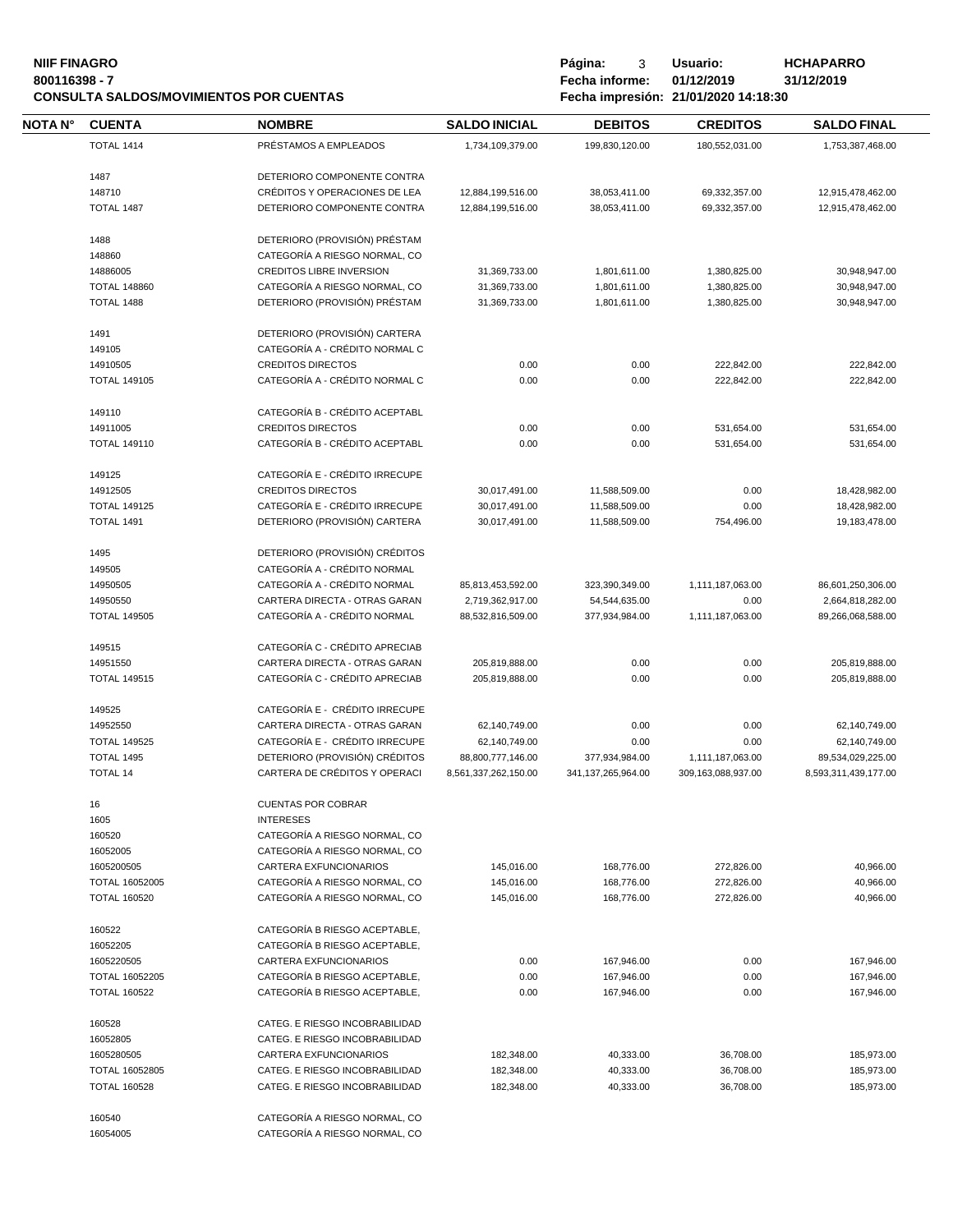#### **NIIF FINAGRO P á g i n a :** 3 **U s u a r i o : HCHAPARRO 800116398 - 7 Fecha informe: 01/12/2019 31/12/2019 CONSULTA SALDOS/MOVIMIENTOS POR CUENTAS Fecha impresión: 21/01/2020 14:18:30**

16054005 CATEGORÍA A RIESGO NORMAL, CO

**NOTA N° CUENTA NOMBRE SALDO INICIAL D E B I T O S C R E D I T O S SALDO FINAL** TOTAL 1414 PRÉSTAMOS A EMPLEADOS 1,734,109,379.00 199,830,120.00 180,552,031.00 1,753,387,468.00 DETERIORO COMPONENTE CONTRA CRÉDITOS Y OPERACIONES DE LEA 12,884,199,516.00 38,053,411.00 69,332,357.00 12,915,478,462.00 TOTAL 1487 DETERIORO COMPONENTE CONTRA 12,884,199,516.00 38,053,411.00 69,332,357.00 12,915,478,462.00 DETERIORO (PROVISIÓN) PRÉSTAM CATEGORÍA A RIESGO NORMAL, CO CREDITOS LIBRE INVERSION 31,369,733.00 1,801,611.00 1,380,825.00 30,948,947.00 TOTAL 148860 CATEGORÍA A RIESGO NORMAL, CO 31,369,733.00 1,801,611.00 1,380,825.00 30,948,947.00 TOTAL 1488 DETERIORO (PROVISIÓN) PRÉSTAM 31,369,733.00 1,801,611.00 1,380,825.00 30,948,947.00 DETERIORO (PROVISIÓN) CARTERA CATEGORÍA A - CRÉDITO NORMAL C CREDITOS DIRECTOS 0.00 0.00 222,842.00 222,842.00 TOTAL 149105 CATEGORÍA A - CRÉDITO NORMAL C 0.00 0.00 222,842.00 222,842.00 CATEGORÍA B - CRÉDITO ACEPTABL CREDITOS DIRECTOS 0.00 0.00 531,654.00 531,654.00 TOTAL 149110 CATEGORÍA B - CRÉDITO ACEPTABL 0.00 0.00 531,654.00 531,654.00 CATEGORÍA E - CRÉDITO IRRECUPE CREDITOS DIRECTOS 30,017,491.00 11,588,509.00 0.00 18,428,982.00 TOTAL 149125 CATEGORÍA E - CRÉDITO IRRECUPE 30,017,491.00 11,588,509.00 0.00 18,428,982.00 TOTAL 1491 DETERIORO (PROVISIÓN) CARTERA 30,017,491.00 11,588,509.00 754,496.00 19,183,478.00 DETERIORO (PROVISIÓN) CRÉDITOS CATEGORÍA A - CRÉDITO NORMAL CATEGORÍA A - CRÉDITO NORMAL 85,813,453,592.00 323,390,349.00 1,111,187,063.00 86,601,250,306.00 CARTERA DIRECTA - OTRAS GARAN 2,719,362,917.00 54,544,635.00 0.00 2,664,818,282.00 TOTAL 149505 CATEGORÍA A - CRÉDITO NORMAL 88,532,816,509.00 377,934,984.00 1,111,187,063.00 89,266,068,588.00 CATEGORÍA C - CRÉDITO APRECIAB CARTERA DIRECTA - OTRAS GARAN 205,819,888.00 0.00 0.00 205,819,888.00 TOTAL 149515 CATEGORÍA C - CRÉDITO APRECIAB 205,819,888.00 0.00 0.00 205,819,888.00 CATEGORÍA E - CRÉDITO IRRECUPE CARTERA DIRECTA - OTRAS GARAN 62,140,749.00 0.00 0.00 62,140,749.00 TOTAL 149525 CATEGORÍA E - CRÉDITO IRRECUPE 62,140,749.00 0.00 0.00 62,140,749.00 TOTAL 1495 DETERIORO (PROVISIÓN) CRÉDITOS 88,800,777,146.00 377,934,984.00 1,111,187,063.00 89,534,029,225.00 TOTAL 14 CARTERA DE CRÉDITOS Y OPERACI 8,561,337,262,150.00 341,137,265,964.00 309,163,088,937.00 8,593,311,439,177.00 CUENTAS POR COBRAR INTERESES CATEGORÍA A RIESGO NORMAL, CO CATEGORÍA A RIESGO NORMAL, CO CARTERA EXFUNCIONARIOS 145,016.00 168,776.00 272,826.00 40,966.00 TOTAL 16052005 CATEGORÍA A RIESGO NORMAL, CO 145,016.00 168,776.00 272,826.00 40,966.00 TOTAL 160520 CATEGORÍA A RIESGO NORMAL, CO 145,016.00 168,776.00 272,826.00 40,966.00 CATEGORÍA B RIESGO ACEPTABLE, CATEGORÍA B RIESGO ACEPTABLE, CARTERA EXFUNCIONARIOS 0.00 167,946.00 0.00 167,946.00 TOTAL 16052205 CATEGORÍA B RIESGO ACEPTABLE, 0.00 167,946.00 0.00 167,946.00 TOTAL 160522 CATEGORÍA B RIESGO ACEPTABLE, 0.00 167,946.00 0.00 167,946.00 CATEG. E RIESGO INCOBRABILIDAD CATEG. E RIESGO INCOBRABILIDAD CARTERA EXFUNCIONARIOS 182,348.00 40,333.00 36,708.00 185,973.00 TOTAL 16052805 CATEG. E RIESGO INCOBRABILIDAD 182,348.00 40,333.00 36,708.00 185,973.00 TOTAL 160528 CATEG. E RIESGO INCOBRABILIDAD 182,348.00 40,333.00 36,708.00 185,973.00 CATEGORÍA A RIESGO NORMAL, CO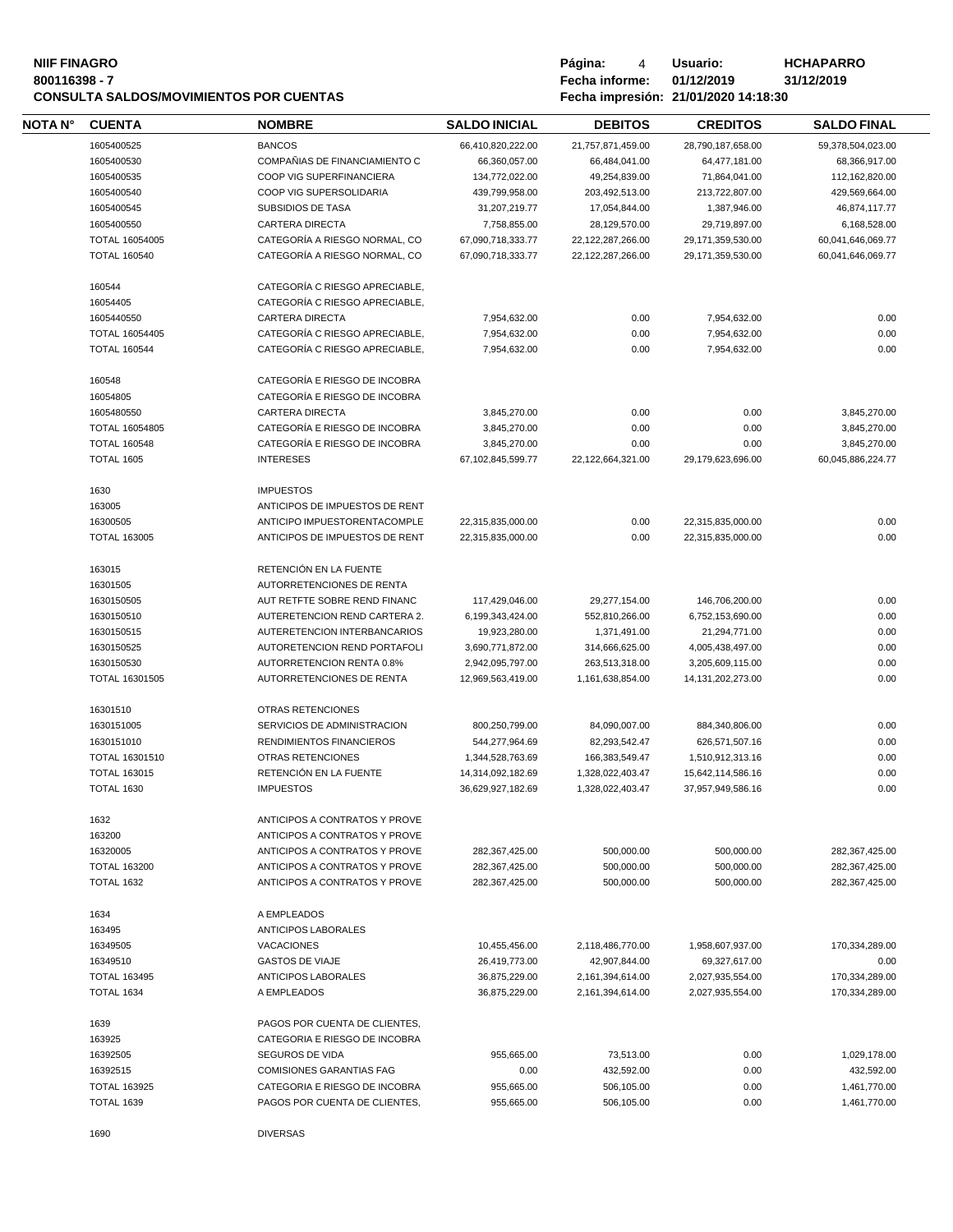# **NIIF FINAGRO P á g i n a :** 4 **U s u a r i o : HCHAPARRO CONSULTA SALDOS/MOVIMIENTOS POR CUENTAS Fecha impresión: 21/01/2020 14:18:30**

| NOTA N° | <b>CUENTA</b>         | <b>NOMBRE</b>                   | <b>SALDO INICIAL</b> | <b>DEBITOS</b>       | <b>CREDITOS</b>      | <b>SALDO FINAL</b> |
|---------|-----------------------|---------------------------------|----------------------|----------------------|----------------------|--------------------|
|         | 1605400525            | <b>BANCOS</b>                   | 66,410,820,222.00    | 21,757,871,459.00    | 28,790,187,658.00    | 59,378,504,023.00  |
|         | 1605400530            | COMPAÑIAS DE FINANCIAMIENTO C   | 66,360,057.00        | 66,484,041.00        | 64,477,181.00        | 68,366,917.00      |
|         | 1605400535            | COOP VIG SUPERFINANCIERA        | 134,772,022.00       | 49,254,839.00        | 71,864,041.00        | 112,162,820.00     |
|         | 1605400540            | COOP VIG SUPERSOLIDARIA         | 439,799,958.00       | 203,492,513.00       | 213,722,807.00       | 429,569,664.00     |
|         | 1605400545            | <b>SUBSIDIOS DE TASA</b>        | 31,207,219.77        | 17,054,844.00        | 1,387,946.00         | 46,874,117.77      |
|         | 1605400550            | <b>CARTERA DIRECTA</b>          | 7,758,855.00         | 28,129,570.00        | 29,719,897.00        | 6,168,528.00       |
|         | <b>TOTAL 16054005</b> | CATEGORÍA A RIESGO NORMAL, CO   | 67,090,718,333.77    | 22, 122, 287, 266.00 | 29,171,359,530.00    | 60,041,646,069.77  |
|         | <b>TOTAL 160540</b>   | CATEGORÍA A RIESGO NORMAL, CO   | 67,090,718,333.77    | 22, 122, 287, 266.00 | 29,171,359,530.00    | 60,041,646,069.77  |
|         | 160544                | CATEGORÍA C RIESGO APRECIABLE,  |                      |                      |                      |                    |
|         | 16054405              | CATEGORÍA C RIESGO APRECIABLE,  |                      |                      |                      |                    |
|         | 1605440550            | <b>CARTERA DIRECTA</b>          | 7,954,632.00         | 0.00                 | 7,954,632.00         | 0.00               |
|         | TOTAL 16054405        | CATEGORÍA C RIESGO APRECIABLE,  | 7,954,632.00         | 0.00                 | 7,954,632.00         | 0.00               |
|         | <b>TOTAL 160544</b>   | CATEGORÍA C RIESGO APRECIABLE,  | 7,954,632.00         | 0.00                 | 7,954,632.00         | 0.00               |
|         | 160548                | CATEGORÍA E RIESGO DE INCOBRA   |                      |                      |                      |                    |
|         | 16054805              | CATEGORÍA E RIESGO DE INCOBRA   |                      |                      |                      |                    |
|         | 1605480550            | <b>CARTERA DIRECTA</b>          | 3.845.270.00         | 0.00                 | 0.00                 | 3,845,270.00       |
|         | TOTAL 16054805        | CATEGORÍA E RIESGO DE INCOBRA   | 3,845,270.00         | 0.00                 | 0.00                 | 3,845,270.00       |
|         | <b>TOTAL 160548</b>   | CATEGORÍA E RIESGO DE INCOBRA   | 3,845,270.00         | 0.00                 | 0.00                 | 3,845,270.00       |
|         | <b>TOTAL 1605</b>     | <b>INTERESES</b>                | 67.102.845.599.77    | 22,122,664,321.00    | 29.179.623.696.00    | 60.045.886.224.77  |
|         | 1630                  | <b>IMPUESTOS</b>                |                      |                      |                      |                    |
|         | 163005                | ANTICIPOS DE IMPUESTOS DE RENT  |                      |                      |                      |                    |
|         | 16300505              | ANTICIPO IMPUESTORENTACOMPLE    | 22.315.835.000.00    | 0.00                 | 22,315,835,000.00    | 0.00               |
|         | <b>TOTAL 163005</b>   | ANTICIPOS DE IMPUESTOS DE RENT  | 22,315,835,000.00    | 0.00                 | 22,315,835,000.00    | 0.00               |
|         | 163015                | RETENCIÓN EN LA FUENTE          |                      |                      |                      |                    |
|         | 16301505              | AUTORRETENCIONES DE RENTA       |                      |                      |                      |                    |
|         | 1630150505            | AUT RETFTE SOBRE REND FINANC    | 117,429,046.00       | 29,277,154.00        | 146,706,200.00       | 0.00               |
|         | 1630150510            | AUTERETENCION REND CARTERA 2.   | 6,199,343,424.00     | 552,810,266.00       | 6,752,153,690.00     | 0.00               |
|         | 1630150515            | AUTERETENCION INTERBANCARIOS    | 19,923,280.00        | 1,371,491.00         | 21,294,771.00        | 0.00               |
|         | 1630150525            | AUTORETENCION REND PORTAFOLI    | 3,690,771,872.00     | 314,666,625.00       | 4,005,438,497.00     | 0.00               |
|         | 1630150530            | AUTORRETENCION RENTA 0.8%       | 2,942,095,797.00     | 263,513,318.00       | 3,205,609,115.00     | 0.00               |
|         | TOTAL 16301505        | AUTORRETENCIONES DE RENTA       | 12,969,563,419.00    | 1,161,638,854.00     | 14, 131, 202, 273.00 | 0.00               |
|         | 16301510              | OTRAS RETENCIONES               |                      |                      |                      |                    |
|         | 1630151005            | SERVICIOS DE ADMINISTRACION     | 800,250,799.00       | 84,090,007.00        | 884,340,806.00       | 0.00               |
|         | 1630151010            | RENDIMIENTOS FINANCIEROS        | 544,277,964.69       | 82,293,542.47        | 626,571,507.16       | 0.00               |
|         | TOTAL 16301510        | OTRAS RETENCIONES               | 1,344,528,763.69     | 166,383,549.47       | 1,510,912,313.16     | 0.00               |
|         | <b>TOTAL 163015</b>   | RETENCIÓN EN LA FUENTE          | 14,314,092,182.69    | 1,328,022,403.47     | 15,642,114,586.16    | 0.00               |
|         | <b>TOTAL 1630</b>     | <b>IMPUESTOS</b>                | 36,629,927,182.69    | 1,328,022,403.47     | 37,957,949,586.16    | 0.00               |
|         | 1632                  | ANTICIPOS A CONTRATOS Y PROVE   |                      |                      |                      |                    |
|         | 163200                | ANTICIPOS A CONTRATOS Y PROVE   |                      |                      |                      |                    |
|         | 16320005              | ANTICIPOS A CONTRATOS Y PROVE   | 282,367,425.00       | 500,000.00           | 500,000.00           | 282,367,425.00     |
|         | <b>TOTAL 163200</b>   | ANTICIPOS A CONTRATOS Y PROVE   | 282,367,425.00       | 500,000.00           | 500,000.00           | 282,367,425.00     |
|         | <b>TOTAL 1632</b>     | ANTICIPOS A CONTRATOS Y PROVE   | 282,367,425.00       | 500,000.00           | 500,000.00           | 282,367,425.00     |
|         | 1634                  | A EMPLEADOS                     |                      |                      |                      |                    |
|         | 163495                | ANTICIPOS LABORALES             |                      |                      |                      |                    |
|         | 16349505              | <b>VACACIONES</b>               | 10,455,456.00        | 2,118,486,770.00     | 1,958,607,937.00     | 170,334,289.00     |
|         | 16349510              | <b>GASTOS DE VIAJE</b>          | 26,419,773.00        | 42,907,844.00        | 69,327,617.00        | 0.00               |
|         | <b>TOTAL 163495</b>   | <b>ANTICIPOS LABORALES</b>      | 36,875,229.00        | 2,161,394,614.00     | 2,027,935,554.00     | 170,334,289.00     |
|         | <b>TOTAL 1634</b>     | A EMPLEADOS                     | 36,875,229.00        | 2,161,394,614.00     | 2,027,935,554.00     | 170,334,289.00     |
|         | 1639                  | PAGOS POR CUENTA DE CLIENTES,   |                      |                      |                      |                    |
|         | 163925                | CATEGORIA E RIESGO DE INCOBRA   |                      |                      |                      |                    |
|         | 16392505              | SEGUROS DE VIDA                 | 955,665.00           | 73,513.00            | 0.00                 | 1,029,178.00       |
|         | 16392515              | <b>COMISIONES GARANTIAS FAG</b> | 0.00                 | 432,592.00           | 0.00                 | 432,592.00         |
|         | <b>TOTAL 163925</b>   | CATEGORIA E RIESGO DE INCOBRA   | 955,665.00           | 506,105.00           | 0.00                 | 1,461,770.00       |
|         | <b>TOTAL 1639</b>     | PAGOS POR CUENTA DE CLIENTES,   | 955,665.00           | 506,105.00           | 0.00                 | 1,461,770.00       |
|         | 1690                  | <b>DIVERSAS</b>                 |                      |                      |                      |                    |
|         |                       |                                 |                      |                      |                      |                    |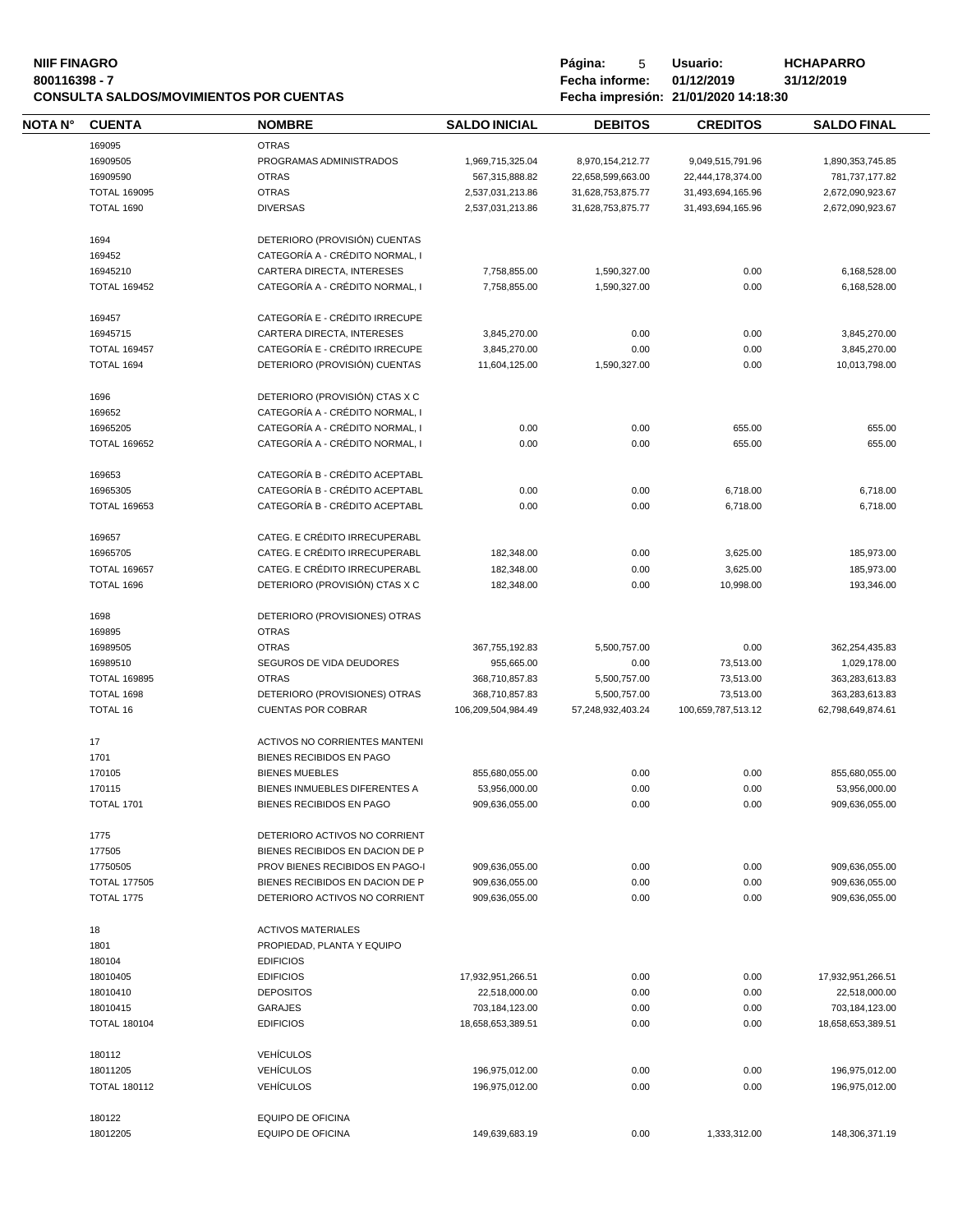# **NIIF FINAGRO P á g i n a :** 5 **U s u a r i o : HCHAPARRO CONSULTA SALDOS/MOVIMIENTOS POR CUENTAS Fecha impresión: 21/01/2020 14:18:30**

| NOTA N° | <b>CUENTA</b>       | <b>NOMBRE</b>                   | <b>SALDO INICIAL</b> | <b>DEBITOS</b>    | <b>CREDITOS</b>    | <b>SALDO FINAL</b> |
|---------|---------------------|---------------------------------|----------------------|-------------------|--------------------|--------------------|
|         | 169095              | <b>OTRAS</b>                    |                      |                   |                    |                    |
|         | 16909505            | PROGRAMAS ADMINISTRADOS         | 1,969,715,325.04     | 8,970,154,212.77  | 9,049,515,791.96   | 1,890,353,745.85   |
|         | 16909590            | <b>OTRAS</b>                    | 567,315,888.82       | 22,658,599,663.00 | 22,444,178,374.00  | 781,737,177.82     |
|         | <b>TOTAL 169095</b> | <b>OTRAS</b>                    | 2,537,031,213.86     | 31,628,753,875.77 | 31,493,694,165.96  | 2,672,090,923.67   |
|         |                     |                                 |                      |                   |                    |                    |
|         | <b>TOTAL 1690</b>   | <b>DIVERSAS</b>                 | 2,537,031,213.86     | 31,628,753,875.77 | 31,493,694,165.96  | 2,672,090,923.67   |
|         | 1694                | DETERIORO (PROVISIÓN) CUENTAS   |                      |                   |                    |                    |
|         | 169452              | CATEGORÍA A - CRÉDITO NORMAL, I |                      |                   |                    |                    |
|         | 16945210            | CARTERA DIRECTA, INTERESES      | 7,758,855.00         | 1,590,327.00      | 0.00               | 6,168,528.00       |
|         | <b>TOTAL 169452</b> | CATEGORÍA A - CRÉDITO NORMAL, I | 7,758,855.00         | 1,590,327.00      | 0.00               | 6,168,528.00       |
|         | 169457              | CATEGORÍA E - CRÉDITO IRRECUPE  |                      |                   |                    |                    |
|         |                     |                                 |                      |                   |                    |                    |
|         | 16945715            | CARTERA DIRECTA, INTERESES      | 3,845,270.00         | 0.00              | 0.00               | 3,845,270.00       |
|         | <b>TOTAL 169457</b> | CATEGORÍA E - CRÉDITO IRRECUPE  | 3,845,270.00         | 0.00              | 0.00               | 3,845,270.00       |
|         | TOTAL 1694          | DETERIORO (PROVISIÓN) CUENTAS   | 11,604,125.00        | 1,590,327.00      | 0.00               | 10,013,798.00      |
|         | 1696                | DETERIORO (PROVISIÓN) CTAS X C  |                      |                   |                    |                    |
|         | 169652              | CATEGORÍA A - CRÉDITO NORMAL, I |                      |                   |                    |                    |
|         | 16965205            | CATEGORÍA A - CRÉDITO NORMAL, I | 0.00                 | 0.00              | 655.00             | 655.00             |
|         | <b>TOTAL 169652</b> | CATEGORÍA A - CRÉDITO NORMAL, I | 0.00                 | 0.00              | 655.00             | 655.00             |
|         |                     |                                 |                      |                   |                    |                    |
|         | 169653              | CATEGORÍA B - CRÉDITO ACEPTABL  |                      |                   |                    |                    |
|         | 16965305            | CATEGORÍA B - CRÉDITO ACEPTABL  | 0.00                 | 0.00              | 6,718.00           | 6,718.00           |
|         | <b>TOTAL 169653</b> | CATEGORÍA B - CRÉDITO ACEPTABL  | 0.00                 | 0.00              | 6,718.00           | 6,718.00           |
|         | 169657              | CATEG. E CRÉDITO IRRECUPERABL   |                      |                   |                    |                    |
|         | 16965705            | CATEG. E CRÉDITO IRRECUPERABL   | 182,348.00           | 0.00              | 3,625.00           | 185,973.00         |
|         | <b>TOTAL 169657</b> | CATEG. E CRÉDITO IRRECUPERABL   |                      | 0.00              |                    |                    |
|         |                     |                                 | 182,348.00           |                   | 3,625.00           | 185,973.00         |
|         | TOTAL 1696          | DETERIORO (PROVISIÓN) CTAS X C  | 182,348.00           | 0.00              | 10,998.00          | 193,346.00         |
|         | 1698                | DETERIORO (PROVISIONES) OTRAS   |                      |                   |                    |                    |
|         | 169895              | <b>OTRAS</b>                    |                      |                   |                    |                    |
|         | 16989505            | <b>OTRAS</b>                    | 367,755,192.83       | 5,500,757.00      | 0.00               | 362,254,435.83     |
|         | 16989510            | SEGUROS DE VIDA DEUDORES        | 955,665.00           | 0.00              | 73,513.00          | 1,029,178.00       |
|         | <b>TOTAL 169895</b> | <b>OTRAS</b>                    | 368,710,857.83       | 5,500,757.00      | 73,513.00          | 363,283,613.83     |
|         | TOTAL 1698          | DETERIORO (PROVISIONES) OTRAS   | 368,710,857.83       | 5,500,757.00      | 73,513.00          | 363,283,613.83     |
|         | <b>TOTAL 16</b>     | <b>CUENTAS POR COBRAR</b>       | 106,209,504,984.49   | 57,248,932,403.24 | 100,659,787,513.12 | 62,798,649,874.61  |
|         |                     |                                 |                      |                   |                    |                    |
|         | 17                  | ACTIVOS NO CORRIENTES MANTENI   |                      |                   |                    |                    |
|         | 1701                | BIENES RECIBIDOS EN PAGO        |                      |                   |                    |                    |
|         | 170105              | <b>BIENES MUEBLES</b>           | 855,680,055.00       | 0.00              | 0.00               | 855,680,055.00     |
|         | 170115              | BIENES INMUEBLES DIFERENTES A   | 53,956,000.00        | 0.00              | 0.00               | 53,956,000.00      |
|         | TOTAL 1701          | BIENES RECIBIDOS EN PAGO        | 909,636,055.00       | 0.00              | 0.00               | 909,636,055.00     |
|         | 1775                | DETERIORO ACTIVOS NO CORRIENT   |                      |                   |                    |                    |
|         | 177505              | BIENES RECIBIDOS EN DACION DE P |                      |                   |                    |                    |
|         | 17750505            | PROV BIENES RECIBIDOS EN PAGO-I | 909,636,055.00       | 0.00              | 0.00               | 909,636,055.00     |
|         | <b>TOTAL 177505</b> | BIENES RECIBIDOS EN DACION DE P | 909,636,055.00       | 0.00              | 0.00               | 909,636,055.00     |
|         | <b>TOTAL 1775</b>   | DETERIORO ACTIVOS NO CORRIENT   | 909,636,055.00       | 0.00              | 0.00               | 909,636,055.00     |
|         |                     |                                 |                      |                   |                    |                    |
|         | 18                  | <b>ACTIVOS MATERIALES</b>       |                      |                   |                    |                    |
|         | 1801                | PROPIEDAD, PLANTA Y EQUIPO      |                      |                   |                    |                    |
|         | 180104              | <b>EDIFICIOS</b>                |                      |                   |                    |                    |
|         | 18010405            | <b>EDIFICIOS</b>                | 17,932,951,266.51    | 0.00              | 0.00               | 17,932,951,266.51  |
|         | 18010410            | <b>DEPOSITOS</b>                | 22,518,000.00        | 0.00              | 0.00               | 22,518,000.00      |
|         | 18010415            | <b>GARAJES</b>                  | 703,184,123.00       | 0.00              | 0.00               | 703,184,123.00     |
|         | <b>TOTAL 180104</b> | <b>EDIFICIOS</b>                | 18,658,653,389.51    | 0.00              | 0.00               | 18,658,653,389.51  |
|         |                     |                                 |                      |                   |                    |                    |
|         | 180112              | <b>VEHÍCULOS</b>                |                      |                   |                    |                    |
|         | 18011205            | <b>VEHÍCULOS</b>                | 196,975,012.00       | 0.00              | 0.00               | 196,975,012.00     |
|         | <b>TOTAL 180112</b> | <b>VEHÍCULOS</b>                | 196,975,012.00       | 0.00              | 0.00               | 196,975,012.00     |
|         | 180122              | EQUIPO DE OFICINA               |                      |                   |                    |                    |
|         | 18012205            | <b>EQUIPO DE OFICINA</b>        | 149,639,683.19       | 0.00              | 1,333,312.00       | 148,306,371.19     |
|         |                     |                                 |                      |                   |                    |                    |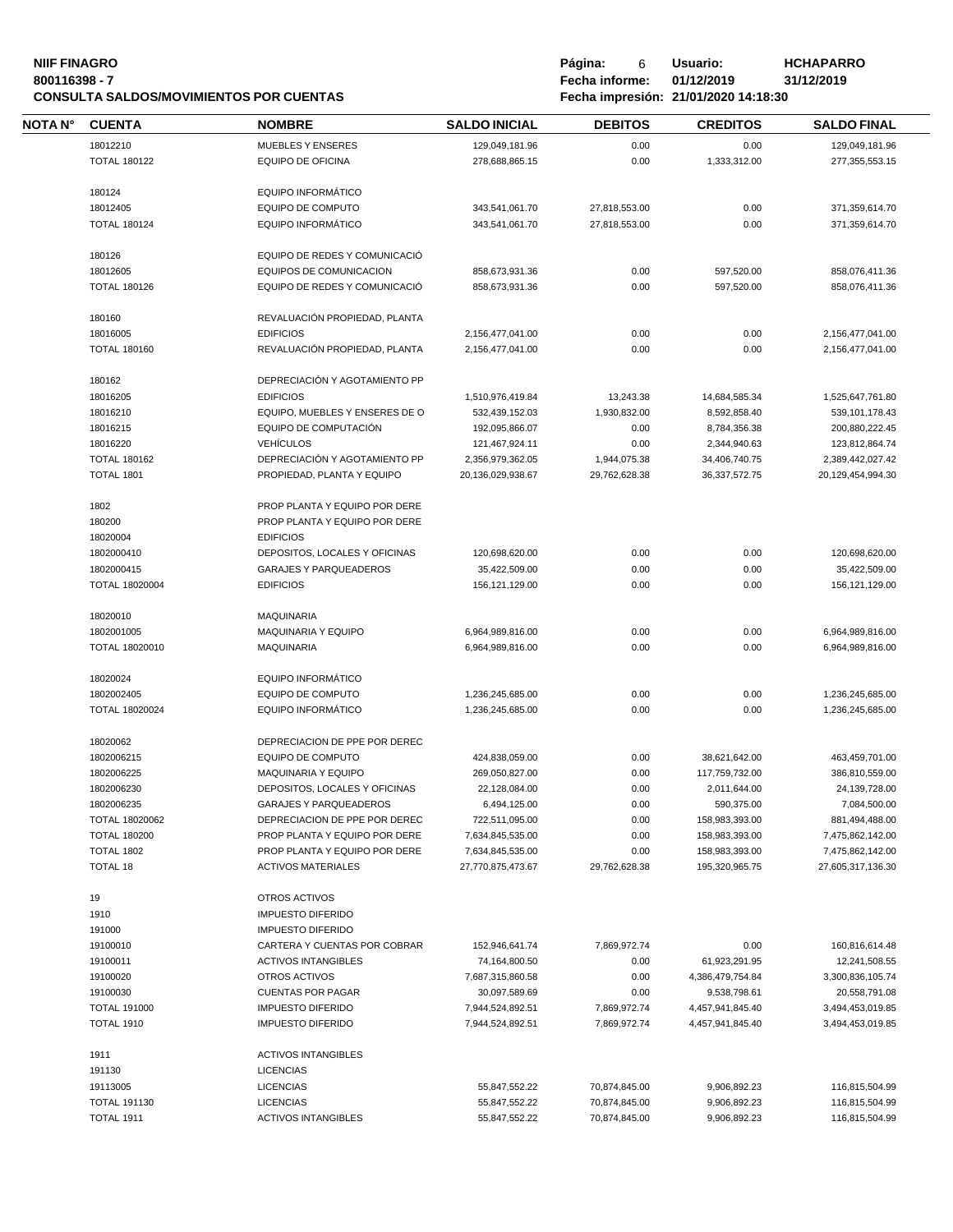# **NIIF FINAGRO P á g i n a :** 6 **U s u a r i o : HCHAPARRO CONSULTA SALDOS/MOVIMIENTOS POR CUENTAS Fecha impresión: 21/01/2020 14:18:30**

| NOTA N° | <b>CUENTA</b>                         | <b>NOMBRE</b>                                                  | <b>SALDO INICIAL</b>               | <b>DEBITOS</b> | <b>CREDITOS</b>                  | <b>SALDO FINAL</b>                   |
|---------|---------------------------------------|----------------------------------------------------------------|------------------------------------|----------------|----------------------------------|--------------------------------------|
|         | 18012210                              | <b>MUEBLES Y ENSERES</b>                                       | 129,049,181.96                     | 0.00           | 0.00                             | 129,049,181.96                       |
|         | <b>TOTAL 180122</b>                   | EQUIPO DE OFICINA                                              | 278,688,865.15                     | 0.00           | 1,333,312.00                     | 277,355,553.15                       |
|         |                                       |                                                                |                                    |                |                                  |                                      |
|         | 180124                                | <b>EQUIPO INFORMÁTICO</b>                                      |                                    |                |                                  |                                      |
|         | 18012405                              | <b>EQUIPO DE COMPUTO</b>                                       | 343,541,061.70                     | 27,818,553.00  | 0.00                             | 371,359,614.70                       |
|         | <b>TOTAL 180124</b>                   | <b>EQUIPO INFORMÁTICO</b>                                      | 343,541,061.70                     | 27,818,553.00  | 0.00                             | 371,359,614.70                       |
|         | 180126                                | EQUIPO DE REDES Y COMUNICACIÓ                                  |                                    |                |                                  |                                      |
|         | 18012605                              | EQUIPOS DE COMUNICACION                                        | 858,673,931.36                     | 0.00           | 597,520.00                       | 858,076,411.36                       |
|         | <b>TOTAL 180126</b>                   | EQUIPO DE REDES Y COMUNICACIÓ                                  | 858,673,931.36                     | 0.00           | 597,520.00                       | 858,076,411.36                       |
|         |                                       |                                                                |                                    |                |                                  |                                      |
|         | 180160                                | REVALUACIÓN PROPIEDAD, PLANTA                                  |                                    |                |                                  |                                      |
|         | 18016005                              | <b>EDIFICIOS</b>                                               | 2,156,477,041.00                   | 0.00           | 0.00                             | 2,156,477,041.00                     |
|         | <b>TOTAL 180160</b>                   | REVALUACIÓN PROPIEDAD, PLANTA                                  | 2,156,477,041.00                   | 0.00           | 0.00                             | 2,156,477,041.00                     |
|         | 180162                                | DEPRECIACIÓN Y AGOTAMIENTO PP                                  |                                    |                |                                  |                                      |
|         | 18016205                              | <b>EDIFICIOS</b>                                               | 1,510,976,419.84                   | 13,243.38      | 14,684,585.34                    | 1,525,647,761.80                     |
|         | 18016210                              | EQUIPO, MUEBLES Y ENSERES DE O                                 | 532.439.152.03                     | 1,930,832.00   | 8,592,858.40                     | 539,101,178.43                       |
|         | 18016215                              | EQUIPO DE COMPUTACIÓN                                          | 192,095,866.07                     | 0.00           | 8,784,356.38                     | 200,880,222.45                       |
|         | 18016220                              | <b>VEHÍCULOS</b>                                               | 121,467,924.11                     | 0.00           | 2,344,940.63                     | 123,812,864.74                       |
|         | <b>TOTAL 180162</b>                   | DEPRECIACIÓN Y AGOTAMIENTO PP                                  | 2,356,979,362.05                   | 1,944,075.38   | 34,406,740.75                    | 2,389,442,027.42                     |
|         | TOTAL 1801                            | PROPIEDAD, PLANTA Y EQUIPO                                     | 20,136,029,938.67                  | 29,762,628.38  | 36,337,572.75                    | 20,129,454,994.30                    |
|         |                                       |                                                                |                                    |                |                                  |                                      |
|         | 1802                                  | PROP PLANTA Y EQUIPO POR DERE                                  |                                    |                |                                  |                                      |
|         | 180200                                | PROP PLANTA Y EQUIPO POR DERE                                  |                                    |                |                                  |                                      |
|         | 18020004                              | <b>EDIFICIOS</b>                                               |                                    |                |                                  |                                      |
|         | 1802000410                            | DEPOSITOS, LOCALES Y OFICINAS                                  | 120,698,620.00                     | 0.00           | 0.00                             | 120,698,620.00                       |
|         | 1802000415                            | <b>GARAJES Y PARQUEADEROS</b>                                  | 35,422,509.00                      | 0.00           | 0.00                             | 35,422,509.00                        |
|         | <b>TOTAL 18020004</b>                 | <b>EDIFICIOS</b>                                               | 156,121,129.00                     | 0.00           | 0.00                             | 156,121,129.00                       |
|         | 18020010                              | <b>MAQUINARIA</b>                                              |                                    |                |                                  |                                      |
|         | 1802001005                            | MAQUINARIA Y EQUIPO                                            | 6,964,989,816.00                   | 0.00           | 0.00                             | 6,964,989,816.00                     |
|         | TOTAL 18020010                        | <b>MAQUINARIA</b>                                              | 6,964,989,816.00                   | 0.00           | 0.00                             | 6,964,989,816.00                     |
|         |                                       |                                                                |                                    |                |                                  |                                      |
|         | 18020024                              | <b>EQUIPO INFORMÁTICO</b>                                      |                                    |                |                                  |                                      |
|         | 1802002405                            | <b>EQUIPO DE COMPUTO</b>                                       | 1,236,245,685.00                   | 0.00           | 0.00                             | 1,236,245,685.00                     |
|         | TOTAL 18020024                        | <b>EQUIPO INFORMÁTICO</b>                                      | 1,236,245,685.00                   | 0.00           | 0.00                             | 1,236,245,685.00                     |
|         |                                       |                                                                |                                    |                |                                  |                                      |
|         | 18020062                              | DEPRECIACION DE PPE POR DEREC                                  |                                    |                |                                  |                                      |
|         | 1802006215                            | <b>EQUIPO DE COMPUTO</b>                                       | 424,838,059.00                     | 0.00           | 38,621,642.00                    | 463,459,701.00                       |
|         | 1802006225                            | <b>MAQUINARIA Y EQUIPO</b>                                     | 269,050,827.00                     | 0.00           | 117,759,732.00                   | 386,810,559.00                       |
|         | 1802006230                            | DEPOSITOS, LOCALES Y OFICINAS                                  | 22,128,084.00                      | 0.00           | 2,011,644.00                     | 24,139,728.00                        |
|         | 1802006235                            | <b>GARAJES Y PARQUEADEROS</b>                                  | 6,494,125.00                       | 0.00           | 590,375.00                       | 7,084,500.00                         |
|         | TOTAL 18020062<br><b>TOTAL 180200</b> | DEPRECIACION DE PPE POR DEREC<br>PROP PLANTA Y EQUIPO POR DERE | 722,511,095.00<br>7,634,845,535.00 | 0.00<br>0.00   | 158,983,393.00                   | 881,494,488.00                       |
|         | <b>TOTAL 1802</b>                     | PROP PLANTA Y EQUIPO POR DERE                                  | 7,634,845,535.00                   | 0.00           | 158,983,393.00<br>158,983,393.00 | 7,475,862,142.00<br>7,475,862,142.00 |
|         | TOTAL 18                              | <b>ACTIVOS MATERIALES</b>                                      | 27,770,875,473.67                  | 29,762,628.38  | 195,320,965.75                   | 27,605,317,136.30                    |
|         |                                       |                                                                |                                    |                |                                  |                                      |
|         | 19                                    | OTROS ACTIVOS                                                  |                                    |                |                                  |                                      |
|         | 1910                                  | <b>IMPUESTO DIFERIDO</b>                                       |                                    |                |                                  |                                      |
|         | 191000                                | <b>IMPUESTO DIFERIDO</b>                                       |                                    |                |                                  |                                      |
|         | 19100010                              | CARTERA Y CUENTAS POR COBRAR                                   | 152,946,641.74                     | 7,869,972.74   | 0.00                             | 160,816,614.48                       |
|         | 19100011                              | <b>ACTIVOS INTANGIBLES</b>                                     | 74,164,800.50                      | 0.00           | 61,923,291.95                    | 12,241,508.55                        |
|         | 19100020                              | OTROS ACTIVOS                                                  | 7,687,315,860.58                   | 0.00           | 4,386,479,754.84                 | 3,300,836,105.74                     |
|         | 19100030                              | <b>CUENTAS POR PAGAR</b>                                       | 30,097,589.69                      | 0.00           | 9,538,798.61                     | 20,558,791.08                        |
|         | <b>TOTAL 191000</b>                   | <b>IMPUESTO DIFERIDO</b>                                       | 7,944,524,892.51                   | 7,869,972.74   | 4,457,941,845.40                 | 3,494,453,019.85                     |
|         | <b>TOTAL 1910</b>                     | <b>IMPUESTO DIFERIDO</b>                                       | 7,944,524,892.51                   | 7,869,972.74   | 4,457,941,845.40                 | 3,494,453,019.85                     |
|         |                                       |                                                                |                                    |                |                                  |                                      |
|         | 1911                                  | <b>ACTIVOS INTANGIBLES</b>                                     |                                    |                |                                  |                                      |
|         | 191130                                | <b>LICENCIAS</b>                                               |                                    |                |                                  |                                      |
|         | 19113005                              | <b>LICENCIAS</b>                                               | 55,847,552.22                      | 70,874,845.00  | 9,906,892.23                     | 116,815,504.99                       |
|         | <b>TOTAL 191130</b>                   | <b>LICENCIAS</b>                                               | 55,847,552.22                      | 70,874,845.00  | 9,906,892.23                     | 116,815,504.99                       |
|         | TOTAL 1911                            | <b>ACTIVOS INTANGIBLES</b>                                     | 55,847,552.22                      | 70,874,845.00  | 9,906,892.23                     | 116,815,504.99                       |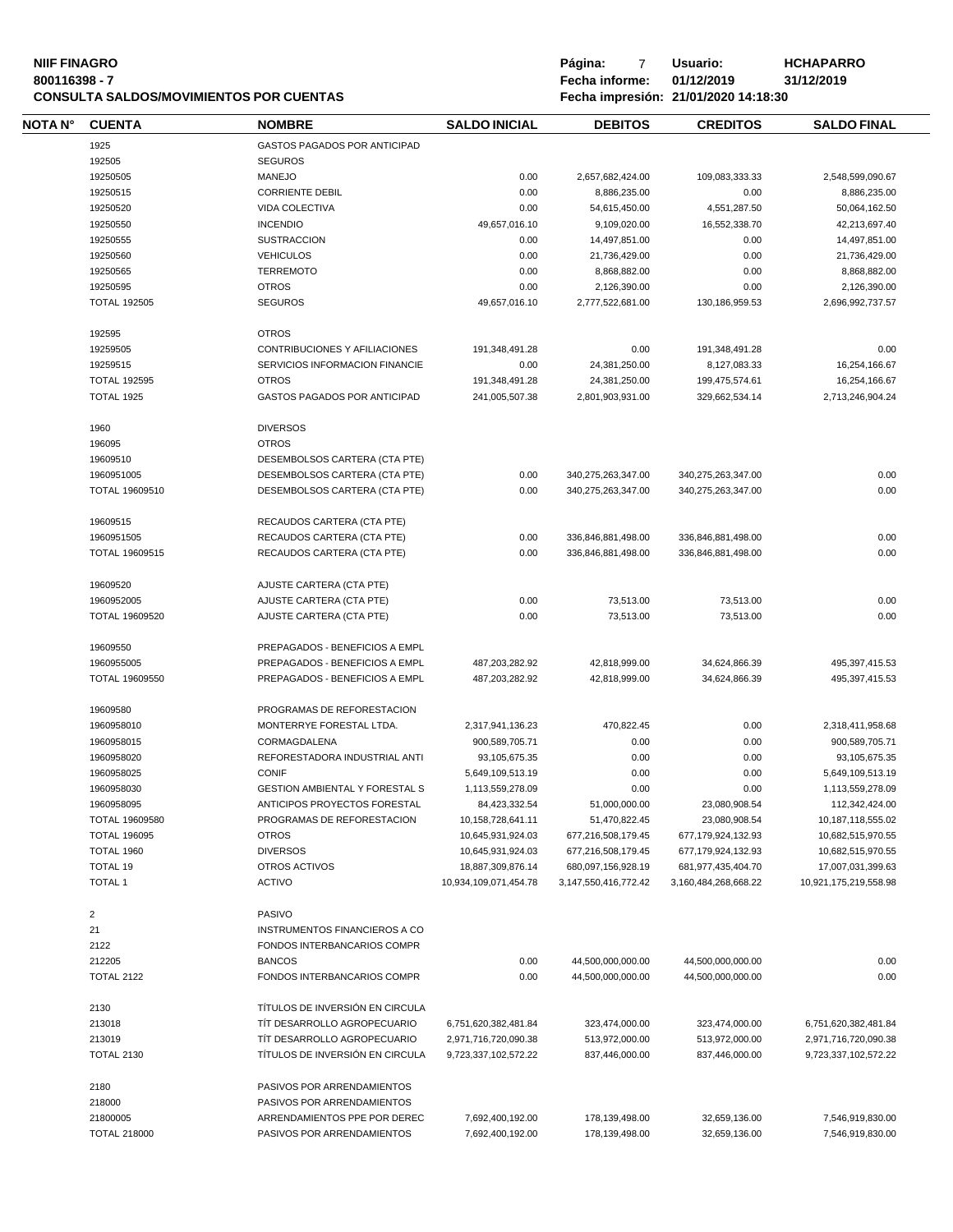| <b>NIIF FINAGRO</b><br>800116398 - 7 |                     |                                                |                       | Página:<br>7<br>Fecha informe: | Usuario:<br>01/12/2019               | <b>HCHAPARRO</b><br>31/12/2019 |
|--------------------------------------|---------------------|------------------------------------------------|-----------------------|--------------------------------|--------------------------------------|--------------------------------|
|                                      |                     | <b>CONSULTA SALDOS/MOVIMIENTOS POR CUENTAS</b> |                       |                                | Fecha impresión: 21/01/2020 14:18:30 |                                |
| NOTA N°                              | <b>CUENTA</b>       | <b>NOMBRE</b>                                  | <b>SALDO INICIAL</b>  | <b>DEBITOS</b>                 | <b>CREDITOS</b>                      | <b>SALDO FINAL</b>             |
|                                      | 1925                | GASTOS PAGADOS POR ANTICIPAD                   |                       |                                |                                      |                                |
|                                      | 192505              | <b>SEGUROS</b>                                 |                       |                                |                                      |                                |
|                                      | 19250505            | <b>MANEJO</b>                                  | 0.00                  | 2,657,682,424.00               | 109,083,333.33                       | 2,548,599,090.67               |
|                                      | 19250515            | <b>CORRIENTE DEBIL</b>                         | 0.00                  | 8,886,235.00                   | 0.00                                 | 8,886,235.00                   |
|                                      | 19250520            | VIDA COLECTIVA                                 | 0.00                  | 54,615,450.00                  | 4,551,287.50                         | 50,064,162.50                  |
|                                      |                     |                                                |                       |                                |                                      |                                |
|                                      | 19250550            | <b>INCENDIO</b>                                | 49,657,016.10         | 9,109,020.00                   | 16,552,338.70                        | 42,213,697.40                  |
|                                      | 19250555            | <b>SUSTRACCION</b>                             | 0.00                  | 14,497,851.00                  | 0.00                                 | 14,497,851.00                  |
|                                      | 19250560            | <b>VEHICULOS</b>                               | 0.00                  | 21,736,429.00                  | 0.00                                 | 21,736,429.00                  |
|                                      | 19250565            | <b>TERREMOTO</b>                               | 0.00                  | 8,868,882.00                   | 0.00                                 | 8,868,882.00                   |
|                                      | 19250595            | <b>OTROS</b>                                   | 0.00                  | 2,126,390.00                   | 0.00                                 | 2,126,390.00                   |
|                                      | <b>TOTAL 192505</b> | <b>SEGUROS</b>                                 | 49,657,016.10         | 2,777,522,681.00               | 130,186,959.53                       | 2,696,992,737.57               |
|                                      | 192595              | <b>OTROS</b>                                   |                       |                                |                                      |                                |
|                                      | 19259505            | CONTRIBUCIONES Y AFILIACIONES                  | 191,348,491.28        | 0.00                           | 191,348,491.28                       | 0.00                           |
|                                      | 19259515            | SERVICIOS INFORMACION FINANCIE                 | 0.00                  | 24,381,250.00                  | 8,127,083.33                         | 16,254,166.67                  |
|                                      |                     |                                                |                       |                                |                                      |                                |
|                                      | <b>TOTAL 192595</b> | <b>OTROS</b>                                   | 191,348,491.28        | 24,381,250.00                  | 199,475,574.61                       | 16,254,166.67                  |
|                                      | TOTAL 1925          | GASTOS PAGADOS POR ANTICIPAD                   | 241,005,507.38        | 2,801,903,931.00               | 329,662,534.14                       | 2,713,246,904.24               |
|                                      | 1960                | <b>DIVERSOS</b>                                |                       |                                |                                      |                                |
|                                      | 196095              | <b>OTROS</b>                                   |                       |                                |                                      |                                |
|                                      | 19609510            | DESEMBOLSOS CARTERA (CTA PTE)                  |                       |                                |                                      |                                |
|                                      | 1960951005          | DESEMBOLSOS CARTERA (CTA PTE)                  | 0.00                  | 340,275,263,347.00             | 340,275,263,347.00                   | 0.00                           |
|                                      | TOTAL 19609510      | DESEMBOLSOS CARTERA (CTA PTE)                  | 0.00                  | 340,275,263,347.00             | 340,275,263,347.00                   | 0.00                           |
|                                      | 19609515            | RECAUDOS CARTERA (CTA PTE)                     |                       |                                |                                      |                                |
|                                      | 1960951505          | RECAUDOS CARTERA (CTA PTE)                     | 0.00                  | 336,846,881,498.00             | 336,846,881,498.00                   | 0.00                           |
|                                      | TOTAL 19609515      | RECAUDOS CARTERA (CTA PTE)                     | 0.00                  | 336,846,881,498.00             | 336,846,881,498.00                   | 0.00                           |
|                                      | 19609520            | AJUSTE CARTERA (CTA PTE)                       |                       |                                |                                      |                                |
|                                      | 1960952005          | AJUSTE CARTERA (CTA PTE)                       | 0.00                  | 73,513.00                      | 73,513.00                            | 0.00                           |
|                                      |                     |                                                |                       |                                |                                      |                                |
|                                      | TOTAL 19609520      | AJUSTE CARTERA (CTA PTE)                       | 0.00                  | 73,513.00                      | 73,513.00                            | 0.00                           |
|                                      | 19609550            | PREPAGADOS - BENEFICIOS A EMPL                 |                       |                                |                                      |                                |
|                                      | 1960955005          | PREPAGADOS - BENEFICIOS A EMPL                 | 487,203,282.92        | 42,818,999.00                  | 34,624,866.39                        | 495,397,415.53                 |
|                                      | TOTAL 19609550      | PREPAGADOS - BENEFICIOS A EMPL                 | 487,203,282.92        | 42,818,999.00                  | 34,624,866.39                        | 495,397,415.53                 |
|                                      | 19609580            | PROGRAMAS DE REFORESTACION                     |                       |                                |                                      |                                |
|                                      | 1960958010          | MONTERRYE FORESTAL LTDA.                       | 2,317,941,136.23      | 470,822.45                     | 0.00                                 | 2,318,411,958.68               |
|                                      | 1960958015          | CORMAGDALENA                                   | 900,589,705.71        | 0.00                           | 0.00                                 | 900,589,705.71                 |
|                                      | 1960958020          | REFORESTADORA INDUSTRIAL ANTI                  | 93,105,675.35         | 0.00                           | 0.00                                 | 93,105,675.35                  |
|                                      | 1960958025          | <b>CONIF</b>                                   |                       | 0.00                           | 0.00                                 |                                |
|                                      |                     |                                                | 5,649,109,513.19      |                                |                                      | 5,649,109,513.19               |
|                                      | 1960958030          | <b>GESTION AMBIENTAL Y FORESTAL S</b>          | 1,113,559,278.09      | 0.00                           | 0.00                                 | 1,113,559,278.09               |
|                                      | 1960958095          | ANTICIPOS PROYECTOS FORESTAL                   | 84,423,332.54         | 51,000,000.00                  | 23,080,908.54                        | 112,342,424.00                 |
|                                      | TOTAL 19609580      | PROGRAMAS DE REFORESTACION                     | 10,158,728,641.11     | 51,470,822.45                  | 23,080,908.54                        | 10,187,118,555.02              |
|                                      | <b>TOTAL 196095</b> | <b>OTROS</b>                                   | 10,645,931,924.03     | 677,216,508,179.45             | 677, 179, 924, 132. 93               | 10,682,515,970.55              |
|                                      | TOTAL 1960          | <b>DIVERSOS</b>                                | 10,645,931,924.03     | 677,216,508,179.45             | 677,179,924,132.93                   | 10,682,515,970.55              |
|                                      | <b>TOTAL 19</b>     | OTROS ACTIVOS                                  | 18,887,309,876.14     | 680,097,156,928.19             | 681,977,435,404.70                   | 17,007,031,399.63              |
|                                      | <b>TOTAL 1</b>      | <b>ACTIVO</b>                                  | 10,934,109,071,454.78 | 3,147,550,416,772.42           | 3,160,484,268,668.22                 | 10,921,175,219,558.98          |
|                                      | $\overline{2}$      | <b>PASIVO</b>                                  |                       |                                |                                      |                                |
|                                      | 21                  | <b>INSTRUMENTOS FINANCIEROS A CO</b>           |                       |                                |                                      |                                |
|                                      |                     |                                                |                       |                                |                                      |                                |
|                                      | 2122                | FONDOS INTERBANCARIOS COMPR                    |                       |                                |                                      |                                |
|                                      | 212205              | <b>BANCOS</b>                                  | 0.00                  | 44,500,000,000.00              | 44,500,000,000.00                    | 0.00                           |
|                                      | <b>TOTAL 2122</b>   | FONDOS INTERBANCARIOS COMPR                    | 0.00                  | 44,500,000,000.00              | 44,500,000,000.00                    | 0.00                           |
|                                      | 2130                | TÍTULOS DE INVERSIÓN EN CIRCULA                |                       |                                |                                      |                                |
|                                      | 213018              | TIT DESARROLLO AGROPECUARIO                    | 6,751,620,382,481.84  | 323,474,000.00                 | 323,474,000.00                       | 6,751,620,382,481.84           |
|                                      | 213019              | TIT DESARROLLO AGROPECUARIO                    | 2,971,716,720,090.38  | 513,972,000.00                 | 513,972,000.00                       | 2,971,716,720,090.38           |
|                                      | <b>TOTAL 2130</b>   | TÍTULOS DE INVERSIÓN EN CIRCULA                | 9,723,337,102,572.22  | 837,446,000.00                 | 837,446,000.00                       | 9,723,337,102,572.22           |
|                                      | 2180                | PASIVOS POR ARRENDAMIENTOS                     |                       |                                |                                      |                                |
|                                      | 218000              | PASIVOS POR ARRENDAMIENTOS                     |                       |                                |                                      |                                |
|                                      |                     |                                                |                       |                                |                                      |                                |
|                                      | 21800005            | ARRENDAMIENTOS PPE POR DEREC                   | 7,692,400,192.00      | 178,139,498.00                 | 32,659,136.00                        | 7,546,919,830.00               |
|                                      | <b>TOTAL 218000</b> | PASIVOS POR ARRENDAMIENTOS                     | 7,692,400,192.00      | 178,139,498.00                 | 32,659,136.00                        | 7,546,919,830.00               |

 $\equiv$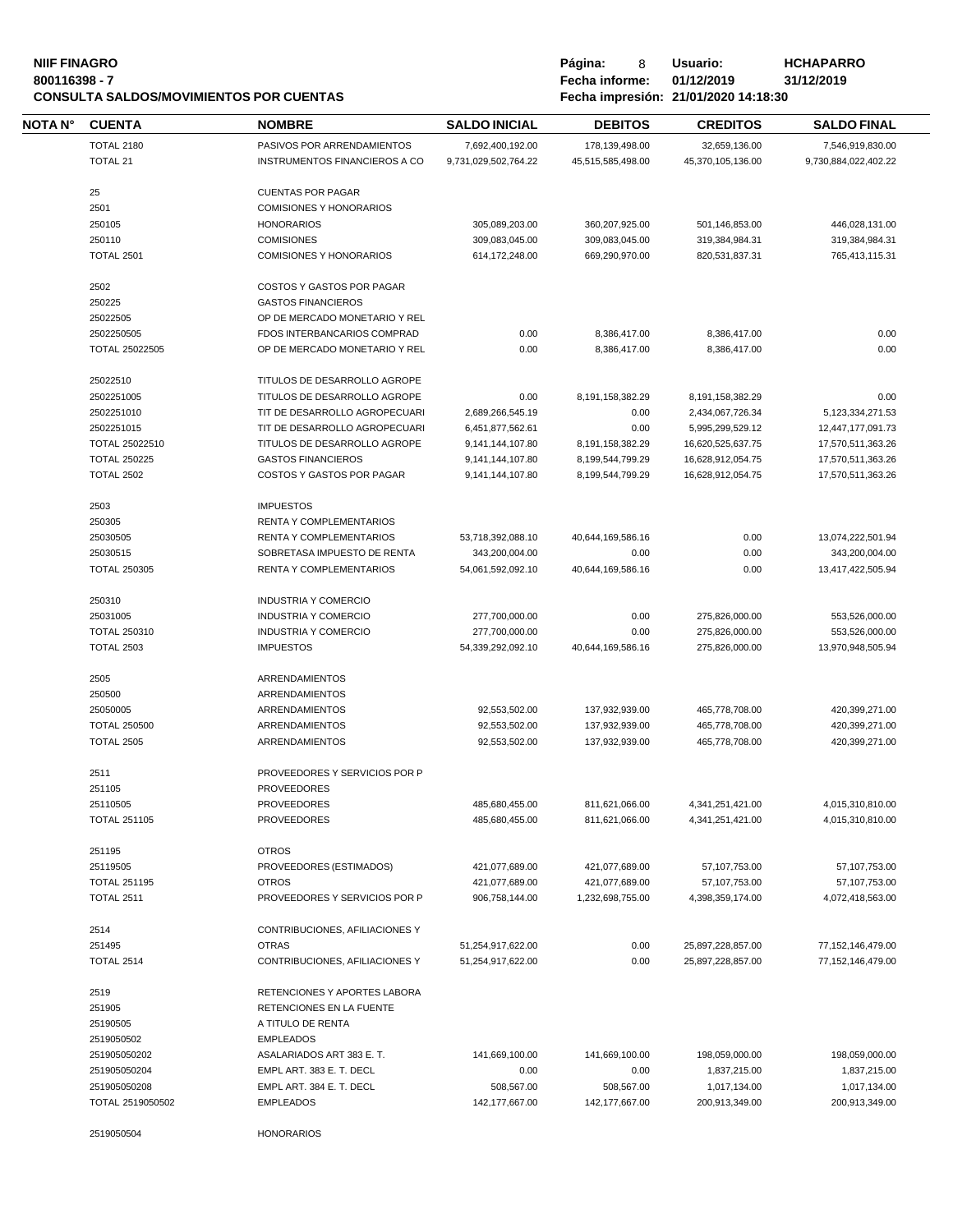#### **NIIF FINAGRO P á g i n a :** 8 **U s u a r i o : HCHAPARRO** 800116398 - 7<br> **800116398 - 7 Fecha informe:** 01/12/2019<br> **CONSULTA SALDOS/MOVIMIENTOS POR CUENTAS**<br> **18:30 Fecha impresión: 21/01/2020 14:18:30 CONSULTA SALDOS/MOVIMIENTOS POR CUENTAS Fecha impresión: 21/01/2020 14:18:30**

| Página: | 8                                   | Usuario:    |
|---------|-------------------------------------|-------------|
|         | Fecha informe:                      | 01/12/2019  |
|         | The sale of the company of the sale | 0.410410000 |

| CONSULTA SALDOS/MOVIMIENTOS POR CUENTAS |                   |                            | Fecha impresion: 21/01/2020 14:18:30 |                |                 |                    |  |
|-----------------------------------------|-------------------|----------------------------|--------------------------------------|----------------|-----------------|--------------------|--|
| NOTA N°                                 | <b>CUENTA</b>     | <b>NOMBRE</b>              | <b>SALDO INICIAL</b>                 | <b>DEBITOS</b> | <b>CREDITOS</b> | <b>SALDO FINAL</b> |  |
|                                         | <b>TOTAL 2180</b> | PASIVOS POR ARRENDAMIENTOS | 7.692.400.192.00                     | 178.139.498.00 | 32.659.136.00   | 7,546,919,830.00   |  |

| <b>TOTAL 2180</b><br><b>TOTAL 21</b> | PASIVOS POR ARRENDAMIENTOS<br>INSTRUMENTOS FINANCIEROS A CO | 7,692,400,192.00<br>9,731,029,502,764.22 | 178,139,498.00<br>45,515,585,498.00 | 32,659,136.00<br>45,370,105,136.00 | 7,546,919,830.00<br>9,730,884,022,402.22 |
|--------------------------------------|-------------------------------------------------------------|------------------------------------------|-------------------------------------|------------------------------------|------------------------------------------|
|                                      |                                                             |                                          |                                     |                                    |                                          |
| 25                                   | <b>CUENTAS POR PAGAR</b>                                    |                                          |                                     |                                    |                                          |
| 2501                                 | <b>COMISIONES Y HONORARIOS</b>                              |                                          |                                     |                                    |                                          |
| 250105                               | <b>HONORARIOS</b>                                           | 305,089,203.00                           | 360,207,925.00                      | 501,146,853.00                     | 446,028,131.00                           |
| 250110                               | <b>COMISIONES</b>                                           | 309,083,045.00                           | 309,083,045.00                      | 319,384,984.31                     | 319,384,984.31                           |
| <b>TOTAL 2501</b>                    | <b>COMISIONES Y HONORARIOS</b>                              | 614, 172, 248.00                         | 669,290,970.00                      | 820,531,837.31                     | 765,413,115.31                           |
| 2502                                 | COSTOS Y GASTOS POR PAGAR                                   |                                          |                                     |                                    |                                          |
| 250225                               | <b>GASTOS FINANCIEROS</b>                                   |                                          |                                     |                                    |                                          |
| 25022505                             | OP DE MERCADO MONETARIO Y REL                               |                                          |                                     |                                    |                                          |
| 2502250505                           | FDOS INTERBANCARIOS COMPRAD                                 | 0.00                                     | 8,386,417.00                        | 8,386,417.00                       | 0.00                                     |
| TOTAL 25022505                       | OP DE MERCADO MONETARIO Y REL                               | 0.00                                     | 8,386,417.00                        | 8,386,417.00                       | 0.00                                     |
|                                      |                                                             |                                          |                                     |                                    |                                          |
| 25022510                             | TITULOS DE DESARROLLO AGROPE                                |                                          |                                     |                                    |                                          |
| 2502251005                           | TITULOS DE DESARROLLO AGROPE                                | 0.00                                     | 8,191,158,382.29                    | 8,191,158,382.29                   | 0.00                                     |
| 2502251010                           | TIT DE DESARROLLO AGROPECUARI                               | 2,689,266,545.19                         | 0.00                                | 2,434,067,726.34                   | 5,123,334,271.53                         |
| 2502251015                           | TIT DE DESARROLLO AGROPECUARI                               | 6,451,877,562.61                         | 0.00                                | 5,995,299,529.12                   | 12,447,177,091.73                        |
| TOTAL 25022510                       | TITULOS DE DESARROLLO AGROPE                                | 9,141,144,107.80                         | 8,191,158,382.29                    | 16,620,525,637.75                  | 17,570,511,363.26                        |
| <b>TOTAL 250225</b>                  | <b>GASTOS FINANCIEROS</b>                                   | 9,141,144,107.80                         | 8,199,544,799.29                    | 16,628,912,054.75                  | 17,570,511,363.26                        |
| <b>TOTAL 2502</b>                    | COSTOS Y GASTOS POR PAGAR                                   | 9,141,144,107.80                         | 8,199,544,799.29                    | 16,628,912,054.75                  | 17,570,511,363.26                        |
|                                      |                                                             |                                          |                                     |                                    |                                          |
| 2503                                 | <b>IMPUESTOS</b>                                            |                                          |                                     |                                    |                                          |
| 250305                               | RENTA Y COMPLEMENTARIOS                                     |                                          |                                     |                                    |                                          |
| 25030505                             | RENTA Y COMPLEMENTARIOS                                     | 53,718,392,088.10                        | 40,644,169,586.16                   | 0.00                               | 13,074,222,501.94                        |
| 25030515                             | SOBRETASA IMPUESTO DE RENTA                                 | 343.200.004.00                           | 0.00                                | 0.00                               | 343,200,004.00                           |
| <b>TOTAL 250305</b>                  | <b>RENTA Y COMPLEMENTARIOS</b>                              | 54,061,592,092.10                        | 40,644,169,586.16                   | 0.00                               | 13,417,422,505.94                        |
|                                      |                                                             |                                          |                                     |                                    |                                          |
| 250310                               | <b>INDUSTRIA Y COMERCIO</b>                                 |                                          |                                     |                                    |                                          |
| 25031005                             | <b>INDUSTRIA Y COMERCIO</b>                                 | 277,700,000.00                           | 0.00                                | 275,826,000.00                     | 553,526,000.00                           |
| <b>TOTAL 250310</b>                  | <b>INDUSTRIA Y COMERCIO</b>                                 | 277,700,000.00                           | 0.00                                | 275,826,000.00                     | 553,526,000.00                           |
| <b>TOTAL 2503</b>                    | <b>IMPUESTOS</b>                                            | 54,339,292,092.10                        | 40,644,169,586.16                   | 275,826,000.00                     | 13,970,948,505.94                        |
| 2505                                 | <b>ARRENDAMIENTOS</b>                                       |                                          |                                     |                                    |                                          |
| 250500                               | ARRENDAMIENTOS                                              |                                          |                                     |                                    |                                          |
| 25050005                             | <b>ARRENDAMIENTOS</b>                                       | 92,553,502.00                            | 137,932,939.00                      | 465,778,708.00                     | 420,399,271.00                           |
| <b>TOTAL 250500</b>                  | <b>ARRENDAMIENTOS</b>                                       | 92,553,502.00                            | 137,932,939.00                      | 465,778,708.00                     | 420,399,271.00                           |
| <b>TOTAL 2505</b>                    | ARRENDAMIENTOS                                              | 92,553,502.00                            | 137,932,939.00                      | 465,778,708.00                     | 420,399,271.00                           |
|                                      |                                                             |                                          |                                     |                                    |                                          |
| 2511                                 | PROVEEDORES Y SERVICIOS POR P                               |                                          |                                     |                                    |                                          |
| 251105                               | <b>PROVEEDORES</b>                                          |                                          |                                     |                                    |                                          |
| 25110505                             | <b>PROVEEDORES</b>                                          | 485,680,455.00                           | 811,621,066.00                      | 4,341,251,421.00                   | 4,015,310,810.00                         |
| <b>TOTAL 251105</b>                  | <b>PROVEEDORES</b>                                          | 485,680,455.00                           | 811,621,066.00                      | 4,341,251,421.00                   | 4.015.310.810.00                         |
|                                      |                                                             |                                          |                                     |                                    |                                          |
| 251195                               | <b>OTROS</b>                                                |                                          |                                     |                                    |                                          |
| 25119505                             | PROVEEDORES (ESTIMADOS)                                     | 421,077,689.00                           | 421,077,689.00                      | 57,107,753.00                      | 57,107,753.00                            |
| <b>TOTAL 251195</b>                  | <b>OTROS</b>                                                | 421,077,689.00                           | 421,077,689.00                      | 57,107,753.00                      | 57,107,753.00                            |
| <b>TOTAL 2511</b>                    | PROVEEDORES Y SERVICIOS POR P                               | 906,758,144.00                           | 1,232,698,755.00                    | 4,398,359,174.00                   | 4,072,418,563.00                         |
| 2514                                 | CONTRIBUCIONES, AFILIACIONES Y                              |                                          |                                     |                                    |                                          |
| 251495                               | <b>OTRAS</b>                                                | 51,254,917,622.00                        | 0.00                                | 25,897,228,857.00                  | 77,152,146,479.00                        |
| <b>TOTAL 2514</b>                    | CONTRIBUCIONES, AFILIACIONES Y                              | 51,254,917,622.00                        | 0.00                                | 25,897,228,857.00                  | 77,152,146,479.00                        |
|                                      |                                                             |                                          |                                     |                                    |                                          |
| 2519                                 | RETENCIONES Y APORTES LABORA                                |                                          |                                     |                                    |                                          |
| 251905                               | RETENCIONES EN LA FUENTE                                    |                                          |                                     |                                    |                                          |
| 25190505                             | A TITULO DE RENTA                                           |                                          |                                     |                                    |                                          |
| 2519050502                           | <b>EMPLEADOS</b>                                            |                                          |                                     |                                    |                                          |
| 251905050202                         | ASALARIADOS ART 383 E.T.                                    | 141,669,100.00                           | 141,669,100.00                      | 198,059,000.00                     | 198,059,000.00                           |
| 251905050204                         | EMPL ART. 383 E. T. DECL                                    | 0.00                                     | 0.00                                | 1,837,215.00                       | 1,837,215.00                             |
| 251905050208                         | EMPL ART. 384 E. T. DECL                                    | 508,567.00                               | 508,567.00                          | 1,017,134.00                       | 1,017,134.00                             |
| TOTAL 2519050502                     | <b>EMPLEADOS</b>                                            | 142,177,667.00                           | 142,177,667.00                      | 200,913,349.00                     | 200,913,349.00                           |
|                                      |                                                             |                                          |                                     |                                    |                                          |
| 2519050504                           | <b>HONORARIOS</b>                                           |                                          |                                     |                                    |                                          |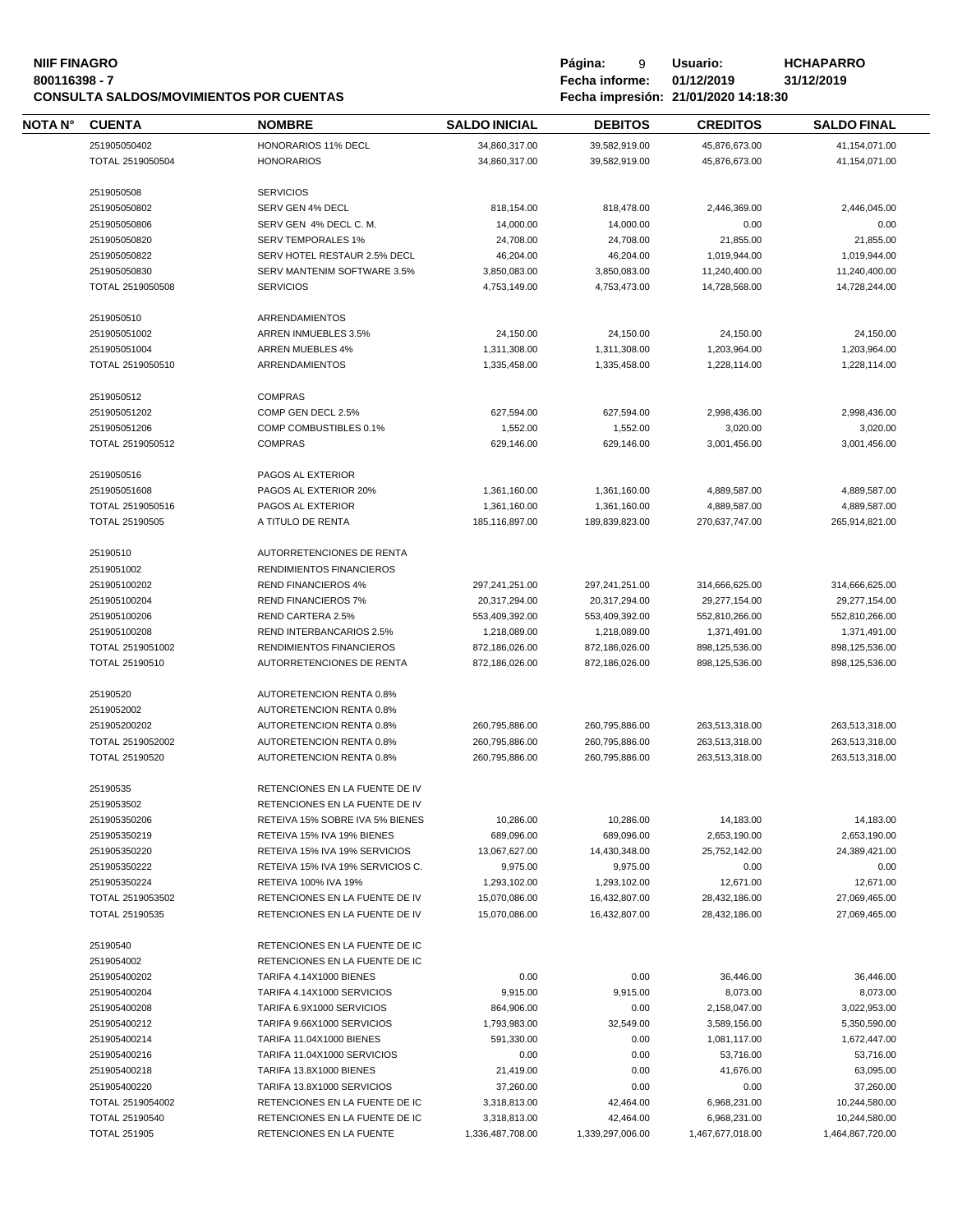| <b>NIIF FINAGRO</b><br>800116398 - 7 | <b>CONSULTA SALDOS/MOVIMIENTOS POR CUENTAS</b> |                                                                  |                                | Página:<br>9<br>Fecha informe: | Usuario:<br>01/12/2019<br>Fecha impresión: 21/01/2020 14:18:30 | <b>HCHAPARRO</b><br>31/12/2019 |
|--------------------------------------|------------------------------------------------|------------------------------------------------------------------|--------------------------------|--------------------------------|----------------------------------------------------------------|--------------------------------|
| <b>NOTA N°</b>                       | <b>CUENTA</b>                                  | <b>NOMBRE</b>                                                    | <b>SALDO INICIAL</b>           | <b>DEBITOS</b>                 | <b>CREDITOS</b>                                                | <b>SALDO FINAL</b>             |
|                                      | 251905050402                                   | HONORARIOS 11% DECL                                              | 34,860,317.00                  | 39,582,919.00                  | 45,876,673.00                                                  | 41,154,071.00                  |
|                                      | TOTAL 2519050504                               | <b>HONORARIOS</b>                                                | 34,860,317.00                  | 39,582,919.00                  | 45,876,673.00                                                  | 41,154,071.00                  |
|                                      | 2519050508                                     | <b>SERVICIOS</b>                                                 |                                |                                |                                                                |                                |
|                                      | 251905050802                                   | SERV GEN 4% DECL                                                 | 818,154.00                     | 818,478.00                     | 2,446,369.00                                                   | 2,446,045.00                   |
|                                      | 251905050806                                   | SERV GEN 4% DECL C. M.                                           | 14,000.00                      | 14,000.00                      | 0.00                                                           | 0.00                           |
|                                      | 251905050820                                   | <b>SERV TEMPORALES 1%</b>                                        | 24,708.00                      | 24,708.00                      | 21,855.00                                                      | 21,855.00                      |
|                                      | 251905050822                                   |                                                                  |                                |                                |                                                                |                                |
|                                      |                                                | SERV HOTEL RESTAUR 2.5% DECL                                     | 46,204.00                      | 46,204.00                      | 1,019,944.00                                                   | 1,019,944.00                   |
|                                      | 251905050830                                   | SERV MANTENIM SOFTWARE 3.5%                                      | 3,850,083.00                   | 3,850,083.00                   | 11,240,400.00                                                  | 11,240,400.00                  |
|                                      | TOTAL 2519050508                               | <b>SERVICIOS</b>                                                 | 4,753,149.00                   | 4,753,473.00                   | 14,728,568.00                                                  | 14,728,244.00                  |
|                                      | 2519050510                                     | ARRENDAMIENTOS                                                   |                                |                                |                                                                |                                |
|                                      | 251905051002                                   | ARREN INMUEBLES 3.5%                                             | 24,150.00                      | 24,150.00                      | 24,150.00                                                      | 24,150.00                      |
|                                      | 251905051004                                   | ARREN MUEBLES 4%                                                 | 1,311,308.00                   | 1,311,308.00                   | 1,203,964.00                                                   | 1,203,964.00                   |
|                                      | TOTAL 2519050510                               | <b>ARRENDAMIENTOS</b>                                            | 1,335,458.00                   | 1,335,458.00                   | 1,228,114.00                                                   | 1,228,114.00                   |
|                                      |                                                | <b>COMPRAS</b>                                                   |                                |                                |                                                                |                                |
|                                      | 2519050512<br>251905051202                     | COMP GEN DECL 2.5%                                               | 627,594.00                     | 627,594.00                     | 2,998,436.00                                                   | 2,998,436.00                   |
|                                      | 251905051206                                   | COMP COMBUSTIBLES 0.1%                                           | 1,552.00                       | 1.552.00                       | 3,020.00                                                       | 3,020.00                       |
|                                      |                                                |                                                                  |                                |                                |                                                                |                                |
|                                      | TOTAL 2519050512                               | <b>COMPRAS</b>                                                   | 629,146.00                     | 629,146.00                     | 3,001,456.00                                                   | 3,001,456.00                   |
|                                      | 2519050516                                     | PAGOS AL EXTERIOR                                                |                                |                                |                                                                |                                |
|                                      | 251905051608                                   | PAGOS AL EXTERIOR 20%                                            | 1,361,160.00                   | 1,361,160.00                   | 4,889,587.00                                                   | 4,889,587.00                   |
|                                      | TOTAL 2519050516                               | PAGOS AL EXTERIOR                                                | 1,361,160.00                   | 1,361,160.00                   | 4,889,587.00                                                   | 4,889,587.00                   |
|                                      | TOTAL 25190505                                 | A TITULO DE RENTA                                                | 185,116,897.00                 | 189,839,823.00                 | 270,637,747.00                                                 | 265,914,821.00                 |
|                                      | 25190510                                       | AUTORRETENCIONES DE RENTA                                        |                                |                                |                                                                |                                |
|                                      | 2519051002                                     | RENDIMIENTOS FINANCIEROS                                         |                                |                                |                                                                |                                |
|                                      | 251905100202                                   | <b>REND FINANCIEROS 4%</b>                                       | 297,241,251.00                 | 297,241,251.00                 | 314,666,625.00                                                 | 314,666,625.00                 |
|                                      | 251905100204                                   | <b>REND FINANCIEROS 7%</b>                                       |                                |                                |                                                                |                                |
|                                      |                                                |                                                                  | 20,317,294.00                  | 20,317,294.00                  | 29,277,154.00                                                  | 29,277,154.00                  |
|                                      | 251905100206                                   | REND CARTERA 2.5%                                                | 553,409,392.00                 | 553,409,392.00                 | 552,810,266.00                                                 | 552,810,266.00                 |
|                                      | 251905100208                                   | REND INTERBANCARIOS 2.5%                                         | 1,218,089.00                   | 1,218,089.00                   | 1,371,491.00                                                   | 1,371,491.00                   |
|                                      | TOTAL 2519051002                               | RENDIMIENTOS FINANCIEROS                                         | 872,186,026.00                 | 872,186,026.00                 | 898,125,536.00                                                 | 898,125,536.00                 |
|                                      | TOTAL 25190510                                 | AUTORRETENCIONES DE RENTA                                        | 872,186,026.00                 | 872,186,026.00                 | 898,125,536.00                                                 | 898,125,536.00                 |
|                                      | 25190520                                       | <b>AUTORETENCION RENTA 0.8%</b>                                  |                                |                                |                                                                |                                |
|                                      | 2519052002                                     | AUTORETENCION RENTA 0.8%                                         |                                |                                |                                                                |                                |
|                                      | 251905200202                                   | AUTORETENCION RENTA 0.8%                                         | 260,795,886.00                 | 260,795,886.00                 | 263,513,318.00                                                 | 263,513,318.00                 |
|                                      | TOTAL 2519052002                               | AUTORETENCION RENTA 0.8%                                         | 260,795,886.00                 | 260,795,886.00                 | 263,513,318.00                                                 | 263,513,318.00                 |
|                                      | TOTAL 25190520                                 | AUTORETENCION RENTA 0.8%                                         | 260,795,886.00                 | 260,795,886.00                 | 263,513,318.00                                                 | 263,513,318.00                 |
|                                      | 25190535                                       | RETENCIONES EN LA FUENTE DE IV                                   |                                |                                |                                                                |                                |
|                                      | 2519053502                                     | RETENCIONES EN LA FUENTE DE IV                                   |                                |                                |                                                                |                                |
|                                      | 251905350206                                   | RETEIVA 15% SOBRE IVA 5% BIENES                                  | 10,286.00                      | 10,286.00                      | 14,183.00                                                      | 14,183.00                      |
|                                      | 251905350219                                   | RETEIVA 15% IVA 19% BIENES                                       | 689,096.00                     | 689,096.00                     | 2,653,190.00                                                   | 2,653,190.00                   |
|                                      | 251905350220                                   | RETEIVA 15% IVA 19% SERVICIOS                                    | 13,067,627.00                  | 14,430,348.00                  | 25,752,142.00                                                  | 24,389,421.00                  |
|                                      | 251905350222                                   | RETEIVA 15% IVA 19% SERVICIOS C.                                 | 9,975.00                       | 9,975.00                       | 0.00                                                           | 0.00                           |
|                                      |                                                |                                                                  | 1,293,102.00                   | 1,293,102.00                   |                                                                |                                |
|                                      | 251905350224<br>TOTAL 2519053502               | RETEIVA 100% IVA 19%                                             |                                |                                | 12,671.00                                                      | 12,671.00                      |
|                                      | TOTAL 25190535                                 | RETENCIONES EN LA FUENTE DE IV<br>RETENCIONES EN LA FUENTE DE IV | 15,070,086.00<br>15,070,086.00 | 16,432,807.00<br>16,432,807.00 | 28,432,186.00<br>28,432,186.00                                 | 27,069,465.00<br>27,069,465.00 |
|                                      |                                                |                                                                  |                                |                                |                                                                |                                |
|                                      | 25190540<br>2519054002                         | RETENCIONES EN LA FUENTE DE IC<br>RETENCIONES EN LA FUENTE DE IC |                                |                                |                                                                |                                |
|                                      | 251905400202                                   | TARIFA 4.14X1000 BIENES                                          | 0.00                           | 0.00                           | 36,446.00                                                      | 36,446.00                      |
|                                      |                                                |                                                                  |                                |                                |                                                                |                                |
|                                      | 251905400204                                   | TARIFA 4.14X1000 SERVICIOS                                       | 9,915.00                       | 9,915.00                       | 8,073.00                                                       | 8,073.00                       |
|                                      | 251905400208                                   | TARIFA 6.9X1000 SERVICIOS                                        | 864,906.00                     | 0.00                           | 2,158,047.00                                                   | 3,022,953.00                   |
|                                      | 251905400212                                   | TARIFA 9.66X1000 SERVICIOS                                       | 1,793,983.00                   | 32,549.00                      | 3,589,156.00                                                   | 5,350,590.00                   |
|                                      | 251905400214                                   | <b>TARIFA 11.04X1000 BIENES</b>                                  | 591,330.00                     | 0.00                           | 1,081,117.00                                                   | 1,672,447.00                   |
|                                      | 251905400216                                   | TARIFA 11.04X1000 SERVICIOS                                      | 0.00                           | 0.00                           | 53,716.00                                                      | 53,716.00                      |
|                                      | 251905400218                                   | TARIFA 13.8X1000 BIENES                                          | 21,419.00                      | 0.00                           | 41,676.00                                                      | 63,095.00                      |
|                                      | 251905400220                                   | TARIFA 13.8X1000 SERVICIOS                                       | 37,260.00                      | 0.00                           | 0.00                                                           | 37,260.00                      |
|                                      | TOTAL 2519054002                               | RETENCIONES EN LA FUENTE DE IC                                   | 3,318,813.00                   | 42,464.00                      | 6,968,231.00                                                   | 10,244,580.00                  |
|                                      | TOTAL 25190540                                 | RETENCIONES EN LA FUENTE DE IC                                   | 3,318,813.00                   | 42,464.00                      | 6,968,231.00                                                   | 10,244,580.00                  |
|                                      | <b>TOTAL 251905</b>                            | RETENCIONES EN LA FUENTE                                         | 1,336,487,708.00               | 1,339,297,006.00               | 1,467,677,018.00                                               | 1,464,867,720.00               |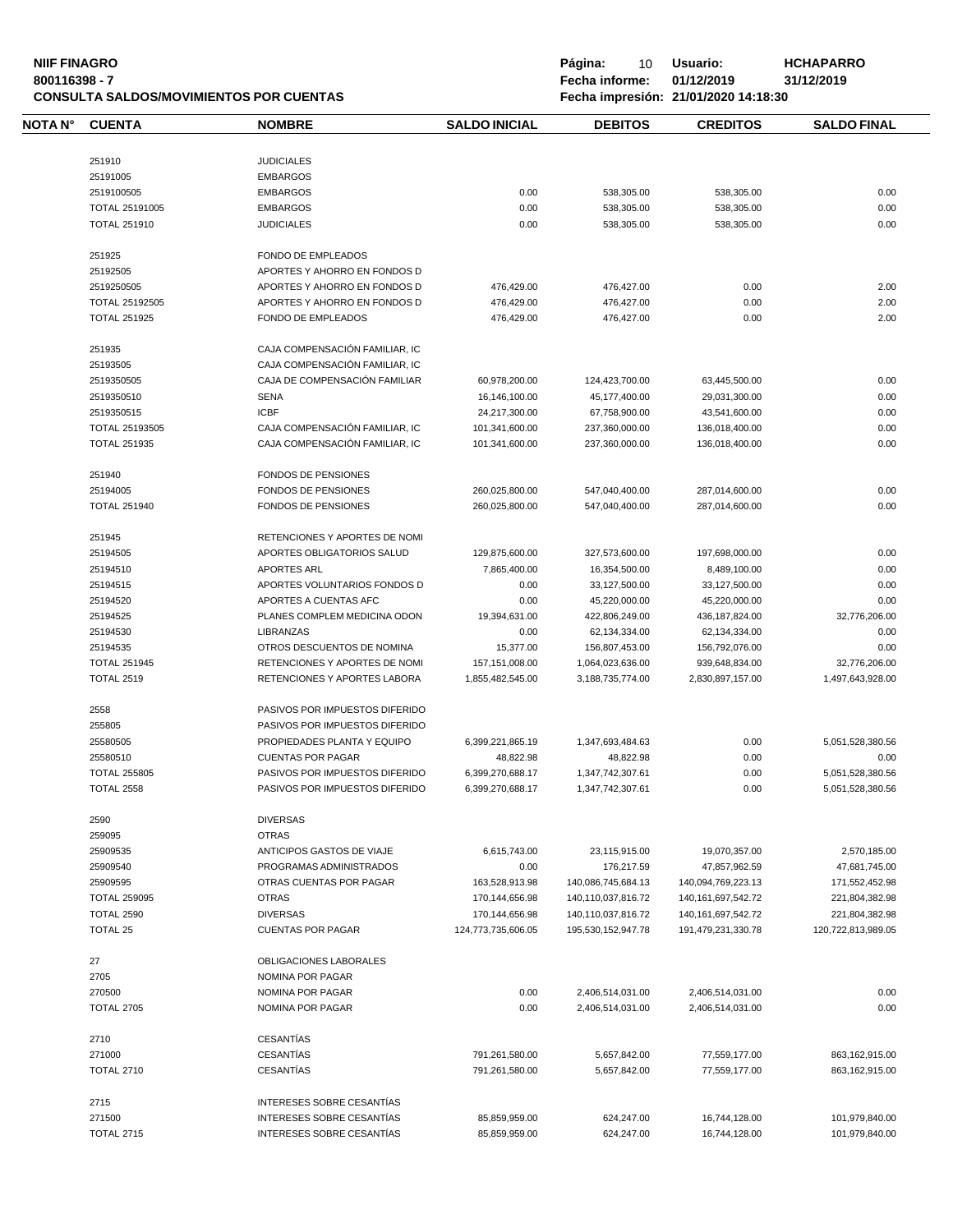# **NIIF FINAGRO P á g i n a :** 10 **U s u a r i o : HCHAPARRO CONSULTA SALDOS/MOVIMIENTOS POR CUENTAS Fecha impresión: 21/01/2020 14:18:30**

| NOTA N° | <b>CUENTA</b>       | <b>NOMBRE</b>                  | <b>SALDO INICIAL</b>             | <b>DEBITOS</b>               | <b>CREDITOS</b>                | <b>SALDO FINAL</b>               |
|---------|---------------------|--------------------------------|----------------------------------|------------------------------|--------------------------------|----------------------------------|
|         | 251910              | <b>JUDICIALES</b>              |                                  |                              |                                |                                  |
|         | 25191005            | <b>EMBARGOS</b>                |                                  |                              |                                |                                  |
|         | 2519100505          | <b>EMBARGOS</b>                | 0.00                             | 538,305.00                   | 538,305.00                     | 0.00                             |
|         | TOTAL 25191005      | <b>EMBARGOS</b>                | 0.00                             | 538,305.00                   | 538,305.00                     | 0.00                             |
|         | <b>TOTAL 251910</b> | <b>JUDICIALES</b>              |                                  |                              |                                |                                  |
|         |                     |                                | 0.00                             | 538,305.00                   | 538,305.00                     | 0.00                             |
|         | 251925              | FONDO DE EMPLEADOS             |                                  |                              |                                |                                  |
|         | 25192505            | APORTES Y AHORRO EN FONDOS D   |                                  |                              |                                |                                  |
|         | 2519250505          | APORTES Y AHORRO EN FONDOS D   | 476,429.00                       | 476,427.00                   | 0.00                           | 2.00                             |
|         | TOTAL 25192505      | APORTES Y AHORRO EN FONDOS D   | 476,429.00                       | 476,427.00                   | 0.00                           | 2.00                             |
|         | <b>TOTAL 251925</b> | FONDO DE EMPLEADOS             | 476,429.00                       | 476,427.00                   | 0.00                           | 2.00                             |
|         | 251935              | CAJA COMPENSACIÓN FAMILIAR, IC |                                  |                              |                                |                                  |
|         | 25193505            | CAJA COMPENSACIÓN FAMILIAR, IC |                                  |                              |                                |                                  |
|         | 2519350505          | CAJA DE COMPENSACIÓN FAMILIAR  | 60,978,200.00                    | 124,423,700.00               | 63,445,500.00                  | 0.00                             |
|         | 2519350510          | <b>SENA</b>                    | 16,146,100.00                    | 45,177,400.00                | 29,031,300.00                  | 0.00                             |
|         | 2519350515          | <b>ICBF</b>                    | 24,217,300.00                    | 67,758,900.00                | 43,541,600.00                  | 0.00                             |
|         | TOTAL 25193505      | CAJA COMPENSACIÓN FAMILIAR, IC | 101,341,600.00                   | 237,360,000.00               | 136,018,400.00                 | 0.00                             |
|         | <b>TOTAL 251935</b> | CAJA COMPENSACIÓN FAMILIAR, IC | 101,341,600.00                   | 237,360,000.00               | 136,018,400.00                 | 0.00                             |
|         |                     |                                |                                  |                              |                                |                                  |
|         | 251940              | FONDOS DE PENSIONES            |                                  |                              |                                |                                  |
|         | 25194005            | FONDOS DE PENSIONES            | 260,025,800.00                   | 547,040,400.00               | 287,014,600.00                 | 0.00                             |
|         | <b>TOTAL 251940</b> | <b>FONDOS DE PENSIONES</b>     | 260,025,800.00                   | 547,040,400.00               | 287,014,600.00                 | 0.00                             |
|         | 251945              | RETENCIONES Y APORTES DE NOMI  |                                  |                              |                                |                                  |
|         | 25194505            | APORTES OBLIGATORIOS SALUD     | 129,875,600.00                   | 327,573,600.00               | 197,698,000.00                 | 0.00                             |
|         | 25194510            | <b>APORTES ARL</b>             | 7,865,400.00                     | 16,354,500.00                | 8,489,100.00                   | 0.00                             |
|         | 25194515            | APORTES VOLUNTARIOS FONDOS D   | 0.00                             | 33,127,500.00                | 33,127,500.00                  | 0.00                             |
|         | 25194520            | APORTES A CUENTAS AFC          | 0.00                             | 45,220,000.00                | 45,220,000.00                  | 0.00                             |
|         | 25194525            | PLANES COMPLEM MEDICINA ODON   | 19,394,631.00                    | 422,806,249.00               | 436,187,824.00                 | 32,776,206.00                    |
|         | 25194530            | <b>LIBRANZAS</b>               | 0.00                             | 62,134,334.00                | 62,134,334.00                  | 0.00                             |
|         | 25194535            | OTROS DESCUENTOS DE NOMINA     | 15,377.00                        | 156,807,453.00               | 156,792,076.00                 | 0.00                             |
|         | <b>TOTAL 251945</b> | RETENCIONES Y APORTES DE NOMI  | 157,151,008.00                   | 1,064,023,636.00             | 939,648,834.00                 | 32,776,206.00                    |
|         | <b>TOTAL 2519</b>   | RETENCIONES Y APORTES LABORA   | 1,855,482,545.00                 | 3,188,735,774.00             | 2,830,897,157.00               | 1,497,643,928.00                 |
|         | 2558                | PASIVOS POR IMPUESTOS DIFERIDO |                                  |                              |                                |                                  |
|         | 255805              | PASIVOS POR IMPUESTOS DIFERIDO |                                  |                              |                                |                                  |
|         | 25580505            | PROPIEDADES PLANTA Y EQUIPO    | 6,399,221,865.19                 | 1,347,693,484.63             | 0.00                           | 5,051,528,380.56                 |
|         | 25580510            | <b>CUENTAS POR PAGAR</b>       |                                  |                              |                                |                                  |
|         |                     |                                | 48,822.98                        | 48,822.98                    | 0.00                           | 0.00                             |
|         | <b>TOTAL 255805</b> | PASIVOS POR IMPUESTOS DIFERIDO | 6,399,270,688.17                 | 1,347,742,307.61             | 0.00                           | 5,051,528,380.56                 |
|         | <b>TOTAL 2558</b>   | PASIVOS POR IMPUESTOS DIFERIDO | 6,399,270,688.17                 | 1,347,742,307.61             | 0.00                           | 5,051,528,380.56                 |
|         | 2590                | <b>DIVERSAS</b>                |                                  |                              |                                |                                  |
|         | 259095              | <b>OTRAS</b>                   |                                  |                              |                                |                                  |
|         | 25909535            | ANTICIPOS GASTOS DE VIAJE      | 6,615,743.00                     | 23,115,915.00                | 19,070,357.00                  | 2,570,185.00                     |
|         | 25909540            | PROGRAMAS ADMINISTRADOS        | 0.00                             | 176,217.59                   | 47,857,962.59                  | 47,681,745.00                    |
|         | 25909595            | OTRAS CUENTAS POR PAGAR        | 163,528,913.98                   | 140,086,745,684.13           | 140,094,769,223.13             | 171,552,452.98                   |
|         | <b>TOTAL 259095</b> | <b>OTRAS</b>                   | 170,144,656.98                   | 140,110,037,816.72           | 140, 161, 697, 542. 72         | 221,804,382.98                   |
|         | <b>TOTAL 2590</b>   | <b>DIVERSAS</b>                | 170,144,656.98                   | 140,110,037,816.72           | 140, 161, 697, 542. 72         | 221,804,382.98                   |
|         | TOTAL 25            | <b>CUENTAS POR PAGAR</b>       | 124,773,735,606.05               | 195.530.152.947.78           | 191,479,231,330.78             | 120,722,813,989.05               |
|         | 27                  | OBLIGACIONES LABORALES         |                                  |                              |                                |                                  |
|         | 2705                | NOMINA POR PAGAR               |                                  |                              |                                |                                  |
|         | 270500              | NOMINA POR PAGAR               | 0.00                             | 2,406,514,031.00             | 2,406,514,031.00               | 0.00                             |
|         | <b>TOTAL 2705</b>   | NOMINA POR PAGAR               | 0.00                             | 2,406,514,031.00             | 2,406,514,031.00               | 0.00                             |
|         | 2710                | <b>CESANTÍAS</b>               |                                  |                              |                                |                                  |
|         | 271000              | <b>CESANTÍAS</b>               |                                  |                              |                                |                                  |
|         | <b>TOTAL 2710</b>   | <b>CESANTÍAS</b>               | 791,261,580.00<br>791,261,580.00 | 5,657,842.00<br>5,657,842.00 | 77,559,177.00<br>77,559,177.00 | 863,162,915.00<br>863,162,915.00 |
|         |                     |                                |                                  |                              |                                |                                  |
|         | 2715                | INTERESES SOBRE CESANTIAS      |                                  |                              |                                |                                  |
|         | 271500              | INTERESES SOBRE CESANTIAS      | 85,859,959.00                    | 624,247.00                   | 16,744,128.00                  | 101,979,840.00                   |
|         | <b>TOTAL 2715</b>   | INTERESES SOBRE CESANTÍAS      | 85,859,959.00                    | 624,247.00                   | 16,744,128.00                  | 101,979,840.00                   |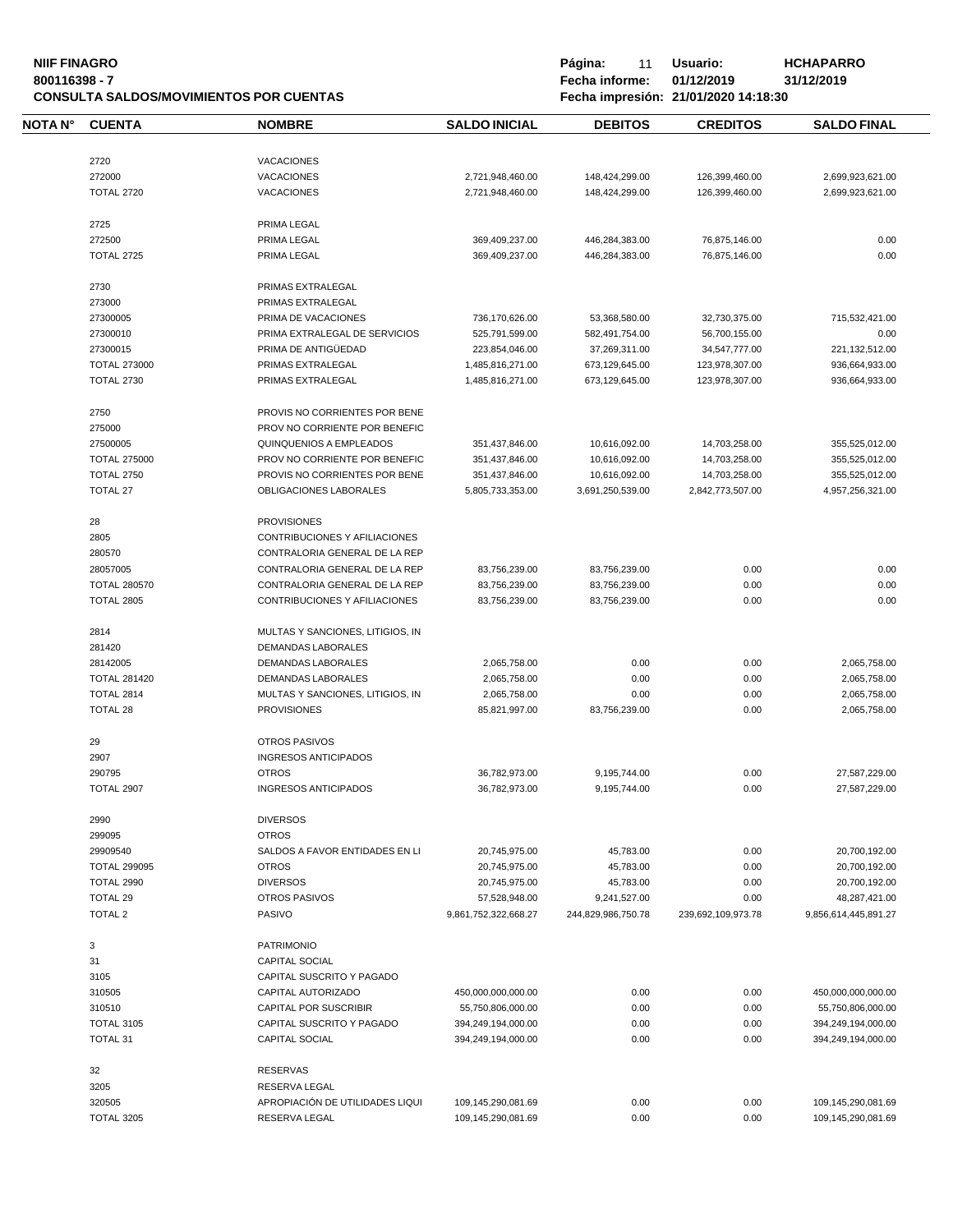**NIIF FINAGRO P á g i n a :** 11 **U s u a r i o : HCHAPARRO CONSULTA SALDOS/MOVIMIENTOS POR CUENTAS Fecha impresión: 21/01/2020 14:18:30**

| NOTA N° | <b>CUENTA</b>                        | <b>NOMBRE</b>                                        | <b>SALDO INICIAL</b>                     | <b>DEBITOS</b>     | <b>CREDITOS</b>    | <b>SALDO FINAL</b>                       |
|---------|--------------------------------------|------------------------------------------------------|------------------------------------------|--------------------|--------------------|------------------------------------------|
|         |                                      |                                                      |                                          |                    |                    |                                          |
|         | 2720                                 | <b>VACACIONES</b>                                    |                                          |                    |                    |                                          |
|         | 272000                               | <b>VACACIONES</b>                                    | 2,721,948,460.00                         | 148,424,299.00     | 126,399,460.00     | 2,699,923,621.00                         |
|         | <b>TOTAL 2720</b>                    | <b>VACACIONES</b>                                    | 2,721,948,460.00                         | 148,424,299.00     | 126,399,460.00     | 2,699,923,621.00                         |
|         | 2725                                 | PRIMA LEGAL                                          |                                          |                    |                    |                                          |
|         | 272500                               | PRIMA LEGAL                                          | 369,409,237.00                           | 446,284,383.00     | 76,875,146.00      | 0.00                                     |
|         | <b>TOTAL 2725</b>                    | PRIMA LEGAL                                          | 369,409,237.00                           | 446,284,383.00     | 76,875,146.00      | 0.00                                     |
|         |                                      |                                                      |                                          |                    |                    |                                          |
|         | 2730<br>273000                       | PRIMAS EXTRALEGAL<br>PRIMAS EXTRALEGAL               |                                          |                    |                    |                                          |
|         |                                      |                                                      |                                          |                    |                    | 715,532,421.00                           |
|         | 27300005                             | PRIMA DE VACACIONES                                  | 736,170,626.00                           | 53,368,580.00      | 32,730,375.00      |                                          |
|         | 27300010                             | PRIMA EXTRALEGAL DE SERVICIOS<br>PRIMA DE ANTIGÜEDAD | 525,791,599.00                           | 582,491,754.00     | 56,700,155.00      | 0.00                                     |
|         | 27300015                             |                                                      | 223,854,046.00                           | 37,269,311.00      | 34,547,777.00      | 221,132,512.00                           |
|         | <b>TOTAL 273000</b>                  | PRIMAS EXTRALEGAL                                    | 1,485,816,271.00                         | 673,129,645.00     | 123,978,307.00     | 936,664,933.00                           |
|         | <b>TOTAL 2730</b>                    | PRIMAS EXTRALEGAL                                    | 1,485,816,271.00                         | 673,129,645.00     | 123,978,307.00     | 936,664,933.00                           |
|         | 2750                                 | PROVIS NO CORRIENTES POR BENE                        |                                          |                    |                    |                                          |
|         | 275000                               | PROV NO CORRIENTE POR BENEFIC                        |                                          |                    |                    |                                          |
|         | 27500005                             | QUINQUENIOS A EMPLEADOS                              | 351,437,846.00                           | 10,616,092.00      | 14,703,258.00      | 355,525,012.00                           |
|         | <b>TOTAL 275000</b>                  | PROV NO CORRIENTE POR BENEFIC                        | 351,437,846.00                           | 10,616,092.00      | 14,703,258.00      | 355,525,012.00                           |
|         | <b>TOTAL 2750</b>                    | PROVIS NO CORRIENTES POR BENE                        | 351,437,846.00                           | 10,616,092.00      | 14,703,258.00      | 355,525,012.00                           |
|         | <b>TOTAL 27</b>                      | OBLIGACIONES LABORALES                               | 5,805,733,353.00                         | 3,691,250,539.00   | 2,842,773,507.00   | 4,957,256,321.00                         |
|         |                                      |                                                      |                                          |                    |                    |                                          |
|         | 28                                   | <b>PROVISIONES</b>                                   |                                          |                    |                    |                                          |
|         | 2805                                 | CONTRIBUCIONES Y AFILIACIONES                        |                                          |                    |                    |                                          |
|         | 280570                               | CONTRALORIA GENERAL DE LA REP                        |                                          |                    |                    |                                          |
|         | 28057005                             | CONTRALORIA GENERAL DE LA REP                        | 83,756,239.00                            | 83,756,239.00      | 0.00               | 0.00                                     |
|         | <b>TOTAL 280570</b>                  | CONTRALORIA GENERAL DE LA REP                        | 83,756,239.00                            | 83,756,239.00      | 0.00               | 0.00                                     |
|         | <b>TOTAL 2805</b>                    | CONTRIBUCIONES Y AFILIACIONES                        | 83,756,239.00                            | 83,756,239.00      | 0.00               | 0.00                                     |
|         | 2814                                 | MULTAS Y SANCIONES, LITIGIOS, IN                     |                                          |                    |                    |                                          |
|         | 281420                               | DEMANDAS LABORALES                                   |                                          |                    |                    |                                          |
|         | 28142005                             | DEMANDAS LABORALES                                   | 2,065,758.00                             | 0.00               | 0.00               | 2,065,758.00                             |
|         | <b>TOTAL 281420</b>                  | DEMANDAS LABORALES                                   | 2,065,758.00                             | 0.00               | 0.00               | 2,065,758.00                             |
|         | TOTAL 2814                           | MULTAS Y SANCIONES, LITIGIOS, IN                     | 2,065,758.00                             | 0.00               | 0.00               | 2,065,758.00                             |
|         | <b>TOTAL 28</b>                      | <b>PROVISIONES</b>                                   | 85,821,997.00                            | 83,756,239.00      | 0.00               | 2,065,758.00                             |
|         |                                      |                                                      |                                          |                    |                    |                                          |
|         | 29                                   | <b>OTROS PASIVOS</b>                                 |                                          |                    |                    |                                          |
|         | 2907                                 | INGRESOS ANTICIPADOS                                 |                                          |                    |                    |                                          |
|         | 290795                               | <b>OTROS</b>                                         | 36,782,973.00                            | 9,195,744.00       | 0.00               | 27,587,229.00                            |
|         | <b>TOTAL 2907</b>                    | <b>INGRESOS ANTICIPADOS</b>                          | 36,782,973.00                            | 9,195,744.00       | 0.00               | 27,587,229.00                            |
|         | 2990                                 | <b>DIVERSOS</b>                                      |                                          |                    |                    |                                          |
|         | 299095                               | <b>OTROS</b>                                         |                                          |                    |                    |                                          |
|         | 29909540                             | SALDOS A FAVOR ENTIDADES EN LI                       | 20,745,975.00                            | 45,783.00          | 0.00               | 20,700,192.00                            |
|         | <b>TOTAL 299095</b>                  | <b>OTROS</b>                                         | 20,745,975.00                            | 45,783.00          | 0.00               | 20,700,192.00                            |
|         | TOTAL 2990                           | <b>DIVERSOS</b>                                      | 20,745,975.00                            | 45,783.00          | 0.00               | 20,700,192.00                            |
|         | <b>TOTAL 29</b>                      | <b>OTROS PASIVOS</b>                                 | 57,528,948.00                            | 9,241,527.00       | 0.00               | 48,287,421.00                            |
|         | <b>TOTAL 2</b>                       | PASIVO                                               | 9.861.752.322.668.27                     | 244.829.986.750.78 | 239,692,109,973.78 | 9,856,614,445,891.27                     |
|         | 3                                    | <b>PATRIMONIO</b>                                    |                                          |                    |                    |                                          |
|         | 31                                   | CAPITAL SOCIAL                                       |                                          |                    |                    |                                          |
|         | 3105                                 | CAPITAL SUSCRITO Y PAGADO                            |                                          |                    |                    |                                          |
|         |                                      |                                                      | 450,000,000,000.00                       |                    |                    |                                          |
|         | 310505                               | CAPITAL AUTORIZADO                                   |                                          | 0.00               | 0.00               | 450,000,000,000.00                       |
|         | 310510                               | <b>CAPITAL POR SUSCRIBIR</b>                         | 55,750,806,000.00                        | 0.00               | 0.00               | 55,750,806,000.00                        |
|         | <b>TOTAL 3105</b><br><b>TOTAL 31</b> | CAPITAL SUSCRITO Y PAGADO<br><b>CAPITAL SOCIAL</b>   | 394,249,194,000.00<br>394,249,194,000.00 | 0.00<br>0.00       | 0.00<br>0.00       | 394,249,194,000.00<br>394,249,194,000.00 |
|         |                                      |                                                      |                                          |                    |                    |                                          |
|         | 32                                   | <b>RESERVAS</b>                                      |                                          |                    |                    |                                          |
|         | 3205                                 | RESERVA LEGAL                                        |                                          |                    |                    |                                          |
|         | 320505                               | APROPIACIÓN DE UTILIDADES LIQUI                      | 109,145,290,081.69                       | 0.00               | 0.00               | 109,145,290,081.69                       |
|         | <b>TOTAL 3205</b>                    | RESERVA LEGAL                                        | 109,145,290,081.69                       | 0.00               | 0.00               | 109,145,290,081.69                       |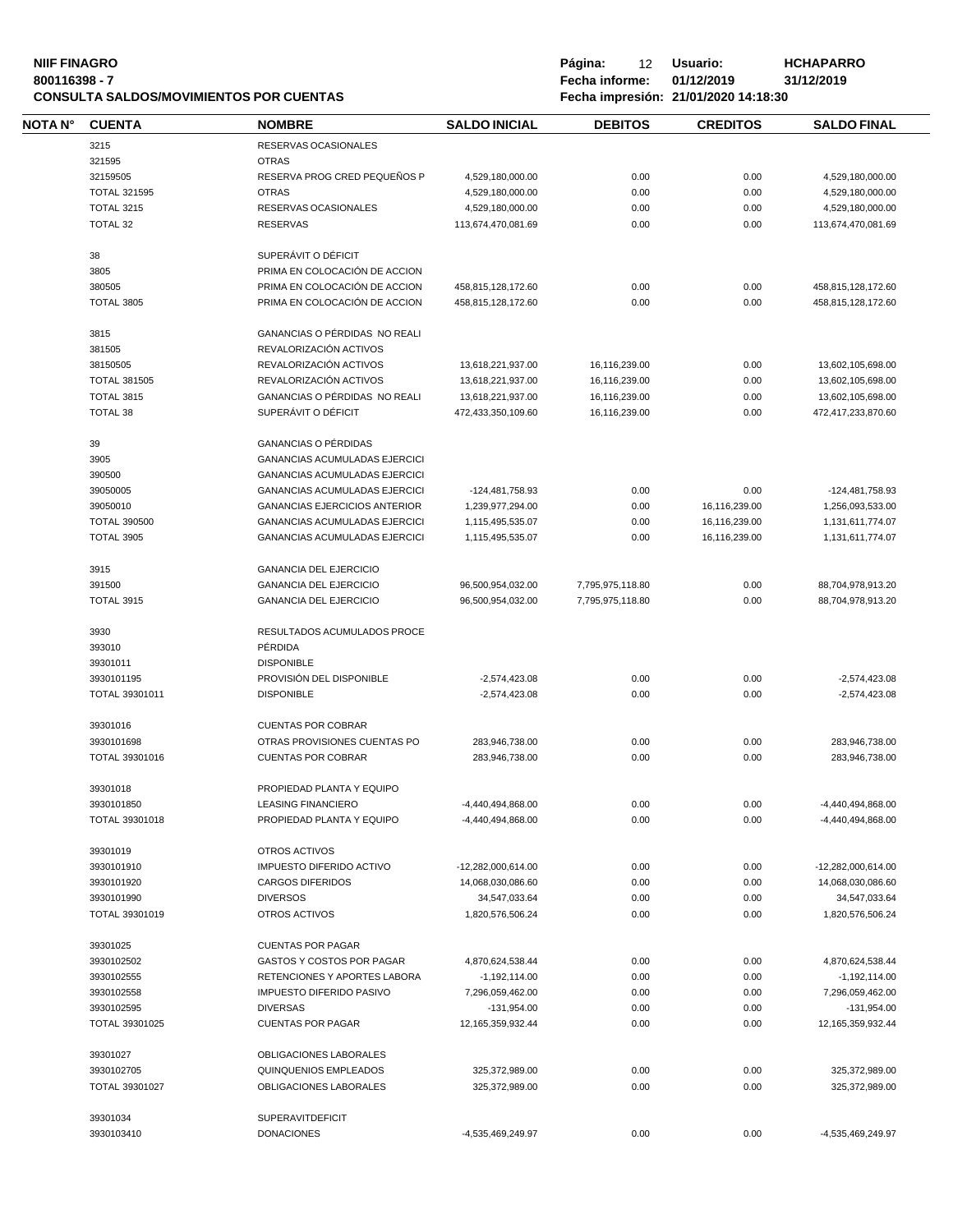#### **NIIF FINAGRO P á g i n a :** 12 **U s u a r i o : HCHAPARRO 800116398 - 7 Fecha informe: 01/12/2019 31/12/2019 CONSULTA SALDOS/MOVIMIENTOS POR CUENTAS Fecha impresión: 21/01/2020 14:18:30**

**NOTA N° CUENTA NOMBRE SALDO INICIAL D E B I T O S C R E D I T O S SALDO FINAL** 3215 RESERVAS OCASIONALES 321595 OTRAS 32159505 RESERVA PROG CRED PEQUEÑOS P 4,529,180,000.00 0.00 0.00 0.00 4,529,180,000.00 TOTAL 321595 OTRAS 4,529,180,000.00 0.00 0.00 4,529,180,000.00 TOTAL 3215 RESERVAS OCASIONALES 4,529,180,000.00 0.00 0.00 0.00 4,529,180,000.00 TOTAL 32 RESERVAS 113,674,470,081.69 0.00 0.00 113,674,470,081.69 38 SUPERÁVIT O DÉFICIT 3805 PRIMA EN COLOCACIÓN DE ACCION 380505 PRIMA EN COLOCACIÓN DE ACCION 458,815,128,172.60 0.00 0.00 458,815,128,172.60 TOTAL 3805 PRIMA EN COLOCACIÓN DE ACCION 458.815.128.172.60 0.00 0.00 0.00 458.815.128.172.60 3815 GANANCIAS O PÉRDIDAS NO REALI 381505 REVALORIZACIÓN ACTIVOS 38150505 REVALORIZACIÓN ACTIVOS 13,618,221,937.00 16,116,239.00 0.00 13,602,105,698.00 TOTAL 381505 REVALORIZACIÓN ACTIVOS 13,618,221,937.00 16,116,239.00 0.00 13,602,105,698.00 TOTAL 3815 GANANCIAS O PÉRDIDAS NO REALI 13,618,221,937.00 16,116,239.00 0.00 13,602,105,698.00 TOTAL 38 SUPERÁVIT O DÉFICIT 472,433,350,109.60 16,116,239.00 0.00 472,417,233,870.60 39 GANANCIAS O PÉRDIDAS 3905 GANANCIAS ACUMULADAS EJERCICI 390500 GANANCIAS ACUMULADAS EJERCICI 39050005 GANANCIAS ACUMULADAS EJERCICI - -124,481,758.93 0.00 0.00 0.00 -124,481,758.93 39050010 GANANCIAS EJERCICIOS ANTERIOR 1,239,977,294.00 0.00 16,116,239.00 1,256,093,533.00 TOTAL 390500 GANANCIAS ACUMULADAS EJERCICI 1,115,495,535.07 0.00 16,116,239.00 1,131,611,774.07 TOTAL 3905 GANANCIAS ACUMULADAS EJERCICI 1,115,495,535.07 0.00 16,116,239.00 1,131,611,774.07 3915 GANANCIA DEL EJERCICIO 391500 GANANCIA DEL EJERCICIO 96,500,954,032.00 7,795,975,118.80 0.00 88,704,978,913.20 TOTAL 3915 GANANCIA DEL EJERCICIO 96,500,954,032.00 7,795,975,118.80 0.00 88,704,978,913.20 3930 RESULTADOS ACUMULADOS PROCE 393010 PÉRDIDA 39301011 DISPONIBLE 3930101195 PROVISIÓN DEL DISPONIBLE -2,574,423.08 0.00 0.00 -2,574,423.08 TOTAL 39301011 DISPONIBLE -2,574,423.08 0.00 0.00 -2,574,423.08 39301016 CUENTAS POR COBRAR 3930101698 OTRAS PROVISIONES CUENTAS PO 283,946,738.00 0.00 0.00 283,946,738.00 TOTAL 39301016 CUENTAS POR COBRAR 283,946,738.00 0.00 0.00 283,946,738.00 39301018 PROPIEDAD PLANTA Y EQUIPO 3930101850 LEASING FINANCIERO -4,440,494,868.00 0.00 0.00 -4,440,494,868.00 TOTAL 39301018 PROPIEDAD PLANTA Y EQUIPO -4,440,494,868.00 0.00 0.00 0.00 -4,440,494,868.00 39301019 OTROS ACTIVOS 3930101910 IMPUESTO DIFERIDO ACTIVO -12,282,000,614.00 0.00 0.00 -12,282,000,614.00 3930101920 CARGOS DIFERIDOS 14,068,030,086.60 0.00 0.00 14,068,030,086.60 3930101990 DIVERSOS 34,547,033.64 0.00 0.00 34,547,033.64 TOTAL 39301019 OTROS ACTIVOS 1,820,576,506.24 0.00 0.00 1,820,576,506.24 39301025 CUENTAS POR PAGAR 3930102502 GASTOS Y COSTOS POR PAGAR 4,870,624,538.44 0.00 0.00 0.00 4,870,624,538.44 3930102555 RETENCIONES Y APORTES LABORA -1,192,114.00 0.00 0.00 -1,192,114.00 3930102558 IMPUESTO DIFERIDO PASIVO 7,296,059,462.00 0.00 0.00 7,296,059,462.00 3930102595 DIVERSAS -131,954.00 0.00 0.00 -131,954.00 TOTAL 39301025 CUENTAS POR PAGAR 12,165,359,932.44 0.00 0.00 0.00 12,165,359,932.44 39301027 OBLIGACIONES LABORALES 3930102705 QUINQUENIOS EMPLEADOS 325,372,989.00 0.00 0.00 325,372,989.00 TOTAL 39301027 OBLIGACIONES LABORALES 325,372,989.00 0.00 0.00 325,372,989.00 39301034 SUPERAVITDEFICIT 3930103410 DONACIONES -4,535,469,249.97 0.00 0.00 -4,535,469,249.97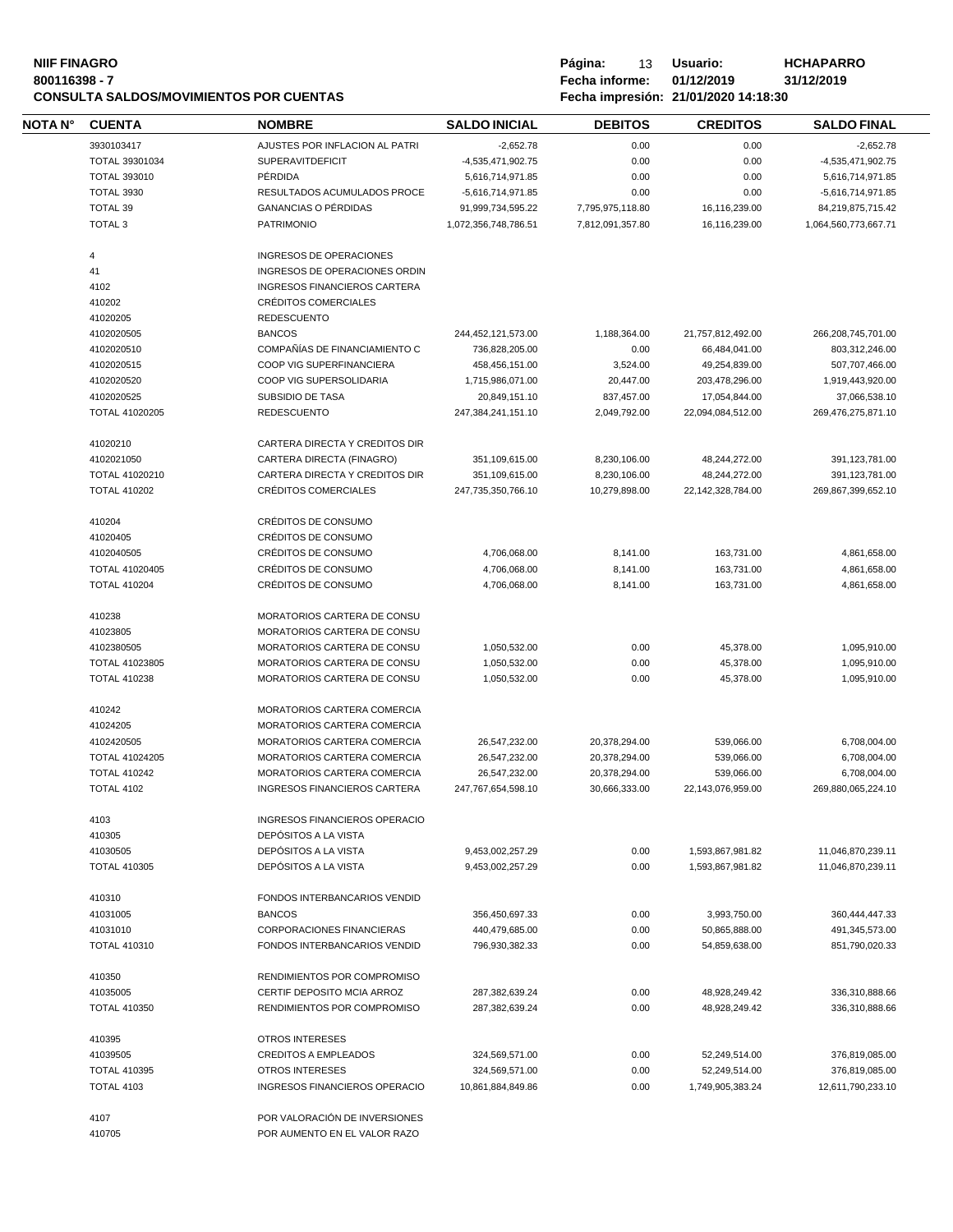#### **NIIF FINAGRO P á g i n a :** 13 **U s u a r i o : HCHAPARRO 800116398 - 7 Fecha informe: 01/12/2019 31/12/2019 CONSULTA SALDOS/MOVIMIENTOS POR CUENTAS Fecha impresión: 21/01/2020 14:18:30**

| Página: | 13.            | Usuario:                             | НC  |
|---------|----------------|--------------------------------------|-----|
|         | Fecha informe: |                                      | 31/ |
|         |                | Fecha impresión: 21/01/2020 14:18:30 |     |

| <b>NOTA N°</b> | <b>CUENTA</b>         | <b>NOMBRE</b>                                            | <b>SALDO INICIAL</b> | <b>DEBITOS</b>   | <b>CREDITOS</b>      | <b>SALDO FINAL</b>   |
|----------------|-----------------------|----------------------------------------------------------|----------------------|------------------|----------------------|----------------------|
|                | 3930103417            | AJUSTES POR INFLACION AL PATRI                           | $-2,652.78$          | 0.00             | 0.00                 | $-2,652.78$          |
|                | TOTAL 39301034        | <b>SUPERAVITDEFICIT</b>                                  | -4,535,471,902.75    | 0.00             | 0.00                 | -4,535,471,902.75    |
|                | <b>TOTAL 393010</b>   | PÉRDIDA                                                  | 5,616,714,971.85     | 0.00             | 0.00                 | 5,616,714,971.85     |
|                | <b>TOTAL 3930</b>     | RESULTADOS ACUMULADOS PROCE                              | -5,616,714,971.85    | 0.00             | 0.00                 | -5,616,714,971.85    |
|                | TOTAL 39              | <b>GANANCIAS O PÉRDIDAS</b>                              | 91,999,734,595.22    | 7,795,975,118.80 | 16,116,239.00        | 84,219,875,715.42    |
|                | <b>TOTAL 3</b>        | <b>PATRIMONIO</b>                                        | 1,072,356,748,786.51 | 7,812,091,357.80 | 16,116,239.00        | 1,064,560,773,667.71 |
|                |                       |                                                          |                      |                  |                      |                      |
|                | $\overline{4}$<br>41  | INGRESOS DE OPERACIONES<br>INGRESOS DE OPERACIONES ORDIN |                      |                  |                      |                      |
|                | 4102                  | <b>INGRESOS FINANCIEROS CARTERA</b>                      |                      |                  |                      |                      |
|                | 410202                | <b>CRÉDITOS COMERCIALES</b>                              |                      |                  |                      |                      |
|                | 41020205              | <b>REDESCUENTO</b>                                       |                      |                  |                      |                      |
|                | 4102020505            | <b>BANCOS</b>                                            | 244,452,121,573.00   |                  |                      |                      |
|                |                       |                                                          |                      | 1,188,364.00     | 21,757,812,492.00    | 266,208,745,701.00   |
|                | 4102020510            | COMPAÑÍAS DE FINANCIAMIENTO C                            | 736,828,205.00       | 0.00             | 66,484,041.00        | 803,312,246.00       |
|                | 4102020515            | COOP VIG SUPERFINANCIERA                                 | 458,456,151.00       | 3,524.00         | 49,254,839.00        | 507,707,466.00       |
|                | 4102020520            | COOP VIG SUPERSOLIDARIA                                  | 1,715,986,071.00     | 20,447.00        | 203,478,296.00       | 1,919,443,920.00     |
|                | 4102020525            | SUBSIDIO DE TASA                                         | 20,849,151.10        | 837,457.00       | 17,054,844.00        | 37,066,538.10        |
|                | TOTAL 41020205        | <b>REDESCUENTO</b>                                       | 247,384,241,151.10   | 2,049,792.00     | 22,094,084,512.00    | 269,476,275,871.10   |
|                | 41020210              | CARTERA DIRECTA Y CREDITOS DIR                           |                      |                  |                      |                      |
|                | 4102021050            | CARTERA DIRECTA (FINAGRO)                                | 351,109,615.00       | 8,230,106.00     | 48,244,272.00        | 391,123,781.00       |
|                | TOTAL 41020210        | CARTERA DIRECTA Y CREDITOS DIR                           | 351,109,615.00       | 8,230,106.00     | 48,244,272.00        | 391,123,781.00       |
|                | <b>TOTAL 410202</b>   | CRÉDITOS COMERCIALES                                     | 247,735,350,766.10   | 10,279,898.00    | 22, 142, 328, 784.00 | 269,867,399,652.10   |
|                |                       |                                                          |                      |                  |                      |                      |
|                | 410204                | CRÉDITOS DE CONSUMO                                      |                      |                  |                      |                      |
|                | 41020405              | CRÉDITOS DE CONSUMO                                      |                      |                  |                      |                      |
|                | 4102040505            | CRÉDITOS DE CONSUMO                                      | 4,706,068.00         | 8,141.00         | 163,731.00           | 4,861,658.00         |
|                | TOTAL 41020405        | CRÉDITOS DE CONSUMO                                      | 4,706,068.00         | 8,141.00         | 163,731.00           | 4,861,658.00         |
|                | <b>TOTAL 410204</b>   | CRÉDITOS DE CONSUMO                                      | 4,706,068.00         | 8,141.00         | 163,731.00           | 4,861,658.00         |
|                | 410238                | MORATORIOS CARTERA DE CONSU                              |                      |                  |                      |                      |
|                | 41023805              | MORATORIOS CARTERA DE CONSU                              |                      |                  |                      |                      |
|                | 4102380505            | MORATORIOS CARTERA DE CONSU                              | 1,050,532.00         | 0.00             | 45,378.00            | 1,095,910.00         |
|                | TOTAL 41023805        | MORATORIOS CARTERA DE CONSU                              | 1,050,532.00         | 0.00             | 45,378.00            | 1,095,910.00         |
|                | <b>TOTAL 410238</b>   | MORATORIOS CARTERA DE CONSU                              | 1,050,532.00         | 0.00             | 45,378.00            | 1,095,910.00         |
|                |                       |                                                          |                      |                  |                      |                      |
|                | 410242                | MORATORIOS CARTERA COMERCIA                              |                      |                  |                      |                      |
|                | 41024205              | MORATORIOS CARTERA COMERCIA                              |                      |                  |                      |                      |
|                | 4102420505            | MORATORIOS CARTERA COMERCIA                              | 26,547,232.00        | 20,378,294.00    | 539,066.00           | 6,708,004.00         |
|                | <b>TOTAL 41024205</b> | MORATORIOS CARTERA COMERCIA                              | 26,547,232.00        | 20,378,294.00    | 539,066.00           | 6,708,004.00         |
|                | <b>TOTAL 410242</b>   | MORATORIOS CARTERA COMERCIA                              | 26,547,232.00        | 20,378,294.00    | 539,066.00           | 6,708,004.00         |
|                | <b>TOTAL 4102</b>     | INGRESOS FINANCIEROS CARTERA                             | 247,767,654,598.10   | 30,666,333.00    | 22,143,076,959.00    | 269,880,065,224.10   |
|                | 4103                  | INGRESOS FINANCIEROS OPERACIO                            |                      |                  |                      |                      |
|                | 410305                | DEPÓSITOS A LA VISTA                                     |                      |                  |                      |                      |
|                | 41030505              | DEPÓSITOS A LA VISTA                                     | 9,453,002,257.29     | 0.00             | 1,593,867,981.82     | 11,046,870,239.11    |
|                | <b>TOTAL 410305</b>   | DEPÓSITOS A LA VISTA                                     | 9,453,002,257.29     | 0.00             | 1,593,867,981.82     | 11,046,870,239.11    |
|                | 410310                | FONDOS INTERBANCARIOS VENDID                             |                      |                  |                      |                      |
|                |                       | <b>BANCOS</b>                                            | 356,450,697.33       |                  |                      |                      |
|                | 41031005              |                                                          |                      | 0.00             | 3,993,750.00         | 360,444,447.33       |
|                | 41031010              | <b>CORPORACIONES FINANCIERAS</b>                         | 440,479,685.00       | 0.00             | 50,865,888.00        | 491,345,573.00       |
|                | <b>TOTAL 410310</b>   | FONDOS INTERBANCARIOS VENDID                             | 796,930,382.33       | 0.00             | 54,859,638.00        | 851,790,020.33       |
|                | 410350                | RENDIMIENTOS POR COMPROMISO                              |                      |                  |                      |                      |
|                | 41035005              | CERTIF DEPOSITO MCIA ARROZ                               | 287,382,639.24       | 0.00             | 48,928,249.42        | 336,310,888.66       |
|                | <b>TOTAL 410350</b>   | RENDIMIENTOS POR COMPROMISO                              | 287,382,639.24       | 0.00             | 48,928,249.42        | 336,310,888.66       |
|                | 410395                | <b>OTROS INTERESES</b>                                   |                      |                  |                      |                      |
|                | 41039505              | <b>CREDITOS A EMPLEADOS</b>                              | 324,569,571.00       | 0.00             | 52,249,514.00        | 376,819,085.00       |
|                | <b>TOTAL 410395</b>   | OTROS INTERESES                                          | 324,569,571.00       | 0.00             | 52,249,514.00        | 376,819,085.00       |
|                |                       |                                                          |                      |                  |                      |                      |
|                | <b>TOTAL 4103</b>     | INGRESOS FINANCIEROS OPERACIO                            | 10,861,884,849.86    | 0.00             | 1,749,905,383.24     | 12,611,790,233.10    |
|                | 4107                  | POR VALORACIÓN DE INVERSIONES                            |                      |                  |                      |                      |
|                | 410705                | POR AUMENTO EN EL VALOR RAZO                             |                      |                  |                      |                      |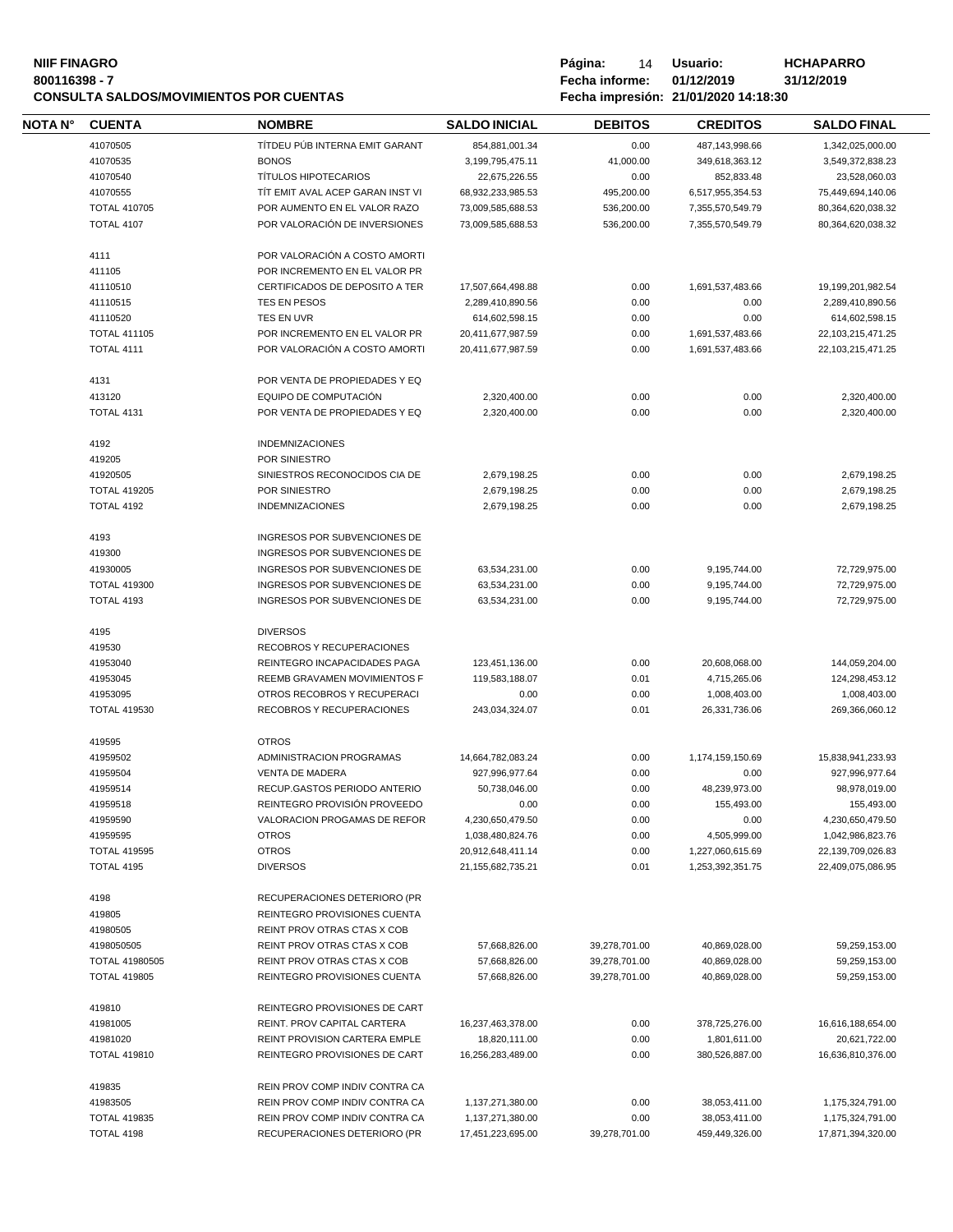# **NIIF FINAGRO P á g i n a :** 14 **U s u a r i o : HCHAPARRO CONSULTA SALDOS/MOVIMIENTOS POR CUENTAS Fecha impresión: 21/01/2020 14:18:30**

| NOTA N° | <b>CUENTA</b>                   | <b>NOMBRE</b>                                                  | <b>SALDO INICIAL</b>  | <b>DEBITOS</b> | <b>CREDITOS</b>  | <b>SALDO FINAL</b> |
|---------|---------------------------------|----------------------------------------------------------------|-----------------------|----------------|------------------|--------------------|
|         | 41070505                        | TÍTDEU PÚB INTERNA EMIT GARANT                                 | 854,881,001.34        | 0.00           | 487,143,998.66   | 1,342,025,000.00   |
|         | 41070535                        | <b>BONOS</b>                                                   | 3,199,795,475.11      | 41,000.00      | 349,618,363.12   | 3,549,372,838.23   |
|         | 41070540                        | <b>TÍTULOS HIPOTECARIOS</b>                                    | 22,675,226.55         | 0.00           | 852,833.48       | 23,528,060.03      |
|         | 41070555                        | TIT EMIT AVAL ACEP GARAN INST VI                               | 68,932,233,985.53     | 495,200.00     | 6,517,955,354.53 | 75,449,694,140.06  |
|         | <b>TOTAL 410705</b>             | POR AUMENTO EN EL VALOR RAZO                                   | 73,009,585,688.53     | 536,200.00     | 7,355,570,549.79 | 80,364,620,038.32  |
|         | <b>TOTAL 4107</b>               | POR VALORACIÓN DE INVERSIONES                                  |                       |                | 7,355,570,549.79 |                    |
|         |                                 |                                                                | 73,009,585,688.53     | 536,200.00     |                  | 80,364,620,038.32  |
|         | 4111                            | POR VALORACIÓN A COSTO AMORTI                                  |                       |                |                  |                    |
|         | 411105                          | POR INCREMENTO EN EL VALOR PR                                  |                       |                |                  |                    |
|         | 41110510                        | CERTIFICADOS DE DEPOSITO A TER                                 | 17,507,664,498.88     | 0.00           | 1,691,537,483.66 | 19,199,201,982.54  |
|         | 41110515                        | TES EN PESOS                                                   | 2,289,410,890.56      | 0.00           | 0.00             | 2,289,410,890.56   |
|         | 41110520                        | TES EN UVR                                                     | 614,602,598.15        | 0.00           | 0.00             | 614,602,598.15     |
|         | <b>TOTAL 411105</b>             | POR INCREMENTO EN EL VALOR PR                                  | 20,411,677,987.59     | 0.00           | 1,691,537,483.66 | 22,103,215,471.25  |
|         | <b>TOTAL 4111</b>               | POR VALORACIÓN A COSTO AMORTI                                  | 20,411,677,987.59     | 0.00           | 1,691,537,483.66 | 22,103,215,471.25  |
|         | 4131                            | POR VENTA DE PROPIEDADES Y EQ                                  |                       |                |                  |                    |
|         | 413120                          | EQUIPO DE COMPUTACIÓN                                          | 2,320,400.00          | 0.00           | 0.00             | 2,320,400.00       |
|         | <b>TOTAL 4131</b>               | POR VENTA DE PROPIEDADES Y EQ                                  | 2,320,400.00          | 0.00           | 0.00             | 2,320,400.00       |
|         | 4192                            | <b>INDEMNIZACIONES</b>                                         |                       |                |                  |                    |
|         | 419205                          | POR SINIESTRO                                                  |                       |                |                  |                    |
|         | 41920505                        | SINIESTROS RECONOCIDOS CIA DE                                  | 2,679,198.25          | 0.00           | 0.00             | 2,679,198.25       |
|         | <b>TOTAL 419205</b>             | POR SINIESTRO                                                  | 2,679,198.25          | 0.00           | 0.00             | 2,679,198.25       |
|         | <b>TOTAL 4192</b>               | <b>INDEMNIZACIONES</b>                                         | 2,679,198.25          | 0.00           | 0.00             | 2,679,198.25       |
|         |                                 |                                                                |                       |                |                  |                    |
|         | 4193                            | INGRESOS POR SUBVENCIONES DE                                   |                       |                |                  |                    |
|         | 419300                          | INGRESOS POR SUBVENCIONES DE                                   |                       |                |                  |                    |
|         | 41930005                        | INGRESOS POR SUBVENCIONES DE                                   | 63,534,231.00         | 0.00           | 9,195,744.00     | 72,729,975.00      |
|         | <b>TOTAL 419300</b>             | INGRESOS POR SUBVENCIONES DE                                   | 63,534,231.00         | 0.00           | 9,195,744.00     | 72,729,975.00      |
|         | <b>TOTAL 4193</b>               | INGRESOS POR SUBVENCIONES DE                                   | 63,534,231.00         | 0.00           | 9,195,744.00     | 72,729,975.00      |
|         | 4195                            | <b>DIVERSOS</b>                                                |                       |                |                  |                    |
|         | 419530                          | RECOBROS Y RECUPERACIONES                                      |                       |                |                  |                    |
|         | 41953040                        | REINTEGRO INCAPACIDADES PAGA                                   | 123,451,136.00        | 0.00           | 20,608,068.00    | 144,059,204.00     |
|         | 41953045                        | REEMB GRAVAMEN MOVIMIENTOS F                                   | 119,583,188.07        | 0.01           | 4,715,265.06     | 124,298,453.12     |
|         | 41953095                        | OTROS RECOBROS Y RECUPERACI                                    | 0.00                  | 0.00           | 1,008,403.00     | 1,008,403.00       |
|         | <b>TOTAL 419530</b>             | RECOBROS Y RECUPERACIONES                                      | 243,034,324.07        | 0.01           | 26,331,736.06    | 269,366,060.12     |
|         | 419595                          | <b>OTROS</b>                                                   |                       |                |                  |                    |
|         | 41959502                        | ADMINISTRACION PROGRAMAS                                       | 14,664,782,083.24     | 0.00           | 1,174,159,150.69 | 15,838,941,233.93  |
|         | 41959504                        | <b>VENTA DE MADERA</b>                                         | 927,996,977.64        | 0.00           | 0.00             | 927,996,977.64     |
|         | 41959514                        | RECUP.GASTOS PERIODO ANTERIO                                   | 50.738.046.00         | 0.00           | 48,239,973.00    | 98,978,019.00      |
|         | 41959518                        | REINTEGRO PROVISIÓN PROVEEDO                                   | 0.00                  | 0.00           | 155,493.00       | 155,493.00         |
|         | 41959590                        | VALORACION PROGAMAS DE REFOR                                   | 4,230,650,479.50      | 0.00           | 0.00             | 4,230,650,479.50   |
|         | 41959595                        | <b>OTROS</b>                                                   | 1,038,480,824.76      | 0.00           | 4,505,999.00     | 1,042,986,823.76   |
|         | <b>TOTAL 419595</b>             | <b>OTROS</b>                                                   | 20,912,648,411.14     | 0.00           | 1,227,060,615.69 | 22,139,709,026.83  |
|         | TOTAL 4195                      | <b>DIVERSOS</b>                                                | 21, 155, 682, 735. 21 | 0.01           | 1,253,392,351.75 | 22,409,075,086.95  |
|         | 4198                            | RECUPERACIONES DETERIORO (PR                                   |                       |                |                  |                    |
|         | 419805                          | REINTEGRO PROVISIONES CUENTA                                   |                       |                |                  |                    |
|         | 41980505                        | REINT PROV OTRAS CTAS X COB                                    |                       |                |                  |                    |
|         | 4198050505                      | REINT PROV OTRAS CTAS X COB                                    | 57,668,826.00         | 39,278,701.00  | 40,869,028.00    | 59,259,153.00      |
|         | <b>TOTAL 41980505</b>           | REINT PROV OTRAS CTAS X COB                                    | 57,668,826.00         | 39,278,701.00  | 40,869,028.00    | 59,259,153.00      |
|         | <b>TOTAL 419805</b>             | REINTEGRO PROVISIONES CUENTA                                   | 57,668,826.00         | 39,278,701.00  | 40,869,028.00    | 59,259,153.00      |
|         |                                 |                                                                |                       |                |                  |                    |
|         | 419810                          | REINTEGRO PROVISIONES DE CART                                  |                       |                |                  |                    |
|         | 41981005                        | REINT. PROV CAPITAL CARTERA                                    | 16,237,463,378.00     | 0.00           | 378,725,276.00   | 16,616,188,654.00  |
|         | 41981020<br><b>TOTAL 419810</b> | REINT PROVISION CARTERA EMPLE<br>REINTEGRO PROVISIONES DE CART | 18,820,111.00         | 0.00           | 1,801,611.00     | 20,621,722.00      |
|         |                                 |                                                                | 16,256,283,489.00     | 0.00           | 380,526,887.00   | 16,636,810,376.00  |
|         | 419835                          | REIN PROV COMP INDIV CONTRA CA                                 |                       |                |                  |                    |
|         | 41983505                        | REIN PROV COMP INDIV CONTRA CA                                 | 1,137,271,380.00      | 0.00           | 38,053,411.00    | 1,175,324,791.00   |
|         | <b>TOTAL 419835</b>             | REIN PROV COMP INDIV CONTRA CA                                 | 1,137,271,380.00      | 0.00           | 38,053,411.00    | 1,175,324,791.00   |
|         | TOTAL 4198                      | RECUPERACIONES DETERIORO (PR                                   | 17,451,223,695.00     | 39,278,701.00  | 459,449,326.00   | 17,871,394,320.00  |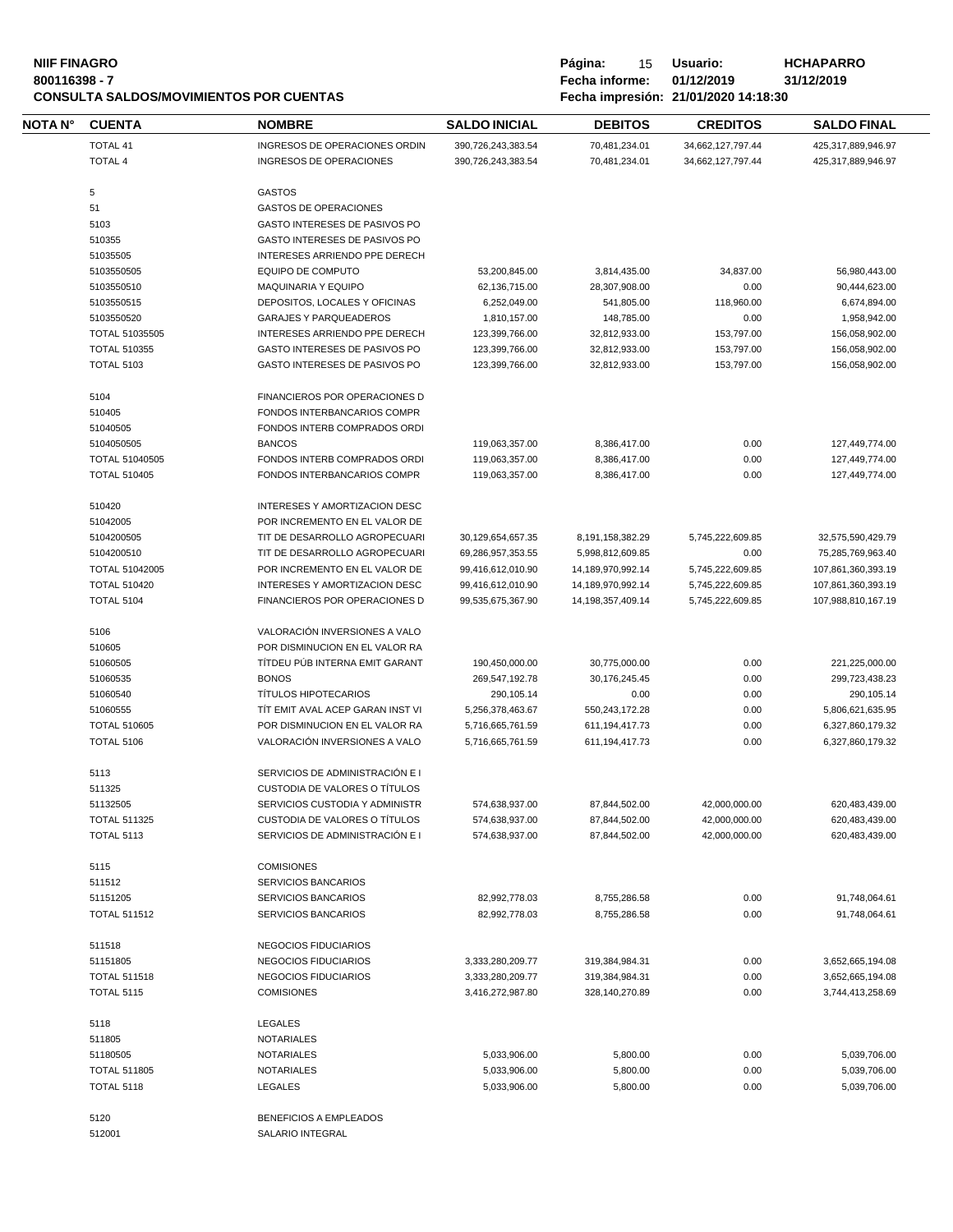### **800116398 - 7 Fecha informe: 01/12/2019 31/12/2019 CONSULTA SALDOS/MOVIMIENTOS POR CUENTAS Fecha impresión: 21/01/2020 14:18:30**

| <b>NIIF FINAGRO</b>                            | Página:        | 15 | Usuario:                             | <b>HCHAPARRO</b> |
|------------------------------------------------|----------------|----|--------------------------------------|------------------|
| 800116398 - 7                                  | Fecha informe: |    | 01/12/2019                           | 31/12/2019       |
| <b>CONSULTA SALDOS/MOVIMIENTOS POR CUENTAS</b> |                |    | Fecha impresión: 21/01/2020 14:18:30 |                  |

 $\overline{\phantom{0}}$ 

| NOTA N° | <b>CUENTA</b>         | <b>NOMBRE</b>                    | <b>SALDO INICIAL</b> | <b>DEBITOS</b>        | <b>CREDITOS</b>   | <b>SALDO FINAL</b> |
|---------|-----------------------|----------------------------------|----------------------|-----------------------|-------------------|--------------------|
|         | <b>TOTAL 41</b>       | INGRESOS DE OPERACIONES ORDIN    | 390,726,243,383.54   | 70,481,234.01         | 34,662,127,797.44 | 425,317,889,946.97 |
|         | <b>TOTAL 4</b>        | INGRESOS DE OPERACIONES          | 390,726,243,383.54   | 70,481,234.01         | 34,662,127,797.44 | 425,317,889,946.97 |
|         |                       |                                  |                      |                       |                   |                    |
|         | 5                     | <b>GASTOS</b>                    |                      |                       |                   |                    |
|         | 51                    | <b>GASTOS DE OPERACIONES</b>     |                      |                       |                   |                    |
|         | 5103                  | GASTO INTERESES DE PASIVOS PO    |                      |                       |                   |                    |
|         | 510355                | GASTO INTERESES DE PASIVOS PO    |                      |                       |                   |                    |
|         | 51035505              | INTERESES ARRIENDO PPE DERECH    |                      |                       |                   |                    |
|         | 5103550505            | <b>EQUIPO DE COMPUTO</b>         | 53,200,845.00        | 3,814,435.00          | 34,837.00         | 56,980,443.00      |
|         | 5103550510            | <b>MAQUINARIA Y EQUIPO</b>       | 62,136,715.00        | 28,307,908.00         | 0.00              | 90,444,623.00      |
|         | 5103550515            | DEPOSITOS, LOCALES Y OFICINAS    | 6,252,049.00         | 541,805.00            | 118,960.00        | 6,674,894.00       |
|         | 5103550520            | <b>GARAJES Y PARQUEADEROS</b>    | 1,810,157.00         | 148,785.00            | 0.00              | 1,958,942.00       |
|         | <b>TOTAL 51035505</b> | INTERESES ARRIENDO PPE DERECH    | 123,399,766.00       | 32,812,933.00         | 153,797.00        | 156,058,902.00     |
|         | <b>TOTAL 510355</b>   | GASTO INTERESES DE PASIVOS PO    | 123,399,766.00       | 32,812,933.00         | 153,797.00        | 156,058,902.00     |
|         | <b>TOTAL 5103</b>     | GASTO INTERESES DE PASIVOS PO    | 123,399,766.00       | 32,812,933.00         | 153,797.00        | 156,058,902.00     |
|         | 5104                  | FINANCIEROS POR OPERACIONES D    |                      |                       |                   |                    |
|         | 510405                | FONDOS INTERBANCARIOS COMPR      |                      |                       |                   |                    |
|         | 51040505              | FONDOS INTERB COMPRADOS ORDI     |                      |                       |                   |                    |
|         | 5104050505            | <b>BANCOS</b>                    | 119,063,357.00       | 8,386,417.00          | 0.00              | 127,449,774.00     |
|         | <b>TOTAL 51040505</b> | FONDOS INTERB COMPRADOS ORDI     | 119,063,357.00       | 8,386,417.00          | 0.00              | 127,449,774.00     |
|         | <b>TOTAL 510405</b>   | FONDOS INTERBANCARIOS COMPR      |                      |                       | 0.00              |                    |
|         |                       |                                  | 119,063,357.00       | 8,386,417.00          |                   | 127,449,774.00     |
|         | 510420                | INTERESES Y AMORTIZACION DESC    |                      |                       |                   |                    |
|         | 51042005              | POR INCREMENTO EN EL VALOR DE    |                      |                       |                   |                    |
|         | 5104200505            | TIT DE DESARROLLO AGROPECUARI    | 30,129,654,657.35    | 8,191,158,382.29      | 5,745,222,609.85  | 32,575,590,429.79  |
|         | 5104200510            | TIT DE DESARROLLO AGROPECUARI    | 69,286,957,353.55    | 5,998,812,609.85      | 0.00              | 75,285,769,963.40  |
|         | <b>TOTAL 51042005</b> | POR INCREMENTO EN EL VALOR DE    | 99,416,612,010.90    | 14,189,970,992.14     | 5,745,222,609.85  | 107,861,360,393.19 |
|         | <b>TOTAL 510420</b>   | INTERESES Y AMORTIZACION DESC    | 99,416,612,010.90    | 14,189,970,992.14     | 5,745,222,609.85  | 107,861,360,393.19 |
|         | TOTAL 5104            | FINANCIEROS POR OPERACIONES D    | 99,535,675,367.90    | 14, 198, 357, 409. 14 | 5,745,222,609.85  | 107,988,810,167.19 |
|         |                       |                                  |                      |                       |                   |                    |
|         | 5106                  | VALORACIÓN INVERSIONES A VALO    |                      |                       |                   |                    |
|         | 510605                | POR DISMINUCION EN EL VALOR RA   |                      |                       |                   |                    |
|         | 51060505              | TÍTDEU PÚB INTERNA EMIT GARANT   | 190,450,000.00       | 30,775,000.00         | 0.00              | 221,225,000.00     |
|         | 51060535              | <b>BONOS</b>                     | 269,547,192.78       | 30,176,245.45         | 0.00              | 299,723,438.23     |
|         | 51060540              | <b>TÍTULOS HIPOTECARIOS</b>      | 290,105.14           | 0.00                  | 0.00              | 290,105.14         |
|         | 51060555              | TIT EMIT AVAL ACEP GARAN INST VI | 5,256,378,463.67     | 550,243,172.28        | 0.00              | 5,806,621,635.95   |
|         | <b>TOTAL 510605</b>   | POR DISMINUCION EN EL VALOR RA   | 5,716,665,761.59     | 611, 194, 417. 73     | 0.00              | 6,327,860,179.32   |
|         | <b>TOTAL 5106</b>     | VALORACIÓN INVERSIONES A VALO    | 5,716,665,761.59     | 611, 194, 417. 73     | 0.00              | 6.327.860.179.32   |
|         | 5113                  | SERVICIOS DE ADMINISTRACIÓN E I  |                      |                       |                   |                    |
|         | 511325                | CUSTODIA DE VALORES O TÍTULOS    |                      |                       |                   |                    |
|         | 51132505              | SERVICIOS CUSTODIA Y ADMINISTR   | 574,638,937.00       | 87,844,502.00         | 42,000,000.00     | 620,483,439.00     |
|         | <b>TOTAL 511325</b>   | CUSTODIA DE VALORES O TÍTULOS    | 574,638,937.00       | 87,844,502.00         | 42,000,000.00     | 620,483,439.00     |
|         | <b>TOTAL 5113</b>     | SERVICIOS DE ADMINISTRACIÓN E I  | 574,638,937.00       | 87,844,502.00         | 42,000,000.00     | 620,483,439.00     |
|         |                       |                                  |                      |                       |                   |                    |
|         | 5115                  | <b>COMISIONES</b>                |                      |                       |                   |                    |
|         | 511512                | <b>SERVICIOS BANCARIOS</b>       |                      |                       |                   |                    |
|         | 51151205              | <b>SERVICIOS BANCARIOS</b>       | 82,992,778.03        | 8,755,286.58          | 0.00              | 91,748,064.61      |
|         | <b>TOTAL 511512</b>   | SERVICIOS BANCARIOS              | 82,992,778.03        | 8,755,286.58          | 0.00              | 91,748,064.61      |
|         | 511518                | NEGOCIOS FIDUCIARIOS             |                      |                       |                   |                    |
|         | 51151805              | <b>NEGOCIOS FIDUCIARIOS</b>      | 3,333,280,209.77     | 319,384,984.31        | 0.00              | 3,652,665,194.08   |
|         | <b>TOTAL 511518</b>   | NEGOCIOS FIDUCIARIOS             | 3,333,280,209.77     | 319,384,984.31        | 0.00              | 3,652,665,194.08   |
|         | <b>TOTAL 5115</b>     | <b>COMISIONES</b>                | 3,416,272,987.80     | 328,140,270.89        | 0.00              | 3,744,413,258.69   |
|         |                       |                                  |                      |                       |                   |                    |
|         | 5118                  | LEGALES                          |                      |                       |                   |                    |
|         | 511805                | <b>NOTARIALES</b>                |                      |                       |                   |                    |
|         | 51180505              | <b>NOTARIALES</b>                | 5,033,906.00         | 5,800.00              | 0.00              | 5,039,706.00       |
|         | <b>TOTAL 511805</b>   | <b>NOTARIALES</b>                | 5,033,906.00         | 5,800.00              | 0.00              | 5,039,706.00       |
|         | <b>TOTAL 5118</b>     | <b>LEGALES</b>                   | 5,033,906.00         | 5,800.00              | 0.00              | 5,039,706.00       |
|         | 5120                  | BENEFICIOS A EMPLEADOS           |                      |                       |                   |                    |

512001 SALARIO INTEGRAL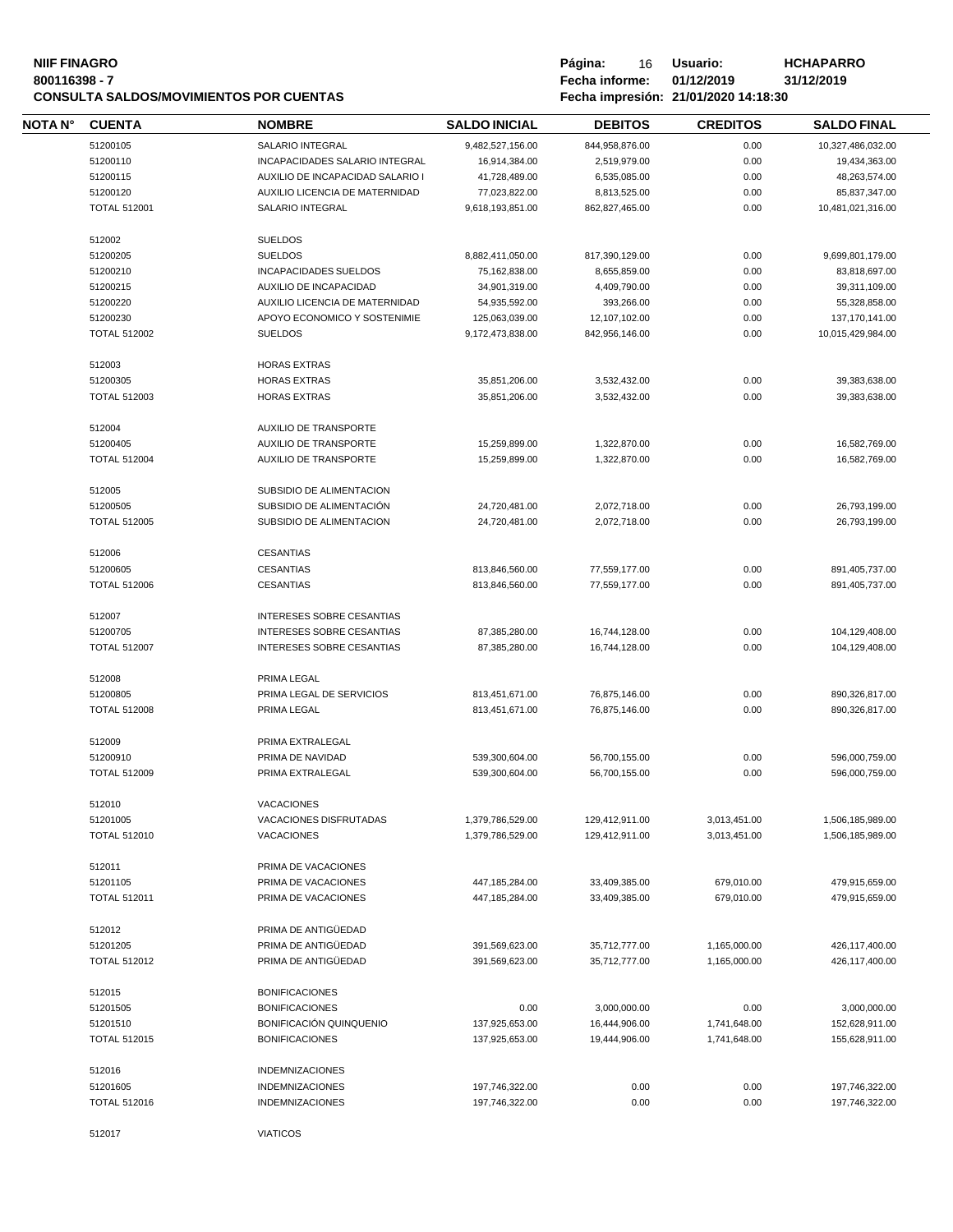# **NIIF FINAGRO P á g i n a :** 16 **U s u a r i o : HCHAPARRO CONSULTA SALDOS/MOVIMIENTOS POR CUENTAS Fecha impresión: 21/01/2020 14:18:30**

| <b>NOTA N°</b> | <b>CUENTA</b>       | <b>NOMBRE</b>                                        | <b>SALDO INICIAL</b>               | <b>DEBITOS</b>             | <b>CREDITOS</b> | <b>SALDO FINAL</b>             |
|----------------|---------------------|------------------------------------------------------|------------------------------------|----------------------------|-----------------|--------------------------------|
|                | 51200105            | SALARIO INTEGRAL                                     | 9,482,527,156.00                   | 844,958,876.00             | 0.00            | 10,327,486,032.00              |
|                | 51200110            | INCAPACIDADES SALARIO INTEGRAL                       | 16,914,384.00                      | 2,519,979.00               | 0.00            | 19,434,363.00                  |
|                | 51200115            | AUXILIO DE INCAPACIDAD SALARIO I                     | 41,728,489.00                      | 6,535,085.00               | 0.00            | 48,263,574.00                  |
|                | 51200120            | AUXILIO LICENCIA DE MATERNIDAD                       | 77,023,822.00                      | 8,813,525.00               | 0.00            | 85,837,347.00                  |
|                | <b>TOTAL 512001</b> | SALARIO INTEGRAL                                     | 9,618,193,851.00                   | 862,827,465.00             | 0.00            | 10,481,021,316.00              |
|                |                     |                                                      |                                    |                            |                 |                                |
|                | 512002<br>51200205  | <b>SUELDOS</b><br><b>SUELDOS</b>                     | 8,882,411,050.00                   | 817,390,129.00             | 0.00            | 9,699,801,179.00               |
|                | 51200210            | INCAPACIDADES SUELDOS                                | 75,162,838.00                      | 8,655,859.00               | 0.00            | 83,818,697.00                  |
|                | 51200215            | AUXILIO DE INCAPACIDAD                               |                                    |                            | 0.00            |                                |
|                | 51200220            | AUXILIO LICENCIA DE MATERNIDAD                       | 34,901,319.00<br>54,935,592.00     | 4,409,790.00<br>393,266.00 | 0.00            | 39,311,109.00<br>55,328,858.00 |
|                | 51200230            | APOYO ECONOMICO Y SOSTENIMIE                         |                                    | 12,107,102.00              | 0.00            | 137, 170, 141.00               |
|                | <b>TOTAL 512002</b> | <b>SUELDOS</b>                                       | 125,063,039.00<br>9,172,473,838.00 | 842,956,146.00             | 0.00            | 10,015,429,984.00              |
|                |                     |                                                      |                                    |                            |                 |                                |
|                | 512003              | <b>HORAS EXTRAS</b>                                  |                                    |                            |                 |                                |
|                | 51200305            | <b>HORAS EXTRAS</b>                                  | 35,851,206.00                      | 3,532,432.00               | 0.00            | 39,383,638.00                  |
|                | <b>TOTAL 512003</b> | <b>HORAS EXTRAS</b>                                  | 35,851,206.00                      | 3,532,432.00               | 0.00            | 39,383,638.00                  |
|                | 512004              | <b>AUXILIO DE TRANSPORTE</b>                         |                                    |                            |                 |                                |
|                | 51200405            | AUXILIO DE TRANSPORTE                                | 15,259,899.00                      | 1,322,870.00               | 0.00            | 16,582,769.00                  |
|                | <b>TOTAL 512004</b> | AUXILIO DE TRANSPORTE                                | 15,259,899.00                      | 1,322,870.00               | 0.00            | 16,582,769.00                  |
|                |                     |                                                      |                                    |                            |                 |                                |
|                | 512005<br>51200505  | SUBSIDIO DE ALIMENTACION<br>SUBSIDIO DE ALIMENTACIÓN | 24,720,481.00                      | 2,072,718.00               | 0.00            | 26,793,199.00                  |
|                | <b>TOTAL 512005</b> | SUBSIDIO DE ALIMENTACION                             | 24,720,481.00                      | 2.072.718.00               | 0.00            | 26,793,199.00                  |
|                |                     |                                                      |                                    |                            |                 |                                |
|                | 512006              | <b>CESANTIAS</b>                                     |                                    |                            |                 |                                |
|                | 51200605            | <b>CESANTIAS</b>                                     | 813,846,560.00                     | 77,559,177.00              | 0.00            | 891,405,737.00                 |
|                | <b>TOTAL 512006</b> | <b>CESANTIAS</b>                                     | 813,846,560.00                     | 77,559,177.00              | 0.00            | 891,405,737.00                 |
|                | 512007              | INTERESES SOBRE CESANTIAS                            |                                    |                            |                 |                                |
|                | 51200705            | <b>INTERESES SOBRE CESANTIAS</b>                     | 87,385,280.00                      | 16,744,128.00              | 0.00            | 104,129,408.00                 |
|                | <b>TOTAL 512007</b> | <b>INTERESES SOBRE CESANTIAS</b>                     | 87,385,280.00                      | 16,744,128.00              | 0.00            | 104,129,408.00                 |
|                |                     |                                                      |                                    |                            |                 |                                |
|                | 512008              | PRIMA LEGAL                                          |                                    |                            |                 |                                |
|                | 51200805            | PRIMA LEGAL DE SERVICIOS                             | 813,451,671.00                     | 76,875,146.00              | 0.00            | 890,326,817.00                 |
|                | <b>TOTAL 512008</b> | PRIMA LEGAL                                          | 813,451,671.00                     | 76,875,146.00              | 0.00            | 890,326,817.00                 |
|                | 512009              | PRIMA EXTRALEGAL                                     |                                    |                            |                 |                                |
|                | 51200910            | PRIMA DE NAVIDAD                                     | 539,300,604.00                     | 56,700,155.00              | 0.00            | 596,000,759.00                 |
|                | <b>TOTAL 512009</b> | PRIMA EXTRALEGAL                                     | 539,300,604.00                     | 56,700,155.00              | 0.00            | 596,000,759.00                 |
|                |                     |                                                      |                                    |                            |                 |                                |
|                | 512010              | VACACIONES                                           |                                    |                            |                 |                                |
|                | 51201005            | VACACIONES DISFRUTADAS                               | 1,379,786,529.00                   | 129,412,911.00             | 3,013,451.00    | 1,506,185,989.00               |
|                | <b>TOTAL 512010</b> | <b>VACACIONES</b>                                    | 1,379,786,529.00                   | 129,412,911.00             | 3,013,451.00    | 1,506,185,989.00               |
|                | 512011              | PRIMA DE VACACIONES                                  |                                    |                            |                 |                                |
|                | 51201105            | PRIMA DE VACACIONES                                  | 447,185,284.00                     | 33,409,385.00              | 679,010.00      | 479,915,659.00                 |
|                | <b>TOTAL 512011</b> | PRIMA DE VACACIONES                                  | 447,185,284.00                     | 33,409,385.00              | 679,010.00      | 479,915,659.00                 |
|                |                     |                                                      |                                    |                            |                 |                                |
|                | 512012<br>51201205  | PRIMA DE ANTIGÜEDAD<br>PRIMA DE ANTIGÜEDAD           | 391,569,623.00                     |                            |                 | 426,117,400.00                 |
|                | <b>TOTAL 512012</b> |                                                      |                                    | 35,712,777.00              | 1,165,000.00    |                                |
|                |                     | PRIMA DE ANTIGÜEDAD                                  | 391,569,623.00                     | 35,712,777.00              | 1,165,000.00    | 426,117,400.00                 |
|                | 512015              | <b>BONIFICACIONES</b>                                |                                    |                            |                 |                                |
|                | 51201505            | <b>BONIFICACIONES</b>                                | 0.00                               | 3,000,000.00               | 0.00            | 3,000,000.00                   |
|                | 51201510            | BONIFICACIÓN QUINQUENIO                              | 137,925,653.00                     | 16,444,906.00              | 1,741,648.00    | 152,628,911.00                 |
|                | <b>TOTAL 512015</b> | <b>BONIFICACIONES</b>                                | 137,925,653.00                     | 19,444,906.00              | 1,741,648.00    | 155,628,911.00                 |
|                | 512016              | <b>INDEMNIZACIONES</b>                               |                                    |                            |                 |                                |
|                | 51201605            | <b>INDEMNIZACIONES</b>                               | 197,746,322.00                     | 0.00                       | 0.00            | 197,746,322.00                 |
|                | <b>TOTAL 512016</b> | <b>INDEMNIZACIONES</b>                               | 197,746,322.00                     | 0.00                       | 0.00            | 197,746,322.00                 |
|                |                     |                                                      |                                    |                            |                 |                                |
|                | 512017              | <b>VIATICOS</b>                                      |                                    |                            |                 |                                |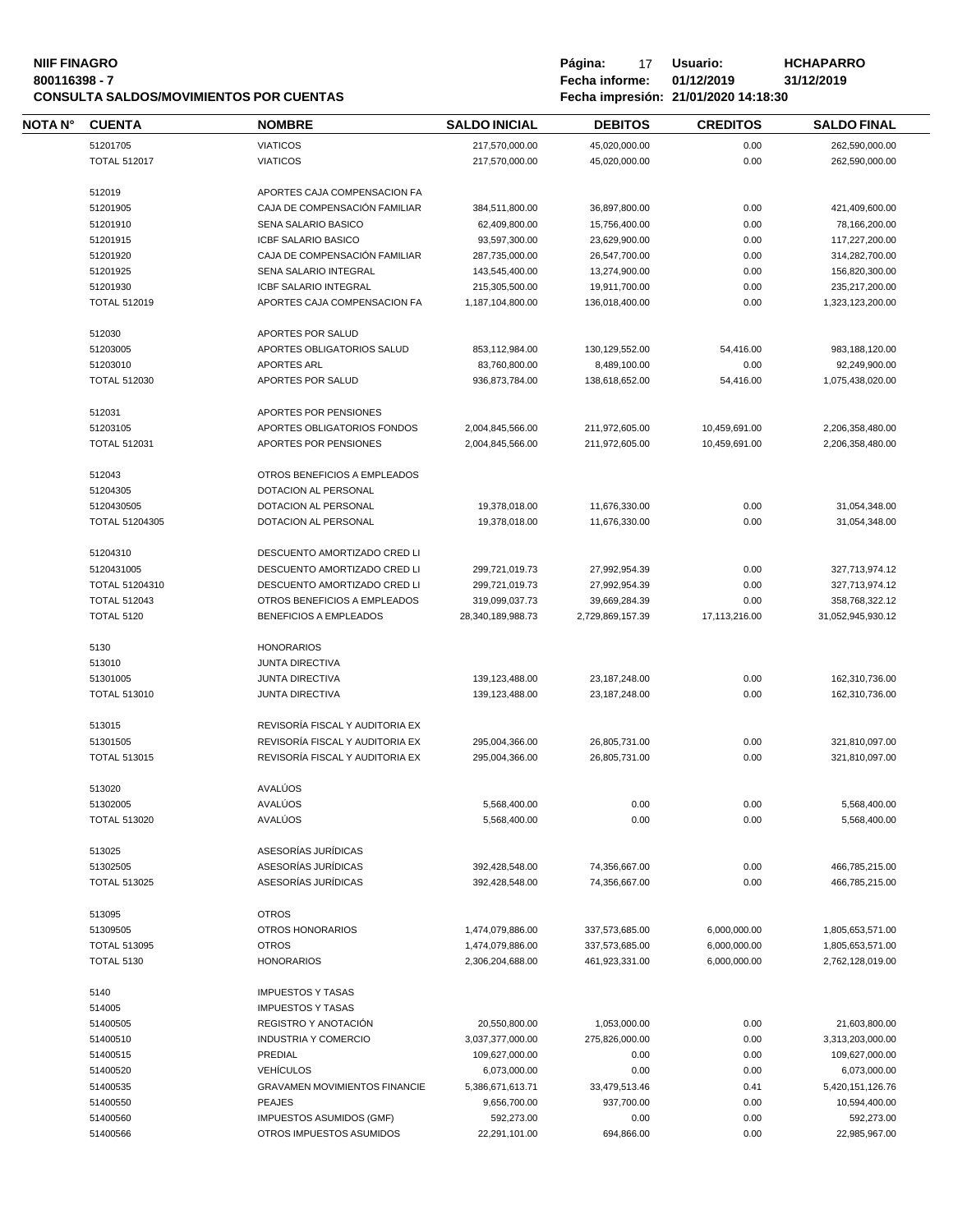#### **NIIF FINAGRO P á g i n a :** 17 **U s u a r i o : HCHAPARRO 800116398 - 7 Fecha informe: 01/12/2019 31/12/2019 CONSULTA SALDOS/MOVIMIENTOS POR CUENTAS Fecha impresión: 21/01/2020 14:18:30**

| Página:<br>17                        | Usuario:   | Н١ |
|--------------------------------------|------------|----|
| Fecha informe:                       | 01/12/2019 | 31 |
| Eecha impresión: 21/01/2020 14:18:30 |            |    |

**NOTA N° CUENTA NOMBRE SALDO INICIAL D E B I T O S C R E D I T O S SALDO FINAL** VIATICOS 217,570,000.00 45,020,000.00 0.00 262,590,000.00 TOTAL 512017 VIATICOS 217,570,000.00 45,020,000.00 0.00 262,590,000.00 APORTES CAJA COMPENSACION FA CAJA DE COMPENSACIÓN FAMILIAR 384,511,800.00 36,897,800.00 0.00 421,409,600.00 SENA SALARIO BASICO 62,409,800.00 15,756,400.00 0.00 78,166,200.00 ICBF SALARIO BASICO 93,597,300.00 23,629,900.00 0.00 117,227,200.00 CAJA DE COMPENSACIÓN FAMILIAR 287,735,000.00 26,547,700.00 0.00 314,282,700.00 SENA SALARIO INTEGRAL 143,545,400.00 13,274,900.00 0.00 156,820,300.00 ICBF SALARIO INTEGRAL 215,305,500.00 19,911,700.00 0.00 235,217,200.00 TOTAL 512019 APORTES CAJA COMPENSACION FA 1,187,104,800.00 136,018,400.00 0.00 1,323,123,200.00 APORTES POR SALUD APORTES OBLIGATORIOS SALUD 853,112,984.00 130,129,552.00 54,416.00 983,188,120.00 APORTES ARL 83,760,800.00 8,489,100.00 0.00 92,249,900.00 TOTAL 512030 APORTES POR SALUD 936,873,784.00 138,618,652.00 54,416.00 1,075,438,020.00 APORTES POR PENSIONES APORTES OBLIGATORIOS FONDOS 2,004,845,566.00 211,972,605.00 10,459,691.00 2,206,358,480.00 TOTAL 512031 APORTES POR PENSIONES 2,004,845,566.00 211,972,605.00 10,459,691.00 2,206,358,480.00 OTROS BENEFICIOS A EMPLEADOS DOTACION AL PERSONAL DOTACION AL PERSONAL 19,378,018.00 11,676,330.00 0.00 31,054,348.00 TOTAL 51204305 DOTACION AL PERSONAL 19,378,018.00 11,676,330.00 0.00 31,054,348.00 DESCUENTO AMORTIZADO CRED LI DESCUENTO AMORTIZADO CRED LI 299,721,019.73 27,992,954.39 0.00 327,713,974.12 TOTAL 51204310 DESCUENTO AMORTIZADO CRED LI 299,721,019.73 27,992,954.39 0.00 327,713,974.12 TOTAL 512043 OTROS BENEFICIOS A EMPLEADOS 319,099,037.73 39,669,284.39 0.00 358,768,322.12 TOTAL 5120 BENEFICIOS A EMPLEADOS 28,340,189,988.73 2,729,869,157.39 17,113,216.00 31,052,945,930.12 HONORARIOS JUNTA DIRECTIVA JUNTA DIRECTIVA 139,123,488.00 23,187,248.00 0.00 162,310,736.00 TOTAL 513010 JUNTA DIRECTIVA 139,123,488.00 23,187,248.00 0.00 162,310,736.00 REVISORÍA FISCAL Y AUDITORIA EX REVISORÍA FISCAL Y AUDITORIA EX 295,004,366.00 26,805,731.00 0.00 321,810,097.00 TOTAL 513015 REVISORÍA FISCAL Y AUDITORIA EX 295,004,366.00 26,805,731.00 0.00 321,810,097.00 AVALÚOS AVALÚOS 5,568,400.00 0.00 0.00 5,568,400.00 TOTAL 513020 AVALÚOS 5,568,400.00 0.00 0.00 5,568,400.00 ASESORÍAS JURÍDICAS ASESORÍAS JURÍDICAS 392,428,548.00 74,356,667.00 0.00 466,785,215.00 TOTAL 513025 ASESORÍAS JURÍDICAS 392,428,548.00 74,356,667.00 0.00 466,785,215.00 OTROS OTROS HONORARIOS 1,474,079,886.00 337,573,685.00 6,000,000.00 1,805,653,571.00 TOTAL 513095 OTROS 1,474,079,886.00 337,573,685.00 6,000,000.00 1,805,653,571.00 TOTAL 5130 HONORARIOS 2,306,204,688.00 461,923,331.00 6,000,000.00 2,762,128,019.00 IMPUESTOS Y TASAS IMPUESTOS Y TASAS REGISTRO Y ANOTACIÓN 20,550,800.00 1,053,000.00 0.00 21,603,800.00 INDUSTRIA Y COMERCIO 3,037,377,000.00 275,826,000.00 0.00 3,313,203,000.00 PREDIAL 109,627,000.00 0.00 0.00 109,627,000.00 VEHÍCULOS 6,073,000.00 0.00 0.00 6,073,000.00 GRAVAMEN MOVIMIENTOS FINANCIE 5,386,671,613.71 33,479,513.46 0.41 5,420,151,126.76 PEAJES 9,656,700.00 937,700.00 0.00 10,594,400.00 **IMPUESTOS ASUMIDOS (GMF)** 592,273.00 0.00 0.00 0.00 592,273.00 OTROS IMPUESTOS ASUMIDOS 22,291,101.00 694,866.00 0.00 22,985,967.00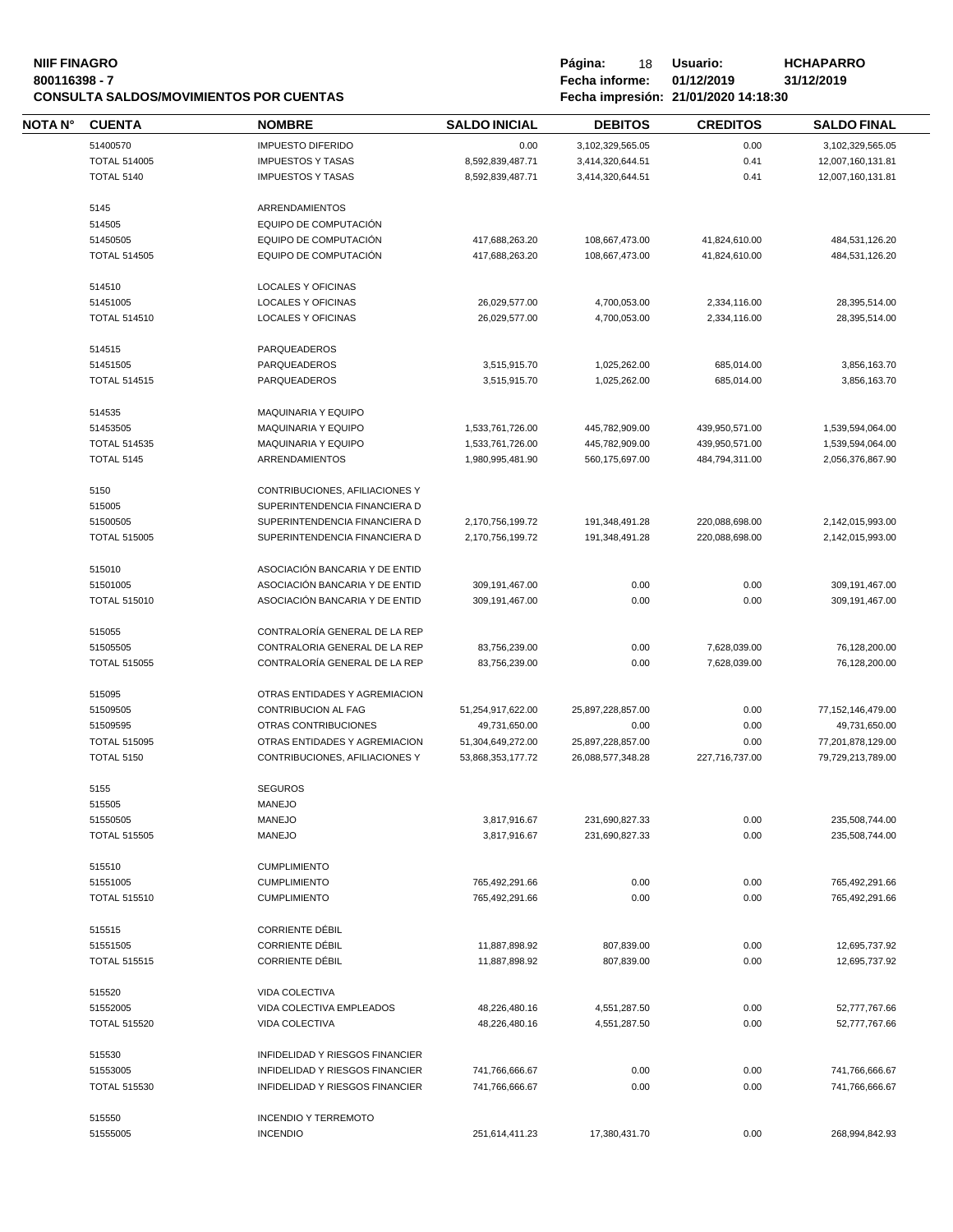#### **NIIF FINAGRO P á g i n a :** 18 **U s u a r i o : HCHAPARRO 800116398 - 7 Fecha informe: 01/12/2019 31/12/2019 CONSULTA SALDOS/MOVIMIENTOS POR CUENTAS Fecha impresión: 21/01/2020 14:18:30**

| Página:        | 18         | Usuario:                       |  |  |
|----------------|------------|--------------------------------|--|--|
| Fecha informe: | 01/12/2019 |                                |  |  |
|                |            | Eache impresión: 21/01/2020 14 |  |  |

| <b>NOTA N°</b> | <b>CUENTA</b>                            | <b>NOMBRE</b>                                                   | <b>SALDO INICIAL</b>                   | <b>DEBITOS</b>                         | <b>CREDITOS</b>        | <b>SALDO FINAL</b>                     |
|----------------|------------------------------------------|-----------------------------------------------------------------|----------------------------------------|----------------------------------------|------------------------|----------------------------------------|
|                | 51400570                                 | <b>IMPUESTO DIFERIDO</b>                                        | 0.00                                   | 3,102,329,565.05                       | 0.00                   | 3,102,329,565.05                       |
|                | <b>TOTAL 514005</b>                      | <b>IMPUESTOS Y TASAS</b>                                        | 8,592,839,487.71                       | 3,414,320,644.51                       | 0.41                   | 12,007,160,131.81                      |
|                | <b>TOTAL 5140</b>                        | <b>IMPUESTOS Y TASAS</b>                                        | 8,592,839,487.71                       | 3,414,320,644.51                       | 0.41                   | 12,007,160,131.81                      |
|                | 5145                                     | <b>ARRENDAMIENTOS</b>                                           |                                        |                                        |                        |                                        |
|                | 514505                                   | EQUIPO DE COMPUTACIÓN                                           |                                        |                                        |                        |                                        |
|                | 51450505                                 | EQUIPO DE COMPUTACIÓN                                           | 417,688,263.20                         | 108,667,473.00                         | 41,824,610.00          | 484,531,126.20                         |
|                | <b>TOTAL 514505</b>                      | EQUIPO DE COMPUTACIÓN                                           | 417,688,263.20                         | 108,667,473.00                         | 41,824,610.00          | 484,531,126.20                         |
|                |                                          |                                                                 |                                        |                                        |                        |                                        |
|                | 514510                                   | <b>LOCALES Y OFICINAS</b>                                       |                                        |                                        |                        |                                        |
|                | 51451005                                 | LOCALES Y OFICINAS                                              | 26,029,577.00                          | 4,700,053.00                           | 2,334,116.00           | 28,395,514.00                          |
|                | <b>TOTAL 514510</b>                      | <b>LOCALES Y OFICINAS</b>                                       | 26,029,577.00                          | 4,700,053.00                           | 2,334,116.00           | 28,395,514.00                          |
|                | 514515                                   | PARQUEADEROS                                                    |                                        |                                        |                        |                                        |
|                | 51451505                                 | PARQUEADEROS                                                    | 3,515,915.70                           | 1,025,262.00                           | 685,014.00             | 3,856,163.70                           |
|                | <b>TOTAL 514515</b>                      | PARQUEADEROS                                                    | 3,515,915.70                           | 1,025,262.00                           | 685,014.00             | 3,856,163.70                           |
|                |                                          |                                                                 |                                        |                                        |                        |                                        |
|                | 514535                                   | MAQUINARIA Y EQUIPO                                             |                                        |                                        |                        |                                        |
|                | 51453505                                 | MAQUINARIA Y EQUIPO                                             | 1,533,761,726.00                       | 445,782,909.00                         | 439,950,571.00         | 1,539,594,064.00                       |
|                | <b>TOTAL 514535</b>                      | <b>MAQUINARIA Y EQUIPO</b>                                      | 1,533,761,726.00                       | 445,782,909.00                         | 439,950,571.00         | 1,539,594,064.00                       |
|                | <b>TOTAL 5145</b>                        | <b>ARRENDAMIENTOS</b>                                           | 1,980,995,481.90                       | 560,175,697.00                         | 484,794,311.00         | 2,056,376,867.90                       |
|                | 5150                                     | CONTRIBUCIONES, AFILIACIONES Y                                  |                                        |                                        |                        |                                        |
|                | 515005                                   | SUPERINTENDENCIA FINANCIERA D                                   |                                        |                                        |                        |                                        |
|                | 51500505                                 | SUPERINTENDENCIA FINANCIERA D                                   | 2,170,756,199.72                       | 191,348,491.28                         | 220,088,698.00         | 2,142,015,993.00                       |
|                | <b>TOTAL 515005</b>                      | SUPERINTENDENCIA FINANCIERA D                                   | 2,170,756,199.72                       | 191,348,491.28                         | 220,088,698.00         | 2,142,015,993.00                       |
|                |                                          |                                                                 |                                        |                                        |                        |                                        |
|                | 515010                                   | ASOCIACIÓN BANCARIA Y DE ENTID                                  |                                        |                                        |                        |                                        |
|                | 51501005                                 | ASOCIACIÓN BANCARIA Y DE ENTID                                  | 309,191,467.00                         | 0.00                                   | 0.00                   | 309,191,467.00                         |
|                | <b>TOTAL 515010</b>                      | ASOCIACIÓN BANCARIA Y DE ENTID                                  | 309,191,467.00                         | 0.00                                   | 0.00                   | 309,191,467.00                         |
|                | 515055                                   | CONTRALORÍA GENERAL DE LA REP                                   |                                        |                                        |                        |                                        |
|                | 51505505                                 | CONTRALORIA GENERAL DE LA REP                                   | 83,756,239.00                          | 0.00                                   | 7,628,039.00           | 76,128,200.00                          |
|                | <b>TOTAL 515055</b>                      | CONTRALORÍA GENERAL DE LA REP                                   | 83,756,239.00                          | 0.00                                   | 7,628,039.00           | 76,128,200.00                          |
|                |                                          |                                                                 |                                        |                                        |                        |                                        |
|                | 515095<br>51509505                       | OTRAS ENTIDADES Y AGREMIACION<br>CONTRIBUCION AL FAG            | 51,254,917,622.00                      | 25,897,228,857.00                      | 0.00                   | 77,152,146,479.00                      |
|                | 51509595                                 | OTRAS CONTRIBUCIONES                                            |                                        |                                        |                        |                                        |
|                |                                          |                                                                 | 49,731,650.00                          | 0.00                                   | 0.00                   | 49,731,650.00                          |
|                | <b>TOTAL 515095</b><br><b>TOTAL 5150</b> | OTRAS ENTIDADES Y AGREMIACION<br>CONTRIBUCIONES, AFILIACIONES Y | 51,304,649,272.00<br>53,868,353,177.72 | 25,897,228,857.00<br>26,088,577,348.28 | 0.00<br>227,716,737.00 | 77,201,878,129.00<br>79,729,213,789.00 |
|                |                                          |                                                                 |                                        |                                        |                        |                                        |
|                | 5155                                     | <b>SEGUROS</b>                                                  |                                        |                                        |                        |                                        |
|                | 515505                                   | MANEJO                                                          |                                        |                                        |                        |                                        |
|                | 51550505                                 | <b>MANEJO</b>                                                   | 3,817,916.67                           | 231,690,827.33                         | 0.00                   | 235,508,744.00                         |
|                | <b>TOTAL 515505</b>                      | <b>MANEJO</b>                                                   | 3,817,916.67                           | 231,690,827.33                         | 0.00                   | 235,508,744.00                         |
|                | 515510                                   | <b>CUMPLIMIENTO</b>                                             |                                        |                                        |                        |                                        |
|                | 51551005                                 | <b>CUMPLIMIENTO</b>                                             | 765,492,291.66                         | 0.00                                   | 0.00                   | 765,492,291.66                         |
|                | <b>TOTAL 515510</b>                      | <b>CUMPLIMIENTO</b>                                             | 765,492,291.66                         | 0.00                                   | 0.00                   | 765,492,291.66                         |
|                |                                          |                                                                 |                                        |                                        |                        |                                        |
|                | 515515                                   | <b>CORRIENTE DÉBIL</b><br><b>CORRIENTE DÉBIL</b>                |                                        |                                        |                        |                                        |
|                | 51551505                                 |                                                                 | 11,887,898.92                          | 807,839.00                             | 0.00                   | 12,695,737.92                          |
|                | <b>TOTAL 515515</b>                      | <b>CORRIENTE DÉBIL</b>                                          | 11,887,898.92                          | 807,839.00                             | 0.00                   | 12,695,737.92                          |
|                | 515520                                   | VIDA COLECTIVA                                                  |                                        |                                        |                        |                                        |
|                | 51552005                                 | VIDA COLECTIVA EMPLEADOS                                        | 48,226,480.16                          | 4,551,287.50                           | 0.00                   | 52,777,767.66                          |
|                | <b>TOTAL 515520</b>                      | VIDA COLECTIVA                                                  | 48,226,480.16                          | 4,551,287.50                           | 0.00                   | 52,777,767.66                          |
|                |                                          |                                                                 |                                        |                                        |                        |                                        |
|                | 515530                                   | INFIDELIDAD Y RIESGOS FINANCIER                                 |                                        |                                        |                        |                                        |
|                | 51553005                                 | INFIDELIDAD Y RIESGOS FINANCIER                                 | 741,766,666.67                         | 0.00                                   | 0.00                   | 741,766,666.67                         |
|                | <b>TOTAL 515530</b>                      | INFIDELIDAD Y RIESGOS FINANCIER                                 | 741,766,666.67                         | 0.00                                   | 0.00                   | 741,766,666.67                         |
|                | 515550                                   | <b>INCENDIO Y TERREMOTO</b>                                     |                                        |                                        |                        |                                        |
|                | 51555005                                 | <b>INCENDIO</b>                                                 | 251,614,411.23                         | 17,380,431.70                          | 0.00                   | 268,994,842.93                         |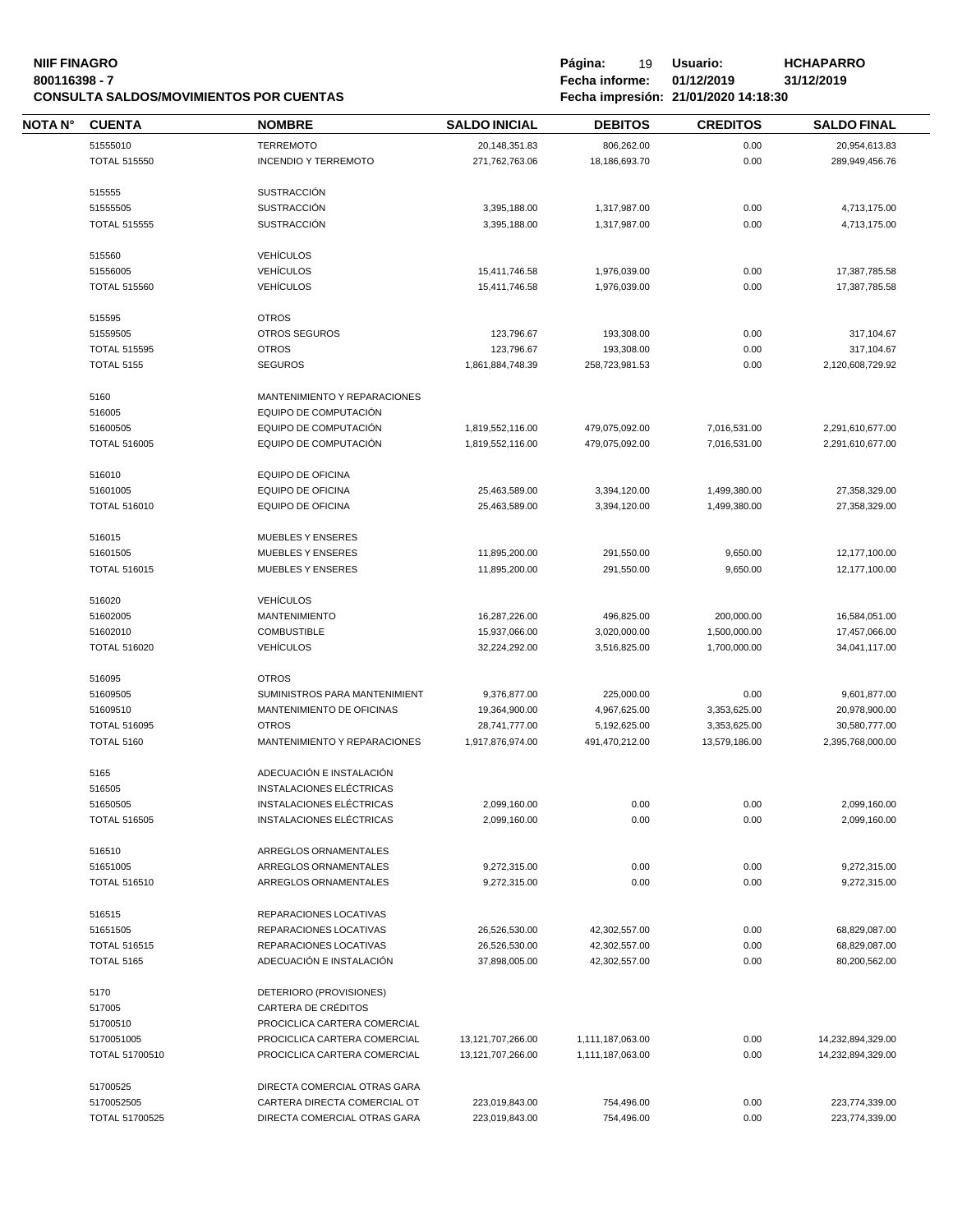#### **NIIF FINAGRO P á g i n a :** 19 **U s u a r i o : HCHAPARRO 800116398 - 7 Fecha informe: 01/12/2019 31/12/2019 CONSULTA SALDOS/MOVIMIENTOS POR CUENTAS Fecha impresión: 21/01/2020 14:18:30**

| Pàgina:        | 19 | Usuario:                                                                                                                                                                          |  |
|----------------|----|-----------------------------------------------------------------------------------------------------------------------------------------------------------------------------------|--|
| Fecha informe: |    | 01/12/2019                                                                                                                                                                        |  |
|                |    | $F = \frac{1}{2}$ , $\frac{1}{2}$ , $\frac{1}{2}$ , $\frac{1}{2}$ , $\frac{1}{2}$ , $\frac{1}{2}$ , $\frac{1}{2}$ , $\frac{1}{2}$ , $\frac{1}{2}$ , $\frac{1}{2}$ , $\frac{1}{2}$ |  |

| <b>NOTA N°</b> | <b>CUENTA</b>       | <b>NOMBRE</b>                                  | <b>SALDO INICIAL</b>         | <b>DEBITOS</b>   | <b>CREDITOS</b> | <b>SALDO FINAL</b> |
|----------------|---------------------|------------------------------------------------|------------------------------|------------------|-----------------|--------------------|
|                | 51555010            | <b>TERREMOTO</b>                               | 20,148,351.83                | 806,262.00       | 0.00            | 20,954,613.83      |
|                | <b>TOTAL 515550</b> | <b>INCENDIO Y TERREMOTO</b>                    | 271,762,763.06               | 18,186,693.70    | 0.00            | 289,949,456.76     |
|                |                     |                                                |                              |                  |                 |                    |
|                | 515555              | <b>SUSTRACCIÓN</b>                             |                              |                  |                 |                    |
|                | 51555505            | <b>SUSTRACCIÓN</b>                             | 3,395,188.00                 | 1,317,987.00     | 0.00            | 4,713,175.00       |
|                | <b>TOTAL 515555</b> | <b>SUSTRACCIÓN</b>                             | 3,395,188.00                 | 1,317,987.00     | 0.00            | 4,713,175.00       |
|                | 515560              | <b>VEHÍCULOS</b>                               |                              |                  |                 |                    |
|                | 51556005            | <b>VEHÍCULOS</b>                               | 15,411,746.58                | 1,976,039.00     | 0.00            | 17,387,785.58      |
|                | <b>TOTAL 515560</b> | <b>VEHÍCULOS</b>                               | 15,411,746.58                | 1,976,039.00     | 0.00            | 17,387,785.58      |
|                |                     |                                                |                              |                  |                 |                    |
|                | 515595              | <b>OTROS</b>                                   |                              |                  |                 |                    |
|                | 51559505            | <b>OTROS SEGUROS</b>                           | 123,796.67                   | 193,308.00       | 0.00            | 317,104.67         |
|                | <b>TOTAL 515595</b> | <b>OTROS</b>                                   | 123,796.67                   | 193,308.00       | 0.00            | 317,104.67         |
|                | <b>TOTAL 5155</b>   | <b>SEGUROS</b>                                 | 1,861,884,748.39             | 258,723,981.53   | 0.00            | 2,120,608,729.92   |
|                | 5160                | MANTENIMIENTO Y REPARACIONES                   |                              |                  |                 |                    |
|                | 516005              | EQUIPO DE COMPUTACIÓN                          |                              |                  |                 |                    |
|                | 51600505            | EQUIPO DE COMPUTACIÓN                          | 1,819,552,116.00             | 479,075,092.00   | 7,016,531.00    | 2,291,610,677.00   |
|                | <b>TOTAL 516005</b> | EQUIPO DE COMPUTACIÓN                          | 1,819,552,116.00             | 479,075,092.00   | 7,016,531.00    | 2,291,610,677.00   |
|                |                     |                                                |                              |                  |                 |                    |
|                | 516010              | <b>EQUIPO DE OFICINA</b>                       |                              |                  |                 |                    |
|                | 51601005            | <b>EQUIPO DE OFICINA</b>                       | 25,463,589.00                | 3,394,120.00     | 1,499,380.00    | 27,358,329.00      |
|                | <b>TOTAL 516010</b> | EQUIPO DE OFICINA                              | 25,463,589.00                | 3,394,120.00     | 1,499,380.00    | 27,358,329.00      |
|                | 516015              | <b>MUEBLES Y ENSERES</b>                       |                              |                  |                 |                    |
|                | 51601505            | MUEBLES Y ENSERES                              | 11,895,200.00                | 291,550.00       | 9,650.00        | 12,177,100.00      |
|                | <b>TOTAL 516015</b> | <b>MUEBLES Y ENSERES</b>                       | 11,895,200.00                | 291,550.00       | 9,650.00        | 12,177,100.00      |
|                |                     |                                                |                              |                  |                 |                    |
|                | 516020<br>51602005  | <b>VEHÍCULOS</b><br><b>MANTENIMIENTO</b>       | 16,287,226.00                | 496,825.00       | 200,000.00      | 16,584,051.00      |
|                | 51602010            | <b>COMBUSTIBLE</b>                             | 15,937,066.00                | 3,020,000.00     | 1,500,000.00    | 17,457,066.00      |
|                | <b>TOTAL 516020</b> | <b>VEHÍCULOS</b>                               | 32,224,292.00                | 3,516,825.00     | 1,700,000.00    | 34,041,117.00      |
|                |                     |                                                |                              |                  |                 |                    |
|                | 516095              | <b>OTROS</b>                                   |                              |                  |                 |                    |
|                | 51609505            | SUMINISTROS PARA MANTENIMIENT                  | 9,376,877.00                 | 225,000.00       | 0.00            | 9,601,877.00       |
|                | 51609510            | MANTENIMIENTO DE OFICINAS                      | 19,364,900.00                | 4,967,625.00     | 3,353,625.00    | 20,978,900.00      |
|                | <b>TOTAL 516095</b> | <b>OTROS</b>                                   | 28,741,777.00                | 5,192,625.00     | 3,353,625.00    | 30,580,777.00      |
|                | <b>TOTAL 5160</b>   | MANTENIMIENTO Y REPARACIONES                   | 1,917,876,974.00             | 491,470,212.00   | 13,579,186.00   | 2,395,768,000.00   |
|                | 5165                | ADECUACIÓN E INSTALACIÓN                       |                              |                  |                 |                    |
|                | 516505              | INSTALACIONES ELÉCTRICAS                       |                              |                  |                 |                    |
|                | 51650505            | INSTALACIONES ELÉCTRICAS                       | 2,099,160.00                 | 0.00             | 0.00            | 2,099,160.00       |
|                | <b>TOTAL 516505</b> | INSTALACIONES ELÉCTRICAS                       | 2,099,160.00                 | 0.00             | 0.00            | 2,099,160.00       |
|                |                     |                                                |                              |                  |                 |                    |
|                | 516510<br>51651005  | ARREGLOS ORNAMENTALES<br>ARREGLOS ORNAMENTALES |                              | 0.00             | 0.00            | 9,272,315.00       |
|                | <b>TOTAL 516510</b> | ARREGLOS ORNAMENTALES                          | 9,272,315.00<br>9,272,315.00 | 0.00             | 0.00            | 9,272,315.00       |
|                |                     |                                                |                              |                  |                 |                    |
|                | 516515              | REPARACIONES LOCATIVAS                         |                              |                  |                 |                    |
|                | 51651505            | REPARACIONES LOCATIVAS                         | 26,526,530.00                | 42,302,557.00    | 0.00            | 68,829,087.00      |
|                | <b>TOTAL 516515</b> | REPARACIONES LOCATIVAS                         | 26,526,530.00                | 42,302,557.00    | 0.00            | 68,829,087.00      |
|                | <b>TOTAL 5165</b>   | ADECUACIÓN E INSTALACIÓN                       | 37,898,005.00                | 42,302,557.00    | 0.00            | 80,200,562.00      |
|                | 5170                | DETERIORO (PROVISIONES)                        |                              |                  |                 |                    |
|                | 517005              | CARTERA DE CRÉDITOS                            |                              |                  |                 |                    |
|                | 51700510            | PROCICLICA CARTERA COMERCIAL                   |                              |                  |                 |                    |
|                | 5170051005          | PROCICLICA CARTERA COMERCIAL                   | 13, 121, 707, 266.00         | 1,111,187,063.00 | 0.00            | 14,232,894,329.00  |
|                | TOTAL 51700510      | PROCICLICA CARTERA COMERCIAL                   | 13, 121, 707, 266.00         | 1,111,187,063.00 | 0.00            | 14,232,894,329.00  |
|                |                     |                                                |                              |                  |                 |                    |
|                | 51700525            | DIRECTA COMERCIAL OTRAS GARA                   |                              |                  |                 |                    |
|                | 5170052505          | CARTERA DIRECTA COMERCIAL OT                   | 223,019,843.00               | 754,496.00       | 0.00            | 223,774,339.00     |
|                | TOTAL 51700525      | DIRECTA COMERCIAL OTRAS GARA                   | 223,019,843.00               | 754,496.00       | 0.00            | 223,774,339.00     |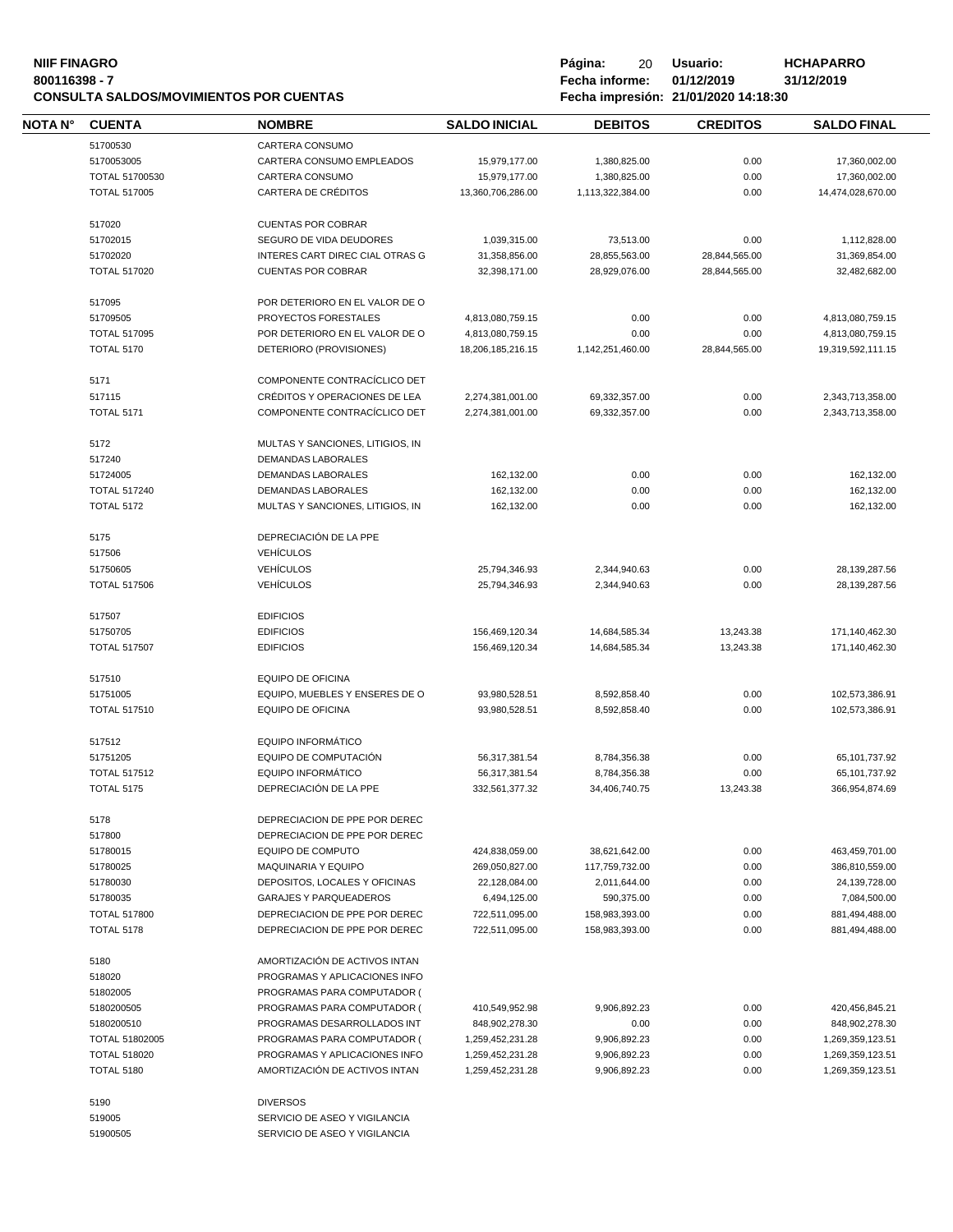# **NIIF FINAGRO P á g i n a :** 20 **U s u a r i o : HCHAPARRO CONSULTA SALDOS/MOVIMIENTOS POR CUENTAS Fecha impresión: 21/01/2020 14:18:30**

**800116398 - 7 Fecha informe: 01/12/2019 31/12/2019**

 $\equiv$ 

| <b>NOTA N°</b> | <b>CUENTA</b>         | <b>NOMBRE</b>                    | <b>SALDO INICIAL</b> | <b>DEBITOS</b>   | <b>CREDITOS</b> | <b>SALDO FINAL</b> |
|----------------|-----------------------|----------------------------------|----------------------|------------------|-----------------|--------------------|
|                | 51700530              | CARTERA CONSUMO                  |                      |                  |                 |                    |
|                | 5170053005            | CARTERA CONSUMO EMPLEADOS        | 15,979,177.00        | 1,380,825.00     | 0.00            | 17,360,002.00      |
|                | TOTAL 51700530        | CARTERA CONSUMO                  | 15,979,177.00        | 1,380,825.00     | 0.00            | 17,360,002.00      |
|                | <b>TOTAL 517005</b>   | <b>CARTERA DE CRÉDITOS</b>       | 13,360,706,286.00    | 1,113,322,384.00 | 0.00            | 14,474,028,670.00  |
|                | 517020                | <b>CUENTAS POR COBRAR</b>        |                      |                  |                 |                    |
|                | 51702015              | SEGURO DE VIDA DEUDORES          | 1,039,315.00         | 73,513.00        | 0.00            | 1,112,828.00       |
|                | 51702020              | INTERES CART DIREC CIAL OTRAS G  | 31,358,856.00        | 28,855,563.00    | 28,844,565.00   | 31,369,854.00      |
|                | <b>TOTAL 517020</b>   | <b>CUENTAS POR COBRAR</b>        | 32,398,171.00        | 28,929,076.00    | 28,844,565.00   | 32,482,682.00      |
|                | 517095                | POR DETERIORO EN EL VALOR DE O   |                      |                  |                 |                    |
|                | 51709505              | PROYECTOS FORESTALES             | 4,813,080,759.15     | 0.00             | 0.00            | 4,813,080,759.15   |
|                | <b>TOTAL 517095</b>   | POR DETERIORO EN EL VALOR DE O   | 4,813,080,759.15     | 0.00             | 0.00            | 4,813,080,759.15   |
|                | <b>TOTAL 5170</b>     | DETERIORO (PROVISIONES)          | 18,206,185,216.15    | 1,142,251,460.00 | 28,844,565.00   | 19,319,592,111.15  |
|                | 5171                  | COMPONENTE CONTRACÍCLICO DET     |                      |                  |                 |                    |
|                | 517115                | CRÉDITOS Y OPERACIONES DE LEA    | 2,274,381,001.00     | 69,332,357.00    | 0.00            | 2,343,713,358.00   |
|                | <b>TOTAL 5171</b>     | COMPONENTE CONTRACÍCLICO DET     | 2.274.381.001.00     | 69,332,357.00    | 0.00            | 2,343,713,358.00   |
|                | 5172                  | MULTAS Y SANCIONES, LITIGIOS, IN |                      |                  |                 |                    |
|                | 517240                | <b>DEMANDAS LABORALES</b>        |                      |                  |                 |                    |
|                | 51724005              | DEMANDAS LABORALES               | 162,132.00           | 0.00             | 0.00            | 162,132.00         |
|                | <b>TOTAL 517240</b>   | DEMANDAS LABORALES               | 162,132.00           | 0.00             | 0.00            | 162,132.00         |
|                | <b>TOTAL 5172</b>     | MULTAS Y SANCIONES, LITIGIOS, IN | 162,132.00           | 0.00             | 0.00            | 162,132.00         |
|                | 5175                  | DEPRECIACIÓN DE LA PPE           |                      |                  |                 |                    |
|                | 517506                | <b>VEHÍCULOS</b>                 |                      |                  |                 |                    |
|                | 51750605              | <b>VEHÍCULOS</b>                 | 25,794,346.93        | 2,344,940.63     | 0.00            | 28,139,287.56      |
|                | <b>TOTAL 517506</b>   | <b>VEHÍCULOS</b>                 | 25,794,346.93        | 2,344,940.63     | 0.00            | 28,139,287.56      |
|                | 517507                | <b>EDIFICIOS</b>                 |                      |                  |                 |                    |
|                | 51750705              | <b>EDIFICIOS</b>                 | 156,469,120.34       | 14,684,585.34    | 13,243.38       | 171,140,462.30     |
|                | <b>TOTAL 517507</b>   | <b>EDIFICIOS</b>                 | 156,469,120.34       | 14,684,585.34    | 13,243.38       | 171,140,462.30     |
|                | 517510                | EQUIPO DE OFICINA                |                      |                  |                 |                    |
|                | 51751005              | EQUIPO, MUEBLES Y ENSERES DE O   | 93,980,528.51        | 8,592,858.40     | 0.00            | 102,573,386.91     |
|                | <b>TOTAL 517510</b>   | <b>EQUIPO DE OFICINA</b>         | 93,980,528.51        | 8,592,858.40     | 0.00            | 102,573,386.91     |
|                | 517512                | <b>EQUIPO INFORMÁTICO</b>        |                      |                  |                 |                    |
|                | 51751205              | EQUIPO DE COMPUTACIÓN            | 56,317,381.54        | 8,784,356.38     | 0.00            | 65,101,737.92      |
|                | <b>TOTAL 517512</b>   | EQUIPO INFORMÁTICO               | 56,317,381.54        | 8,784,356.38     | 0.00            | 65,101,737.92      |
|                | <b>TOTAL 5175</b>     | DEPRECIACIÓN DE LA PPE           | 332,561,377.32       | 34,406,740.75    | 13,243.38       | 366,954,874.69     |
|                | 5178                  | DEPRECIACION DE PPE POR DEREC    |                      |                  |                 |                    |
|                | 517800                | DEPRECIACION DE PPE POR DEREC    |                      |                  |                 |                    |
|                | 51780015              | EQUIPO DE COMPUTO                | 424,838,059.00       | 38,621,642.00    | 0.00            | 463,459,701.00     |
|                | 51780025              | <b>MAQUINARIA Y EQUIPO</b>       | 269,050,827.00       | 117,759,732.00   | 0.00            | 386,810,559.00     |
|                | 51780030              | DEPOSITOS, LOCALES Y OFICINAS    | 22,128,084.00        | 2,011,644.00     | 0.00            | 24,139,728.00      |
|                | 51780035              | <b>GARAJES Y PARQUEADEROS</b>    | 6,494,125.00         | 590,375.00       | 0.00            | 7,084,500.00       |
|                | <b>TOTAL 517800</b>   | DEPRECIACION DE PPE POR DEREC    | 722,511,095.00       | 158,983,393.00   | 0.00            | 881,494,488.00     |
|                | <b>TOTAL 5178</b>     | DEPRECIACION DE PPE POR DEREC    | 722,511,095.00       | 158,983,393.00   | 0.00            | 881,494,488.00     |
|                | 5180                  | AMORTIZACIÓN DE ACTIVOS INTAN    |                      |                  |                 |                    |
|                | 518020                | PROGRAMAS Y APLICACIONES INFO    |                      |                  |                 |                    |
|                | 51802005              | PROGRAMAS PARA COMPUTADOR (      |                      |                  |                 |                    |
|                | 5180200505            | PROGRAMAS PARA COMPUTADOR (      | 410,549,952.98       | 9,906,892.23     | 0.00            | 420,456,845.21     |
|                | 5180200510            | PROGRAMAS DESARROLLADOS INT      | 848,902,278.30       | 0.00             | 0.00            | 848,902,278.30     |
|                | <b>TOTAL 51802005</b> | PROGRAMAS PARA COMPUTADOR (      | 1,259,452,231.28     | 9,906,892.23     | 0.00            | 1,269,359,123.51   |
|                | <b>TOTAL 518020</b>   | PROGRAMAS Y APLICACIONES INFO    | 1,259,452,231.28     | 9,906,892.23     | 0.00            | 1,269,359,123.51   |
|                | <b>TOTAL 5180</b>     | AMORTIZACIÓN DE ACTIVOS INTAN    | 1,259,452,231.28     | 9,906,892.23     | 0.00            | 1,269,359,123.51   |
|                | 5190                  | <b>DIVERSOS</b>                  |                      |                  |                 |                    |
|                | 519005                | SERVICIO DE ASEO Y VIGILANCIA    |                      |                  |                 |                    |
|                | 51900505              | SERVICIO DE ASEO Y VIGILANCIA    |                      |                  |                 |                    |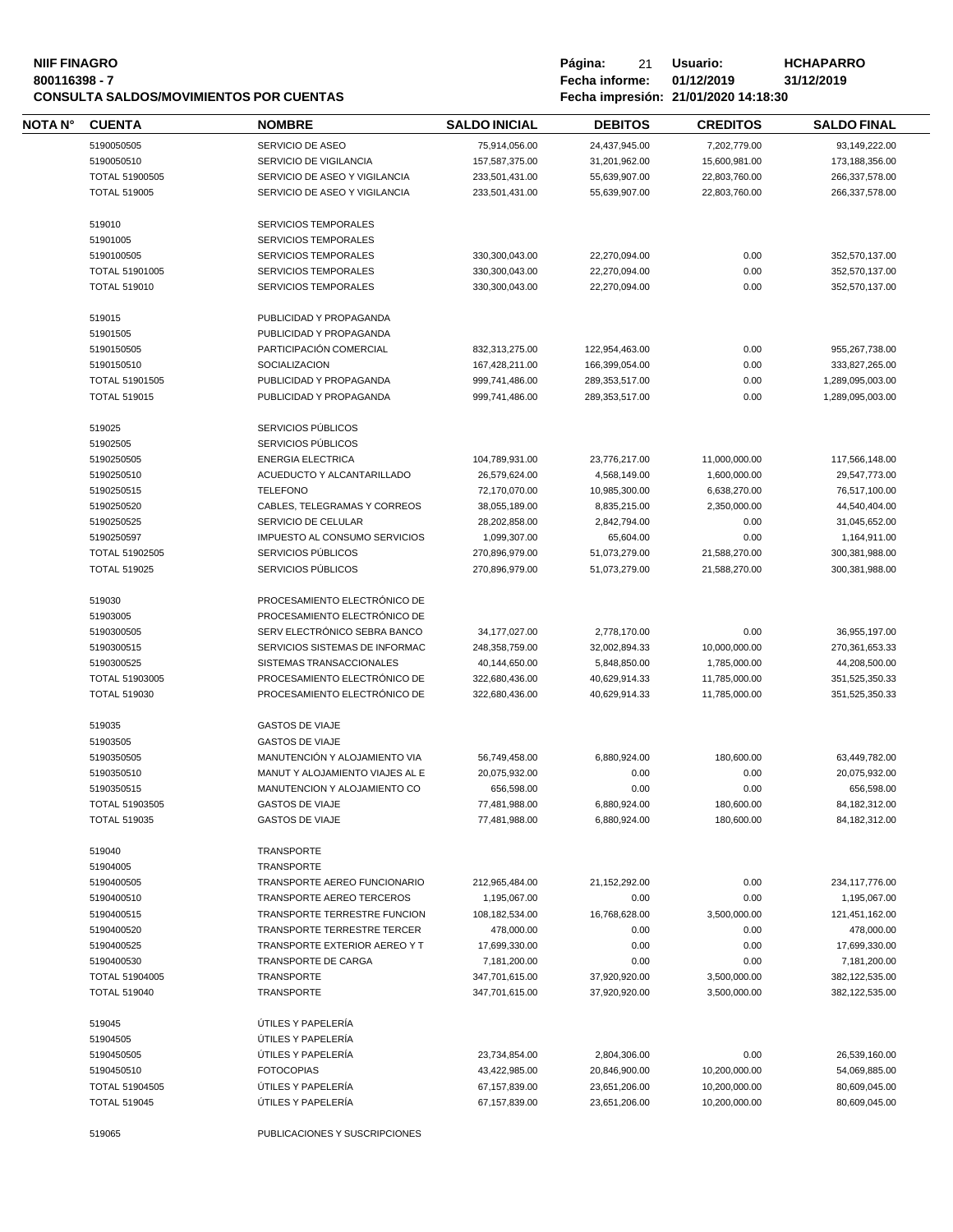### **NIIF FINAGRO P á g i n a :** 21 **U s u a r i o : HCHAPARRO 800116398 - 7 Fecha informe: 01/12/2019 31/12/2019 CONSULTA SALDOS/MOVIMIENTOS POR CUENTAS Fecha impresión: 21/01/2020 14:18:30**

| Pagina:        | 21 | Usuario:   |
|----------------|----|------------|
| Fecha informe: |    | 01/12/2019 |
|                |    |            |

| ∙esión = 21/01/2020 14·18·30 |  |  |
|------------------------------|--|--|

| NOTA N° | <b>CUENTA</b>                         | <b>NOMBRE</b>                                                | <b>SALDO INICIAL</b> | <b>DEBITOS</b>                 | <b>CREDITOS</b> | <b>SALDO FINAL</b> |
|---------|---------------------------------------|--------------------------------------------------------------|----------------------|--------------------------------|-----------------|--------------------|
|         | 5190050505                            | SERVICIO DE ASEO                                             | 75,914,056.00        | 24,437,945.00                  | 7,202,779.00    | 93,149,222.00      |
|         | 5190050510                            | SERVICIO DE VIGILANCIA                                       | 157,587,375.00       | 31,201,962.00                  | 15,600,981.00   | 173,188,356.00     |
|         | TOTAL 51900505                        | SERVICIO DE ASEO Y VIGILANCIA                                | 233,501,431.00       | 55,639,907.00                  | 22,803,760.00   | 266,337,578.00     |
|         | <b>TOTAL 519005</b>                   | SERVICIO DE ASEO Y VIGILANCIA                                | 233,501,431.00       | 55,639,907.00                  | 22,803,760.00   | 266,337,578.00     |
|         | 519010                                | <b>SERVICIOS TEMPORALES</b>                                  |                      |                                |                 |                    |
|         | 51901005                              | <b>SERVICIOS TEMPORALES</b>                                  |                      |                                |                 |                    |
|         | 5190100505                            | <b>SERVICIOS TEMPORALES</b>                                  | 330,300,043.00       | 22,270,094.00                  | 0.00            | 352,570,137.00     |
|         |                                       | <b>SERVICIOS TEMPORALES</b>                                  | 330,300,043.00       |                                | 0.00            | 352,570,137.00     |
|         | TOTAL 51901005<br><b>TOTAL 519010</b> | <b>SERVICIOS TEMPORALES</b>                                  | 330,300,043.00       | 22,270,094.00<br>22,270,094.00 | 0.00            | 352,570,137.00     |
|         |                                       |                                                              |                      |                                |                 |                    |
|         | 519015                                | PUBLICIDAD Y PROPAGANDA                                      |                      |                                |                 |                    |
|         | 51901505                              | PUBLICIDAD Y PROPAGANDA                                      |                      |                                |                 |                    |
|         | 5190150505                            | PARTICIPACIÓN COMERCIAL                                      | 832,313,275.00       | 122,954,463.00                 | 0.00            | 955,267,738.00     |
|         | 5190150510                            | SOCIALIZACION                                                | 167,428,211.00       | 166,399,054.00                 | 0.00            | 333,827,265.00     |
|         | TOTAL 51901505                        | PUBLICIDAD Y PROPAGANDA                                      | 999,741,486.00       | 289,353,517.00                 | 0.00            | 1,289,095,003.00   |
|         | <b>TOTAL 519015</b>                   | PUBLICIDAD Y PROPAGANDA                                      | 999,741,486.00       | 289,353,517.00                 | 0.00            | 1,289,095,003.00   |
|         | 519025                                | SERVICIOS PÚBLICOS                                           |                      |                                |                 |                    |
|         | 51902505                              | SERVICIOS PÚBLICOS                                           |                      |                                |                 |                    |
|         | 5190250505                            | <b>ENERGIA ELECTRICA</b>                                     | 104,789,931.00       | 23,776,217.00                  | 11,000,000.00   | 117,566,148.00     |
|         | 5190250510                            | ACUEDUCTO Y ALCANTARILLADO                                   | 26,579,624.00        | 4,568,149.00                   | 1,600,000.00    | 29,547,773.00      |
|         | 5190250515                            | <b>TELEFONO</b>                                              | 72,170,070.00        | 10,985,300.00                  | 6,638,270.00    | 76,517,100.00      |
|         | 5190250520                            | CABLES, TELEGRAMAS Y CORREOS                                 | 38,055,189.00        | 8,835,215.00                   | 2,350,000.00    | 44,540,404.00      |
|         | 5190250525                            | SERVICIO DE CELULAR                                          | 28,202,858.00        | 2,842,794.00                   | 0.00            | 31,045,652.00      |
|         | 5190250597                            | IMPUESTO AL CONSUMO SERVICIOS                                | 1,099,307.00         | 65,604.00                      | 0.00            | 1,164,911.00       |
|         | TOTAL 51902505                        | SERVICIOS PÚBLICOS                                           | 270,896,979.00       | 51,073,279.00                  | 21,588,270.00   | 300,381,988.00     |
|         | <b>TOTAL 519025</b>                   | SERVICIOS PÚBLICOS                                           | 270,896,979.00       | 51,073,279.00                  | 21,588,270.00   | 300,381,988.00     |
|         |                                       |                                                              |                      |                                |                 |                    |
|         | 519030<br>51903005                    | PROCESAMIENTO ELECTRÓNICO DE<br>PROCESAMIENTO ELECTRÓNICO DE |                      |                                |                 |                    |
|         | 5190300505                            | SERV ELECTRÓNICO SEBRA BANCO                                 |                      | 2,778,170.00                   | 0.00            |                    |
|         |                                       |                                                              | 34,177,027.00        |                                |                 | 36,955,197.00      |
|         | 5190300515                            | SERVICIOS SISTEMAS DE INFORMAC                               | 248,358,759.00       | 32,002,894.33                  | 10,000,000.00   | 270,361,653.33     |
|         | 5190300525                            | SISTEMAS TRANSACCIONALES                                     | 40,144,650.00        | 5,848,850.00                   | 1,785,000.00    | 44,208,500.00      |
|         | <b>TOTAL 51903005</b>                 | PROCESAMIENTO ELECTRÓNICO DE                                 | 322,680,436.00       | 40,629,914.33                  | 11,785,000.00   | 351,525,350.33     |
|         | <b>TOTAL 519030</b>                   | PROCESAMIENTO ELECTRÓNICO DE                                 | 322,680,436.00       | 40,629,914.33                  | 11,785,000.00   | 351,525,350.33     |
|         | 519035                                | <b>GASTOS DE VIAJE</b>                                       |                      |                                |                 |                    |
|         | 51903505                              | <b>GASTOS DE VIAJE</b>                                       |                      |                                |                 |                    |
|         | 5190350505                            | MANUTENCIÓN Y ALOJAMIENTO VIA                                | 56,749,458.00        | 6,880,924.00                   | 180,600.00      | 63,449,782.00      |
|         | 5190350510                            | MANUT Y ALOJAMIENTO VIAJES AL E                              | 20,075,932.00        | 0.00                           | 0.00            | 20,075,932.00      |
|         | 5190350515                            | MANUTENCION Y ALOJAMIENTO CO                                 | 656,598.00           | 0.00                           | 0.00            | 656,598.00         |
|         | TOTAL 51903505                        | <b>GASTOS DE VIAJE</b>                                       | 77,481,988.00        | 6,880,924.00                   | 180,600.00      | 84,182,312.00      |
|         | <b>TOTAL 519035</b>                   | <b>GASTOS DE VIAJE</b>                                       | 77,481,988.00        | 6,880,924.00                   | 180,600.00      | 84,182,312.00      |
|         |                                       |                                                              |                      |                                |                 |                    |
|         | 519040<br>51904005                    | TRANSPORTE<br>TRANSPORTE                                     |                      |                                |                 |                    |
|         | 5190400505                            | TRANSPORTE AEREO FUNCIONARIO                                 | 212,965,484.00       | 21,152,292.00                  | 0.00            | 234,117,776.00     |
|         |                                       |                                                              |                      |                                |                 |                    |
|         | 5190400510                            | TRANSPORTE AEREO TERCEROS                                    | 1,195,067.00         | 0.00                           | 0.00            | 1,195,067.00       |
|         | 5190400515                            | TRANSPORTE TERRESTRE FUNCION                                 | 108,182,534.00       | 16,768,628.00                  | 3,500,000.00    | 121,451,162.00     |
|         | 5190400520                            | TRANSPORTE TERRESTRE TERCER                                  | 478,000.00           | 0.00                           | 0.00            | 478,000.00         |
|         | 5190400525                            | TRANSPORTE EXTERIOR AEREO Y T                                | 17,699,330.00        | 0.00                           | 0.00            | 17,699,330.00      |
|         | 5190400530                            | TRANSPORTE DE CARGA                                          | 7,181,200.00         | 0.00                           | 0.00            | 7,181,200.00       |
|         | TOTAL 51904005                        | TRANSPORTE                                                   | 347,701,615.00       | 37,920,920.00                  | 3,500,000.00    | 382,122,535.00     |
|         | <b>TOTAL 519040</b>                   | TRANSPORTE                                                   | 347,701,615.00       | 37,920,920.00                  | 3,500,000.00    | 382,122,535.00     |
|         | 519045                                | ÚTILES Y PAPELERÍA                                           |                      |                                |                 |                    |
|         | 51904505                              | ÚTILES Y PAPELERÍA                                           |                      |                                |                 |                    |
|         |                                       | ÚTILES Y PAPELERÍA                                           |                      | 2,804,306.00                   | 0.00            |                    |
|         | 5190450505                            |                                                              | 23,734,854.00        |                                |                 | 26,539,160.00      |
|         | 5190450510                            | <b>FOTOCOPIAS</b>                                            | 43,422,985.00        | 20,846,900.00                  | 10,200,000.00   | 54,069,885.00      |
|         | TOTAL 51904505                        | ÚTILES Y PAPELERÍA                                           | 67,157,839.00        | 23,651,206.00                  | 10,200,000.00   | 80,609,045.00      |
|         | <b>TOTAL 519045</b>                   | ÚTILES Y PAPELERÍA                                           | 67,157,839.00        | 23,651,206.00                  | 10,200,000.00   | 80,609,045.00      |

PUBLICACIONES Y SUSCRIPCIONES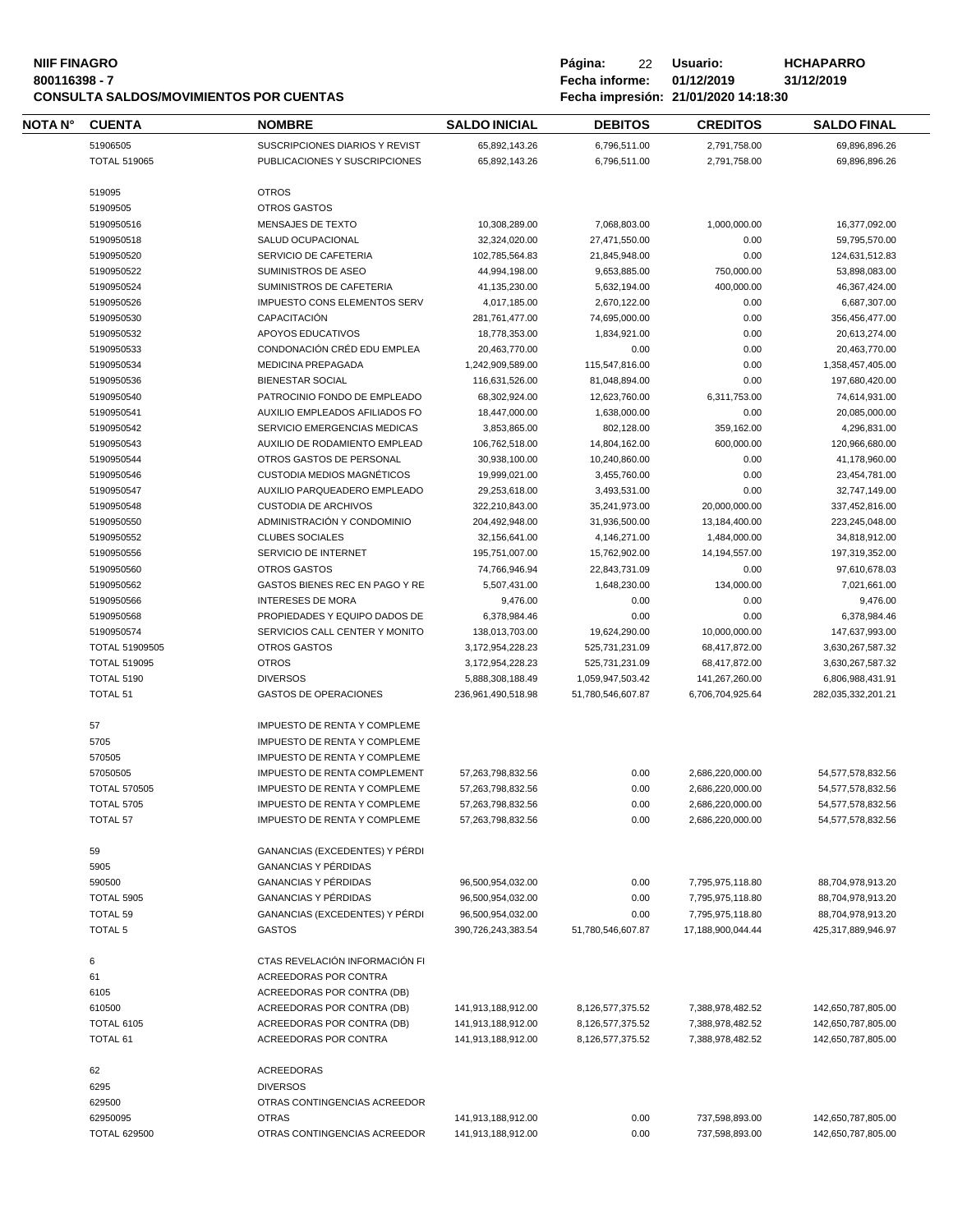#### **NIIF FINAGRO P á g i n a :** 22 **U s u a r i o : HCHAPARRO 800116398 - 7 Fecha informe: 01/12/2019 31/12/2019 CONSULTA SALDOS/MOVIMIENTOS POR CUENTAS Fecha impresión: 21/01/2020 14:18:30**

| Página:        | 22 | Usuario:                             | HCH/  |  |
|----------------|----|--------------------------------------|-------|--|
| Fecha informe: |    | 01/12/2019                           | 31/12 |  |
|                |    | Fecha impresión: 21/01/2020 14:18:30 |       |  |

| NOTA N° | <b>CUENTA</b>            | <b>NOMBRE</b>                                                   | <b>SALDO INICIAL</b>           | <b>DEBITOS</b>                | <b>CREDITOS</b>   | <b>SALDO FINAL</b>             |
|---------|--------------------------|-----------------------------------------------------------------|--------------------------------|-------------------------------|-------------------|--------------------------------|
|         | 51906505                 | <b>SUSCRIPCIONES DIARIOS Y REVIST</b>                           | 65,892,143.26                  | 6,796,511.00                  | 2,791,758.00      | 69.896.896.26                  |
|         | <b>TOTAL 519065</b>      | PUBLICACIONES Y SUSCRIPCIONES                                   | 65,892,143.26                  | 6,796,511.00                  | 2,791,758.00      | 69,896,896.26                  |
|         |                          |                                                                 |                                |                               |                   |                                |
|         | 519095                   | <b>OTROS</b>                                                    |                                |                               |                   |                                |
|         | 51909505                 | <b>OTROS GASTOS</b>                                             |                                |                               |                   |                                |
|         | 5190950516               | MENSAJES DE TEXTO                                               | 10,308,289.00                  | 7,068,803.00                  | 1,000,000.00      | 16,377,092.00                  |
|         | 5190950518               | SALUD OCUPACIONAL                                               | 32,324,020.00                  | 27,471,550.00                 | 0.00              | 59,795,570.00                  |
|         | 5190950520               | SERVICIO DE CAFETERIA                                           | 102,785,564.83                 | 21,845,948.00                 | 0.00              | 124,631,512.83                 |
|         | 5190950522               | SUMINISTROS DE ASEO                                             | 44,994,198.00                  | 9,653,885.00                  | 750,000.00        | 53,898,083.00                  |
|         | 5190950524               | SUMINISTROS DE CAFETERIA<br><b>IMPUESTO CONS ELEMENTOS SERV</b> | 41,135,230.00                  | 5.632.194.00                  | 400,000.00        | 46,367,424.00                  |
|         | 5190950526<br>5190950530 | CAPACITACIÓN                                                    | 4,017,185.00<br>281,761,477.00 | 2,670,122.00<br>74,695,000.00 | 0.00<br>0.00      | 6,687,307.00<br>356,456,477.00 |
|         | 5190950532               | APOYOS EDUCATIVOS                                               | 18,778,353.00                  | 1,834,921.00                  | 0.00              | 20,613,274.00                  |
|         | 5190950533               | CONDONACIÓN CRÉD EDU EMPLEA                                     | 20,463,770.00                  | 0.00                          | 0.00              | 20,463,770.00                  |
|         | 5190950534               | <b>MEDICINA PREPAGADA</b>                                       | 1,242,909,589.00               | 115,547,816.00                | 0.00              | 1,358,457,405.00               |
|         | 5190950536               | <b>BIENESTAR SOCIAL</b>                                         | 116,631,526.00                 | 81,048,894.00                 | 0.00              | 197,680,420.00                 |
|         | 5190950540               | PATROCINIO FONDO DE EMPLEADO                                    | 68,302,924.00                  | 12,623,760.00                 | 6,311,753.00      | 74,614,931.00                  |
|         | 5190950541               | AUXILIO EMPLEADOS AFILIADOS FO                                  | 18,447,000.00                  | 1,638,000.00                  | 0.00              | 20,085,000.00                  |
|         | 5190950542               | SERVICIO EMERGENCIAS MEDICAS                                    | 3,853,865.00                   | 802,128.00                    | 359,162.00        | 4,296,831.00                   |
|         | 5190950543               | AUXILIO DE RODAMIENTO EMPLEAD                                   | 106,762,518.00                 | 14,804,162.00                 | 600,000.00        | 120,966,680.00                 |
|         | 5190950544               | OTROS GASTOS DE PERSONAL                                        | 30,938,100.00                  | 10,240,860.00                 | 0.00              | 41,178,960.00                  |
|         | 5190950546               | CUSTODIA MEDIOS MAGNÉTICOS                                      | 19,999,021.00                  | 3,455,760.00                  | 0.00              | 23,454,781.00                  |
|         | 5190950547               | AUXILIO PARQUEADERO EMPLEADO                                    | 29,253,618.00                  | 3,493,531.00                  | 0.00              | 32,747,149.00                  |
|         | 5190950548               | <b>CUSTODIA DE ARCHIVOS</b>                                     | 322,210,843.00                 | 35,241,973.00                 | 20,000,000.00     | 337,452,816.00                 |
|         | 5190950550               | ADMINISTRACIÓN Y CONDOMINIO                                     | 204,492,948.00                 | 31,936,500.00                 | 13,184,400.00     | 223,245,048.00                 |
|         | 5190950552               | <b>CLUBES SOCIALES</b>                                          | 32,156,641.00                  | 4,146,271.00                  | 1,484,000.00      | 34,818,912.00                  |
|         | 5190950556               | SERVICIO DE INTERNET                                            | 195,751,007.00                 | 15,762,902.00                 | 14,194,557.00     | 197,319,352.00                 |
|         | 5190950560               | <b>OTROS GASTOS</b>                                             | 74,766,946.94                  | 22,843,731.09                 | 0.00              | 97,610,678.03                  |
|         | 5190950562               | GASTOS BIENES REC EN PAGO Y RE<br><b>INTERESES DE MORA</b>      | 5,507,431.00                   | 1,648,230.00                  | 134,000.00        | 7,021,661.00                   |
|         | 5190950566<br>5190950568 | PROPIEDADES Y EQUIPO DADOS DE                                   | 9,476.00<br>6,378,984.46       | 0.00<br>0.00                  | 0.00<br>0.00      | 9,476.00<br>6,378,984.46       |
|         | 5190950574               | SERVICIOS CALL CENTER Y MONITO                                  | 138,013,703.00                 | 19,624,290.00                 | 10,000,000.00     | 147,637,993.00                 |
|         | TOTAL 51909505           | <b>OTROS GASTOS</b>                                             | 3,172,954,228.23               | 525,731,231.09                | 68,417,872.00     | 3,630,267,587.32               |
|         | <b>TOTAL 519095</b>      | <b>OTROS</b>                                                    | 3,172,954,228.23               | 525,731,231.09                | 68,417,872.00     | 3,630,267,587.32               |
|         | <b>TOTAL 5190</b>        | <b>DIVERSOS</b>                                                 | 5,888,308,188.49               | 1,059,947,503.42              | 141,267,260.00    | 6,806,988,431.91               |
|         | <b>TOTAL 51</b>          | <b>GASTOS DE OPERACIONES</b>                                    | 236,961,490,518.98             | 51,780,546,607.87             | 6,706,704,925.64  | 282,035,332,201.21             |
|         |                          |                                                                 |                                |                               |                   |                                |
|         | 57                       | <b>IMPUESTO DE RENTA Y COMPLEME</b>                             |                                |                               |                   |                                |
|         | 5705                     | <b>IMPUESTO DE RENTA Y COMPLEME</b>                             |                                |                               |                   |                                |
|         | 570505                   | IMPUESTO DE RENTA Y COMPLEME                                    |                                |                               |                   |                                |
|         | 57050505                 | <b>IMPUESTO DE RENTA COMPLEMENT</b>                             | 57,263,798,832.56              | 0.00                          | 2,686,220,000.00  | 54,577,578,832.56              |
|         | <b>TOTAL 570505</b>      | <b>IMPUESTO DE RENTA Y COMPLEME</b>                             | 57,263,798,832.56              | 0.00                          | 2,686,220,000.00  | 54,577,578,832.56              |
|         | <b>TOTAL 5705</b>        | <b>IMPUESTO DE RENTA Y COMPLEME</b>                             | 57,263,798,832.56              | 0.00                          | 2,686,220,000.00  | 54,577,578,832.56              |
|         | TOTAL 57                 | <b>IMPUESTO DE RENTA Y COMPLEME</b>                             | 57,263,798,832.56              | 0.00                          | 2,686,220,000.00  | 54,577,578,832.56              |
|         |                          | GANANCIAS (EXCEDENTES) Y PÉRDI                                  |                                |                               |                   |                                |
|         | 59<br>5905               | <b>GANANCIAS Y PÉRDIDAS</b>                                     |                                |                               |                   |                                |
|         | 590500                   | <b>GANANCIAS Y PÉRDIDAS</b>                                     | 96,500,954,032.00              | 0.00                          | 7,795,975,118.80  | 88,704,978,913.20              |
|         | <b>TOTAL 5905</b>        | <b>GANANCIAS Y PÉRDIDAS</b>                                     | 96,500,954,032.00              | 0.00                          | 7,795,975,118.80  | 88,704,978,913.20              |
|         | TOTAL 59                 | GANANCIAS (EXCEDENTES) Y PÉRDI                                  | 96,500,954,032.00              | 0.00                          | 7,795,975,118.80  | 88,704,978,913.20              |
|         | <b>TOTAL 5</b>           | <b>GASTOS</b>                                                   | 390,726,243,383.54             | 51,780,546,607.87             | 17,188,900,044.44 | 425,317,889,946.97             |
|         |                          |                                                                 |                                |                               |                   |                                |
|         | 6                        | CTAS REVELACIÓN INFORMACIÓN FI                                  |                                |                               |                   |                                |
|         | 61                       | ACREEDORAS POR CONTRA                                           |                                |                               |                   |                                |
|         | 6105                     | ACREEDORAS POR CONTRA (DB)                                      |                                |                               |                   |                                |
|         | 610500                   | ACREEDORAS POR CONTRA (DB)                                      | 141,913,188,912.00             | 8,126,577,375.52              | 7,388,978,482.52  | 142,650,787,805.00             |
|         | <b>TOTAL 6105</b>        | ACREEDORAS POR CONTRA (DB)                                      | 141,913,188,912.00             | 8,126,577,375.52              | 7,388,978,482.52  | 142,650,787,805.00             |
|         | <b>TOTAL 61</b>          | ACREEDORAS POR CONTRA                                           | 141,913,188,912.00             | 8,126,577,375.52              | 7,388,978,482.52  | 142,650,787,805.00             |
|         |                          |                                                                 |                                |                               |                   |                                |
|         | 62                       | ACREEDORAS                                                      |                                |                               |                   |                                |
|         | 6295                     | <b>DIVERSOS</b>                                                 |                                |                               |                   |                                |
|         | 629500                   | OTRAS CONTINGENCIAS ACREEDOR                                    |                                |                               |                   |                                |
|         | 62950095                 | <b>OTRAS</b>                                                    | 141,913,188,912.00             | 0.00                          | 737,598,893.00    | 142,650,787,805.00             |
|         | <b>TOTAL 629500</b>      | OTRAS CONTINGENCIAS ACREEDOR                                    | 141,913,188,912.00             | 0.00                          | 737,598,893.00    | 142,650,787,805.00             |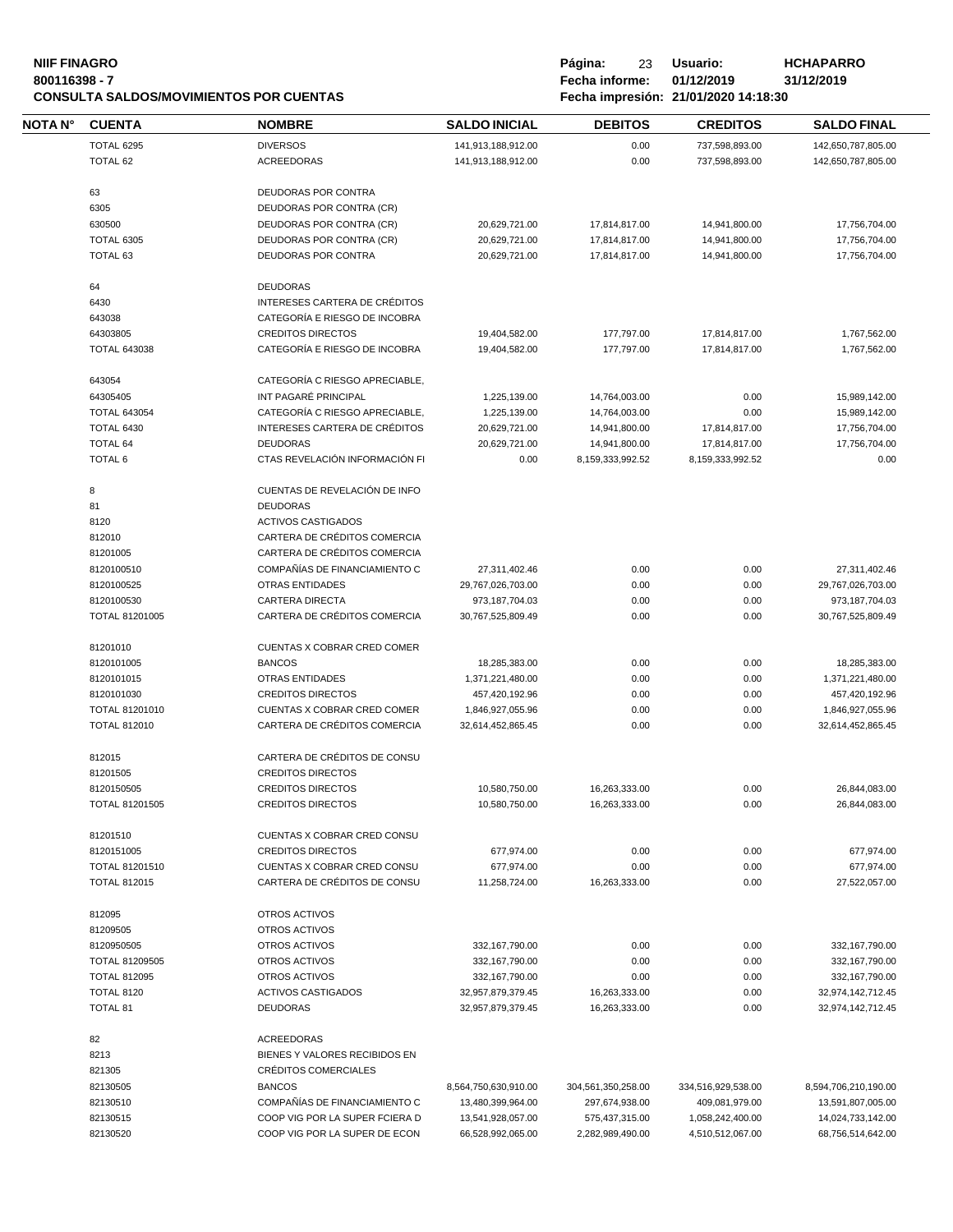#### **NIIF FINAGRO P á g i n a :** 23 **U s u a r i o : HCHAPARRO 800116398 - 7 Fecha informe: 01/12/2019 31/12/2019 CONSULTA SALDOS/MOVIMIENTOS POR CUENTAS Fecha impresión: 21/01/2020 14:18:30**

| Página:        | 23 | Usuario:   |
|----------------|----|------------|
| Fecha informe: |    | 01/12/2019 |
|                |    |            |

| <b>NOTA N°</b> | <b>CUENTA</b>                 | <b>NOMBRE</b>                                        | <b>SALDO INICIAL</b>           | <b>DEBITOS</b>                 | <b>CREDITOS</b>                | <b>SALDO FINAL</b>             |
|----------------|-------------------------------|------------------------------------------------------|--------------------------------|--------------------------------|--------------------------------|--------------------------------|
|                | TOTAL 6295                    | <b>DIVERSOS</b>                                      | 141,913,188,912.00             | 0.00                           | 737,598,893.00                 | 142,650,787,805.00             |
|                | TOTAL 62                      | <b>ACREEDORAS</b>                                    | 141,913,188,912.00             | 0.00                           | 737,598,893.00                 | 142,650,787,805.00             |
|                |                               |                                                      |                                |                                |                                |                                |
|                | 63                            | DEUDORAS POR CONTRA                                  |                                |                                |                                |                                |
|                | 6305<br>630500                | DEUDORAS POR CONTRA (CR)<br>DEUDORAS POR CONTRA (CR) |                                |                                |                                |                                |
|                |                               |                                                      | 20,629,721.00                  | 17,814,817.00                  | 14,941,800.00                  | 17,756,704.00                  |
|                | <b>TOTAL 6305</b><br>TOTAL 63 | DEUDORAS POR CONTRA (CR)<br>DEUDORAS POR CONTRA      | 20,629,721.00<br>20,629,721.00 | 17,814,817.00<br>17,814,817.00 | 14,941,800.00<br>14,941,800.00 | 17,756,704.00<br>17,756,704.00 |
|                |                               |                                                      |                                |                                |                                |                                |
|                | 64                            | <b>DEUDORAS</b>                                      |                                |                                |                                |                                |
|                | 6430                          | INTERESES CARTERA DE CRÉDITOS                        |                                |                                |                                |                                |
|                | 643038                        | CATEGORÍA E RIESGO DE INCOBRA                        |                                |                                |                                |                                |
|                | 64303805                      | <b>CREDITOS DIRECTOS</b>                             | 19,404,582.00                  | 177,797.00                     | 17,814,817.00                  | 1,767,562.00                   |
|                | <b>TOTAL 643038</b>           | CATEGORÍA E RIESGO DE INCOBRA                        | 19,404,582.00                  | 177,797.00                     | 17,814,817.00                  | 1,767,562.00                   |
|                | 643054                        | CATEGORÍA C RIESGO APRECIABLE,                       |                                |                                |                                |                                |
|                | 64305405                      | INT PAGARÉ PRINCIPAL                                 | 1,225,139.00                   | 14,764,003.00                  | 0.00                           | 15,989,142.00                  |
|                | <b>TOTAL 643054</b>           | CATEGORÍA C RIESGO APRECIABLE,                       | 1,225,139.00                   | 14,764,003.00                  | 0.00                           | 15,989,142.00                  |
|                | TOTAL 6430                    | INTERESES CARTERA DE CRÉDITOS                        | 20,629,721.00                  | 14,941,800.00                  | 17,814,817.00                  | 17,756,704.00                  |
|                | TOTAL 64                      | <b>DEUDORAS</b>                                      | 20,629,721.00                  | 14,941,800.00                  | 17,814,817.00                  | 17,756,704.00                  |
|                | TOTAL 6                       | CTAS REVELACIÓN INFORMACIÓN FI                       | 0.00                           | 8,159,333,992.52               | 8,159,333,992.52               | 0.00                           |
|                |                               |                                                      |                                |                                |                                |                                |
|                | 8                             | CUENTAS DE REVELACIÓN DE INFO                        |                                |                                |                                |                                |
|                | 81                            | <b>DEUDORAS</b>                                      |                                |                                |                                |                                |
|                | 8120                          | <b>ACTIVOS CASTIGADOS</b>                            |                                |                                |                                |                                |
|                | 812010                        | CARTERA DE CRÉDITOS COMERCIA                         |                                |                                |                                |                                |
|                | 81201005                      | CARTERA DE CRÉDITOS COMERCIA                         |                                |                                |                                |                                |
|                | 8120100510                    | COMPAÑÍAS DE FINANCIAMIENTO C                        | 27,311,402.46                  | 0.00                           | 0.00                           | 27,311,402.46                  |
|                | 8120100525                    | <b>OTRAS ENTIDADES</b>                               | 29,767,026,703.00              | 0.00                           | 0.00                           | 29,767,026,703.00              |
|                | 8120100530                    | <b>CARTERA DIRECTA</b>                               | 973,187,704.03                 | 0.00                           | 0.00                           | 973,187,704.03                 |
|                | TOTAL 81201005                | CARTERA DE CRÉDITOS COMERCIA                         | 30,767,525,809.49              | 0.00                           | 0.00                           | 30,767,525,809.49              |
|                | 81201010                      | CUENTAS X COBRAR CRED COMER                          |                                |                                |                                |                                |
|                | 8120101005                    | <b>BANCOS</b>                                        | 18,285,383.00                  | 0.00                           | 0.00                           | 18,285,383.00                  |
|                | 8120101015                    | <b>OTRAS ENTIDADES</b>                               | 1,371,221,480.00               | 0.00                           | 0.00                           | 1,371,221,480.00               |
|                | 8120101030                    | <b>CREDITOS DIRECTOS</b>                             | 457,420,192.96                 | 0.00                           | 0.00                           | 457,420,192.96                 |
|                | TOTAL 81201010                | CUENTAS X COBRAR CRED COMER                          | 1,846,927,055.96               | 0.00                           | 0.00                           | 1,846,927,055.96               |
|                | <b>TOTAL 812010</b>           | CARTERA DE CRÉDITOS COMERCIA                         | 32.614.452.865.45              | 0.00                           | 0.00                           | 32,614,452,865.45              |
|                | 812015                        | CARTERA DE CRÉDITOS DE CONSU                         |                                |                                |                                |                                |
|                | 81201505                      | <b>CREDITOS DIRECTOS</b>                             |                                |                                |                                |                                |
|                | 8120150505                    | <b>CREDITOS DIRECTOS</b>                             | 10,580,750.00                  | 16,263,333.00                  | 0.00                           | 26,844,083.00                  |
|                | TOTAL 81201505                | <b>CREDITOS DIRECTOS</b>                             | 10,580,750.00                  | 16,263,333.00                  | 0.00                           | 26,844,083.00                  |
|                |                               |                                                      |                                |                                |                                |                                |
|                | 81201510                      | CUENTAS X COBRAR CRED CONSU                          |                                |                                |                                |                                |
|                | 8120151005                    | <b>CREDITOS DIRECTOS</b>                             | 677,974.00                     | 0.00                           | 0.00                           | 677,974.00                     |
|                | TOTAL 81201510                | CUENTAS X COBRAR CRED CONSU                          | 677,974.00                     | 0.00                           | 0.00                           | 677,974.00                     |
|                | <b>TOTAL 812015</b>           | CARTERA DE CRÉDITOS DE CONSU                         | 11,258,724.00                  | 16,263,333.00                  | 0.00                           | 27,522,057.00                  |
|                | 812095                        | OTROS ACTIVOS                                        |                                |                                |                                |                                |
|                | 81209505                      | OTROS ACTIVOS                                        |                                |                                |                                |                                |
|                | 8120950505                    | OTROS ACTIVOS                                        | 332,167,790.00                 | 0.00                           | 0.00                           | 332,167,790.00                 |
|                | TOTAL 81209505                | OTROS ACTIVOS                                        | 332,167,790.00                 | 0.00                           | 0.00                           | 332,167,790.00                 |
|                | <b>TOTAL 812095</b>           | OTROS ACTIVOS                                        | 332, 167, 790.00               | 0.00                           | 0.00                           | 332,167,790.00                 |
|                | <b>TOTAL 8120</b>             | <b>ACTIVOS CASTIGADOS</b>                            | 32,957,879,379.45              | 16,263,333.00                  | 0.00                           | 32,974,142,712.45              |
|                | <b>TOTAL 81</b>               | <b>DEUDORAS</b>                                      | 32,957,879,379.45              | 16,263,333.00                  | 0.00                           | 32,974,142,712.45              |
|                | 82                            | <b>ACREEDORAS</b>                                    |                                |                                |                                |                                |
|                | 8213                          | BIENES Y VALORES RECIBIDOS EN                        |                                |                                |                                |                                |
|                | 821305                        | CRÉDITOS COMERCIALES                                 |                                |                                |                                |                                |
|                | 82130505                      | <b>BANCOS</b>                                        | 8,564,750,630,910.00           | 304,561,350,258.00             | 334,516,929,538.00             | 8,594,706,210,190.00           |
|                | 82130510                      | COMPAÑÍAS DE FINANCIAMIENTO C                        | 13,480,399,964.00              | 297,674,938.00                 | 409,081,979.00                 | 13,591,807,005.00              |
|                | 82130515                      | COOP VIG POR LA SUPER FCIERA D                       | 13,541,928,057.00              | 575,437,315.00                 | 1,058,242,400.00               | 14,024,733,142.00              |
|                | 82130520                      | COOP VIG POR LA SUPER DE ECON                        | 66,528,992,065.00              | 2,282,989,490.00               | 4,510,512,067.00               | 68,756,514,642.00              |
|                |                               |                                                      |                                |                                |                                |                                |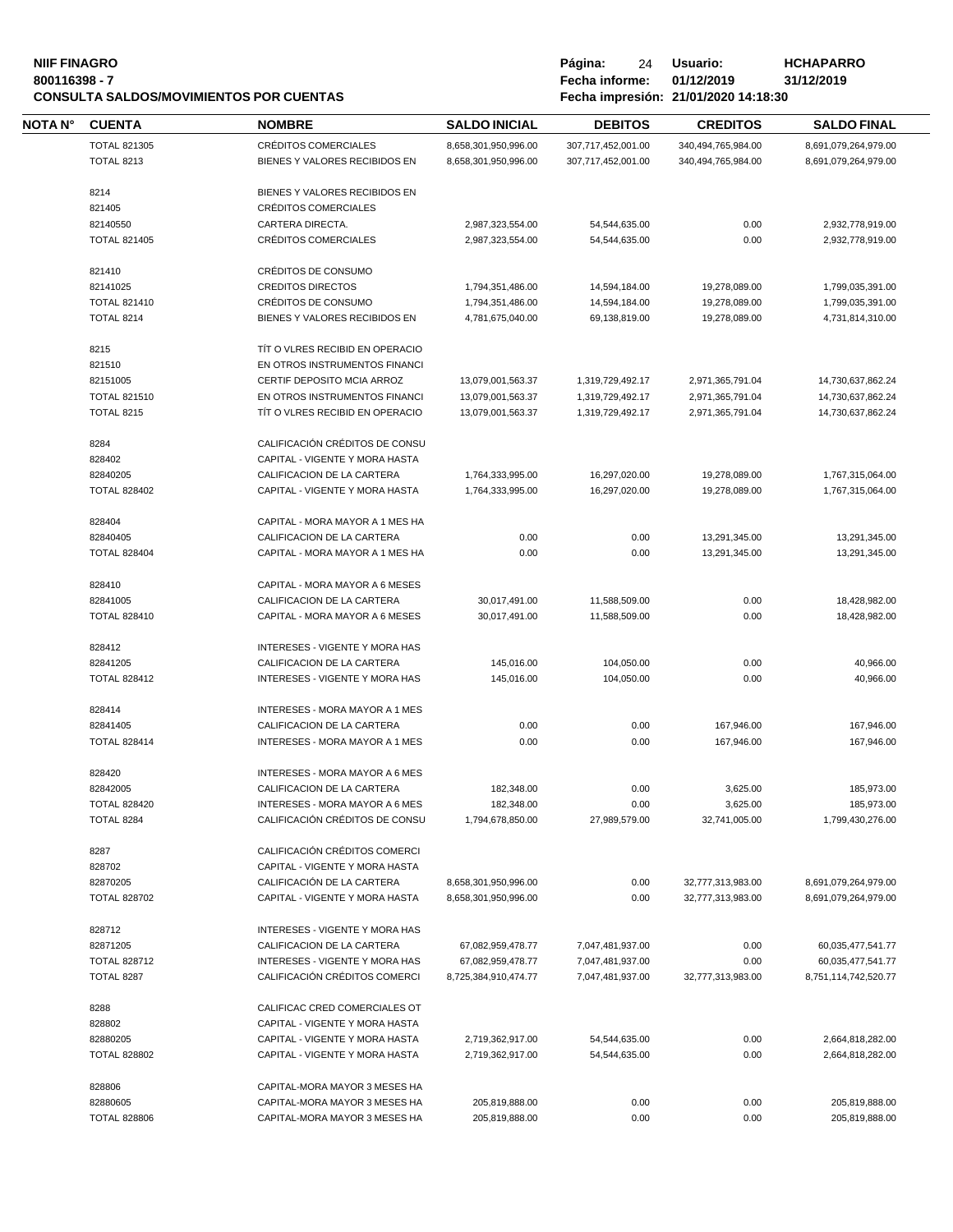# **NIIF FINAGRO P á g i n a :** 24 **U s u a r i o : HCHAPARRO CONSULTA SALDOS/MOVIMIENTOS POR CUENTAS Fecha impresión: 21/01/2020 14:18:30**

| <b>NOTA N°</b> | <b>CUENTA</b>       | <b>NOMBRE</b>                         | <b>SALDO INICIAL</b>                 | <b>DEBITOS</b>                 | <b>CREDITOS</b>    | <b>SALDO FINAL</b>                   |
|----------------|---------------------|---------------------------------------|--------------------------------------|--------------------------------|--------------------|--------------------------------------|
|                | <b>TOTAL 821305</b> | CRÉDITOS COMERCIALES                  | 8,658,301,950,996.00                 | 307,717,452,001.00             | 340,494,765,984.00 | 8,691,079,264,979.00                 |
|                | <b>TOTAL 8213</b>   | BIENES Y VALORES RECIBIDOS EN         | 8,658,301,950,996.00                 | 307,717,452,001.00             | 340,494,765,984.00 | 8,691,079,264,979.00                 |
|                | 8214                | BIENES Y VALORES RECIBIDOS EN         |                                      |                                |                    |                                      |
|                | 821405              | CRÉDITOS COMERCIALES                  |                                      |                                |                    |                                      |
|                | 82140550            | CARTERA DIRECTA.                      | 2,987,323,554.00                     | 54,544,635.00                  | 0.00               | 2,932,778,919.00                     |
|                | <b>TOTAL 821405</b> | CRÉDITOS COMERCIALES                  | 2,987,323,554.00                     | 54,544,635.00                  | 0.00               | 2,932,778,919.00                     |
|                |                     |                                       |                                      |                                |                    |                                      |
|                | 821410              | CRÉDITOS DE CONSUMO                   |                                      |                                |                    |                                      |
|                | 82141025            | <b>CREDITOS DIRECTOS</b>              | 1,794,351,486.00                     | 14,594,184.00                  | 19,278,089.00      | 1,799,035,391.00                     |
|                | <b>TOTAL 821410</b> | CRÉDITOS DE CONSUMO                   | 1,794,351,486.00                     | 14,594,184.00                  | 19,278,089.00      | 1,799,035,391.00                     |
|                | <b>TOTAL 8214</b>   | BIENES Y VALORES RECIBIDOS EN         | 4,781,675,040.00                     | 69,138,819.00                  | 19,278,089.00      | 4,731,814,310.00                     |
|                | 8215                | TIT O VLRES RECIBID EN OPERACIO       |                                      |                                |                    |                                      |
|                | 821510              | EN OTROS INSTRUMENTOS FINANCI         |                                      |                                |                    |                                      |
|                | 82151005            | CERTIF DEPOSITO MCIA ARROZ            | 13,079,001,563.37                    | 1,319,729,492.17               | 2,971,365,791.04   | 14,730,637,862.24                    |
|                | <b>TOTAL 821510</b> | EN OTROS INSTRUMENTOS FINANCI         | 13,079,001,563.37                    | 1,319,729,492.17               | 2,971,365,791.04   | 14,730,637,862.24                    |
|                | <b>TOTAL 8215</b>   | TIT O VLRES RECIBID EN OPERACIO       | 13,079,001,563.37                    | 1,319,729,492.17               | 2,971,365,791.04   | 14,730,637,862.24                    |
|                |                     |                                       |                                      |                                |                    |                                      |
|                | 8284                | CALIFICACIÓN CRÉDITOS DE CONSU        |                                      |                                |                    |                                      |
|                | 828402              | CAPITAL - VIGENTE Y MORA HASTA        |                                      |                                |                    |                                      |
|                | 82840205            | CALIFICACION DE LA CARTERA            | 1,764,333,995.00                     | 16,297,020.00                  | 19,278,089.00      | 1,767,315,064.00                     |
|                | <b>TOTAL 828402</b> | CAPITAL - VIGENTE Y MORA HASTA        | 1,764,333,995.00                     | 16,297,020.00                  | 19,278,089.00      | 1,767,315,064.00                     |
|                | 828404              | CAPITAL - MORA MAYOR A 1 MES HA       |                                      |                                |                    |                                      |
|                | 82840405            | CALIFICACION DE LA CARTERA            | 0.00                                 | 0.00                           | 13,291,345.00      | 13,291,345.00                        |
|                | <b>TOTAL 828404</b> | CAPITAL - MORA MAYOR A 1 MES HA       | 0.00                                 | 0.00                           | 13,291,345.00      | 13,291,345.00                        |
|                |                     |                                       |                                      |                                |                    |                                      |
|                | 828410              | CAPITAL - MORA MAYOR A 6 MESES        |                                      |                                |                    |                                      |
|                | 82841005            | CALIFICACION DE LA CARTERA            | 30,017,491.00                        | 11,588,509.00                  | 0.00               | 18,428,982.00                        |
|                | <b>TOTAL 828410</b> | CAPITAL - MORA MAYOR A 6 MESES        | 30,017,491.00                        | 11,588,509.00                  | 0.00               | 18,428,982.00                        |
|                | 828412              | INTERESES - VIGENTE Y MORA HAS        |                                      |                                |                    |                                      |
|                | 82841205            | CALIFICACION DE LA CARTERA            | 145,016.00                           | 104,050.00                     | 0.00               | 40,966.00                            |
|                | <b>TOTAL 828412</b> | INTERESES - VIGENTE Y MORA HAS        | 145,016.00                           | 104,050.00                     | 0.00               | 40,966.00                            |
|                | 828414              | <b>INTERESES - MORA MAYOR A 1 MES</b> |                                      |                                |                    |                                      |
|                |                     |                                       |                                      |                                |                    |                                      |
|                | 82841405            | CALIFICACION DE LA CARTERA            | 0.00                                 | 0.00                           | 167,946.00         | 167,946.00                           |
|                | <b>TOTAL 828414</b> | <b>INTERESES - MORA MAYOR A 1 MES</b> | 0.00                                 | 0.00                           | 167,946.00         | 167,946.00                           |
|                | 828420              | INTERESES - MORA MAYOR A 6 MES        |                                      |                                |                    |                                      |
|                | 82842005            | CALIFICACION DE LA CARTERA            | 182,348.00                           | 0.00                           | 3,625.00           | 185,973.00                           |
|                | <b>TOTAL 828420</b> | INTERESES - MORA MAYOR A 6 MES        | 182,348.00                           | 0.00                           | 3,625.00           | 185,973.00                           |
|                | TOTAL 8284          | CALIFICACIÓN CRÉDITOS DE CONSU        | 1,794,678,850.00                     | 27,989,579.00                  | 32,741,005.00      | 1,799,430,276.00                     |
|                | 8287                | CALIFICACIÓN CRÉDITOS COMERCI         |                                      |                                |                    |                                      |
|                | 828702              | CAPITAL - VIGENTE Y MORA HASTA        |                                      |                                |                    |                                      |
|                | 82870205            | CALIFICACIÓN DE LA CARTERA            | 8,658,301,950,996.00                 | 0.00                           | 32,777,313,983.00  | 8,691,079,264,979.00                 |
|                | <b>TOTAL 828702</b> | CAPITAL - VIGENTE Y MORA HASTA        | 8,658,301,950,996.00                 | 0.00                           | 32,777,313,983.00  | 8,691,079,264,979.00                 |
|                |                     |                                       |                                      |                                |                    |                                      |
|                | 828712              | INTERESES - VIGENTE Y MORA HAS        |                                      |                                |                    |                                      |
|                | 82871205            | CALIFICACION DE LA CARTERA            | 67,082,959,478.77                    | 7,047,481,937.00               | 0.00               | 60,035,477,541.77                    |
|                | <b>TOTAL 828712</b> | <b>INTERESES - VIGENTE Y MORA HAS</b> | 67,082,959,478.77                    | 7,047,481,937.00               | 0.00               | 60,035,477,541.77                    |
|                | TOTAL 8287          | CALIFICACIÓN CRÉDITOS COMERCI         | 8,725,384,910,474.77                 | 7,047,481,937.00               | 32,777,313,983.00  | 8,751,114,742,520.77                 |
|                | 8288                | CALIFICAC CRED COMERCIALES OT         |                                      |                                |                    |                                      |
|                | 828802              | CAPITAL - VIGENTE Y MORA HASTA        |                                      |                                |                    |                                      |
|                | 82880205            | CAPITAL - VIGENTE Y MORA HASTA        |                                      |                                |                    |                                      |
|                | <b>TOTAL 828802</b> | CAPITAL - VIGENTE Y MORA HASTA        | 2,719,362,917.00<br>2,719,362,917.00 | 54,544,635.00<br>54,544,635.00 | 0.00<br>0.00       | 2,664,818,282.00<br>2,664,818,282.00 |
|                |                     |                                       |                                      |                                |                    |                                      |
|                | 828806              | CAPITAL-MORA MAYOR 3 MESES HA         |                                      |                                |                    |                                      |
|                | 82880605            | CAPITAL-MORA MAYOR 3 MESES HA         | 205,819,888.00                       | 0.00                           | 0.00               | 205,819,888.00                       |
|                | <b>TOTAL 828806</b> | CAPITAL-MORA MAYOR 3 MESES HA         | 205,819,888.00                       | 0.00                           | 0.00               | 205,819,888.00                       |